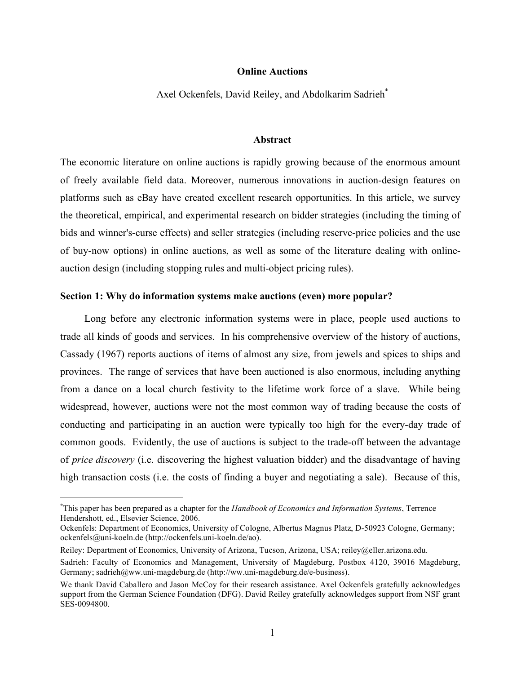### **Online Auctions**

Axel Ockenfels, David Reiley, and Abdolkarim Sadrieh<sup>\*</sup>

### **Abstract**

The economic literature on online auctions is rapidly growing because of the enormous amount of freely available field data. Moreover, numerous innovations in auction-design features on platforms such as eBay have created excellent research opportunities. In this article, we survey the theoretical, empirical, and experimental research on bidder strategies (including the timing of bids and winner's-curse effects) and seller strategies (including reserve-price policies and the use of buy-now options) in online auctions, as well as some of the literature dealing with onlineauction design (including stopping rules and multi-object pricing rules).

### **Section 1: Why do information systems make auctions (even) more popular?**

Long before any electronic information systems were in place, people used auctions to trade all kinds of goods and services. In his comprehensive overview of the history of auctions, Cassady (1967) reports auctions of items of almost any size, from jewels and spices to ships and provinces. The range of services that have been auctioned is also enormous, including anything from a dance on a local church festivity to the lifetime work force of a slave. While being widespread, however, auctions were not the most common way of trading because the costs of conducting and participating in an auction were typically too high for the every-day trade of common goods. Evidently, the use of auctions is subject to the trade-off between the advantage of *price discovery* (i.e. discovering the highest valuation bidder) and the disadvantage of having high transaction costs (i.e. the costs of finding a buyer and negotiating a sale). Because of this,

**<sup>\*</sup>** This paper has been prepared as a chapter for the *Handbook of Economics and Information Systems*, Terrence Hendershott, ed., Elsevier Science, 2006.

Ockenfels: Department of Economics, University of Cologne, Albertus Magnus Platz, D-50923 Cologne, Germany; ockenfels@uni-koeln.de (http://ockenfels.uni-koeln.de/ao).

Reiley: Department of Economics, University of Arizona, Tucson, Arizona, USA; reiley@eller.arizona.edu.

Sadrieh: Faculty of Economics and Management, University of Magdeburg, Postbox 4120, 39016 Magdeburg, Germany; sadrieh@ww.uni-magdeburg.de (http://ww.uni-magdeburg.de/e-business).

We thank David Caballero and Jason McCoy for their research assistance. Axel Ockenfels gratefully acknowledges support from the German Science Foundation (DFG). David Reiley gratefully acknowledges support from NSF grant SES-0094800.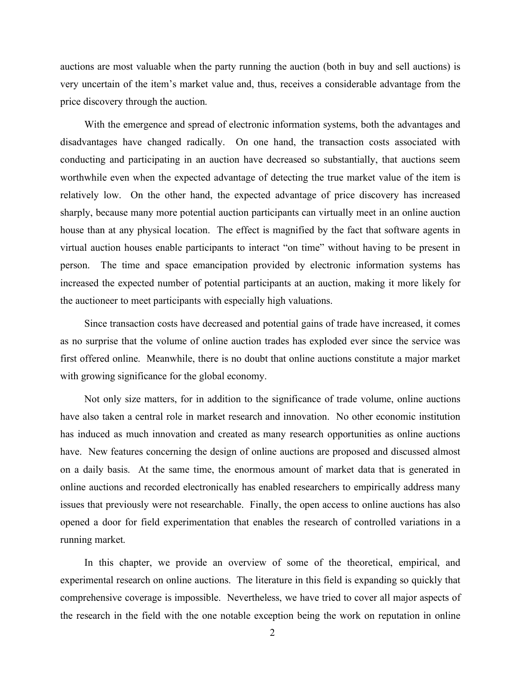auctions are most valuable when the party running the auction (both in buy and sell auctions) is very uncertain of the item's market value and, thus, receives a considerable advantage from the price discovery through the auction.

With the emergence and spread of electronic information systems, both the advantages and disadvantages have changed radically. On one hand, the transaction costs associated with conducting and participating in an auction have decreased so substantially, that auctions seem worthwhile even when the expected advantage of detecting the true market value of the item is relatively low. On the other hand, the expected advantage of price discovery has increased sharply, because many more potential auction participants can virtually meet in an online auction house than at any physical location. The effect is magnified by the fact that software agents in virtual auction houses enable participants to interact "on time" without having to be present in person. The time and space emancipation provided by electronic information systems has increased the expected number of potential participants at an auction, making it more likely for the auctioneer to meet participants with especially high valuations.

Since transaction costs have decreased and potential gains of trade have increased, it comes as no surprise that the volume of online auction trades has exploded ever since the service was first offered online. Meanwhile, there is no doubt that online auctions constitute a major market with growing significance for the global economy.

Not only size matters, for in addition to the significance of trade volume, online auctions have also taken a central role in market research and innovation. No other economic institution has induced as much innovation and created as many research opportunities as online auctions have. New features concerning the design of online auctions are proposed and discussed almost on a daily basis. At the same time, the enormous amount of market data that is generated in online auctions and recorded electronically has enabled researchers to empirically address many issues that previously were not researchable. Finally, the open access to online auctions has also opened a door for field experimentation that enables the research of controlled variations in a running market.

In this chapter, we provide an overview of some of the theoretical, empirical, and experimental research on online auctions. The literature in this field is expanding so quickly that comprehensive coverage is impossible. Nevertheless, we have tried to cover all major aspects of the research in the field with the one notable exception being the work on reputation in online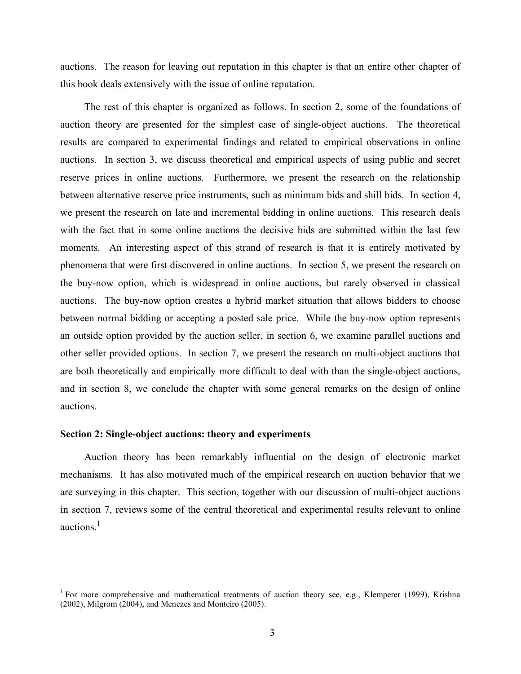auctions. The reason for leaving out reputation in this chapter is that an entire other chapter of this book deals extensively with the issue of online reputation.

The rest of this chapter is organized as follows. In section 2, some of the foundations of auction theory are presented for the simplest case of single-object auctions. The theoretical results are compared to experimental findings and related to empirical observations in online auctions. In section 3, we discuss theoretical and empirical aspects of using public and secret reserve prices in online auctions. Furthermore, we present the research on the relationship between alternative reserve price instruments, such as minimum bids and shill bids. In section 4, we present the research on late and incremental bidding in online auctions. This research deals with the fact that in some online auctions the decisive bids are submitted within the last few moments. An interesting aspect of this strand of research is that it is entirely motivated by phenomena that were first discovered in online auctions. In section 5, we present the research on the buy-now option, which is widespread in online auctions, but rarely observed in classical auctions. The buy-now option creates a hybrid market situation that allows bidders to choose between normal bidding or accepting a posted sale price. While the buy-now option represents an outside option provided by the auction seller, in section 6, we examine parallel auctions and other seller provided options. In section 7, we present the research on multi-object auctions that are both theoretically and empirically more difficult to deal with than the single-object auctions, and in section 8, we conclude the chapter with some general remarks on the design of online auctions.

#### **Section 2: Single-object auctions: theory and experiments**

1

Auction theory has been remarkably influential on the design of electronic market mechanisms. It has also motivated much of the empirical research on auction behavior that we are surveying in this chapter. This section, together with our discussion of multi-object auctions in section 7, reviews some of the central theoretical and experimental results relevant to online auctions. 1

<sup>&</sup>lt;sup>1</sup> For more comprehensive and mathematical treatments of auction theory see, e.g., Klemperer (1999), Krishna (2002), Milgrom (2004), and Menezes and Monteiro (2005).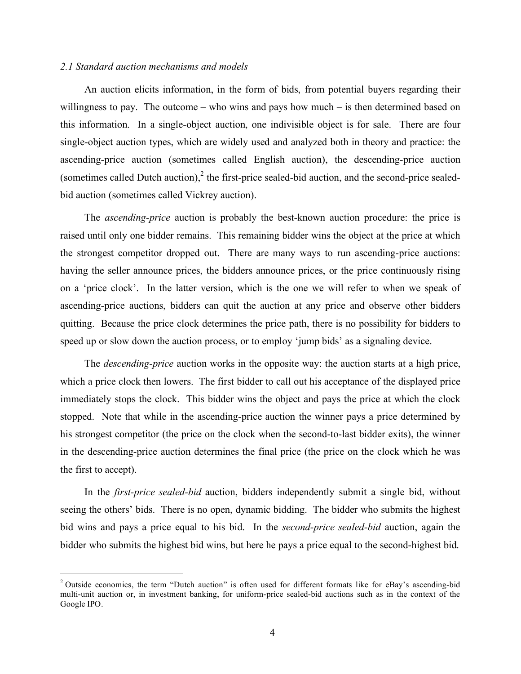# *2.1 Standard auction mechanisms and models*

-

An auction elicits information, in the form of bids, from potential buyers regarding their willingness to pay. The outcome – who wins and pays how much – is then determined based on this information. In a single-object auction, one indivisible object is for sale. There are four single-object auction types, which are widely used and analyzed both in theory and practice: the ascending-price auction (sometimes called English auction), the descending-price auction (sometimes called Dutch auction), $<sup>2</sup>$  the first-price sealed-bid auction, and the second-price sealed-</sup> bid auction (sometimes called Vickrey auction).

The *ascending-price* auction is probably the best-known auction procedure: the price is raised until only one bidder remains. This remaining bidder wins the object at the price at which the strongest competitor dropped out. There are many ways to run ascending-price auctions: having the seller announce prices, the bidders announce prices, or the price continuously rising on a 'price clock'. In the latter version, which is the one we will refer to when we speak of ascending-price auctions, bidders can quit the auction at any price and observe other bidders quitting. Because the price clock determines the price path, there is no possibility for bidders to speed up or slow down the auction process, or to employ 'jump bids' as a signaling device.

The *descending-price* auction works in the opposite way: the auction starts at a high price, which a price clock then lowers. The first bidder to call out his acceptance of the displayed price immediately stops the clock. This bidder wins the object and pays the price at which the clock stopped. Note that while in the ascending-price auction the winner pays a price determined by his strongest competitor (the price on the clock when the second-to-last bidder exits), the winner in the descending-price auction determines the final price (the price on the clock which he was the first to accept).

In the *first-price sealed-bid* auction, bidders independently submit a single bid, without seeing the others' bids. There is no open, dynamic bidding. The bidder who submits the highest bid wins and pays a price equal to his bid. In the *second-price sealed-bid* auction, again the bidder who submits the highest bid wins, but here he pays a price equal to the second-highest bid.

<sup>&</sup>lt;sup>2</sup> Outside economics, the term "Dutch auction" is often used for different formats like for eBay's ascending-bid multi-unit auction or, in investment banking, for uniform-price sealed-bid auctions such as in the context of the Google IPO.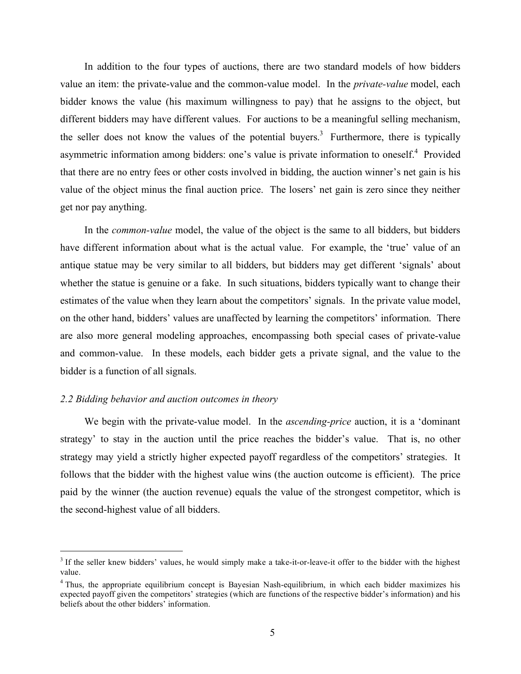In addition to the four types of auctions, there are two standard models of how bidders value an item: the private-value and the common-value model. In the *private-value* model, each bidder knows the value (his maximum willingness to pay) that he assigns to the object, but different bidders may have different values. For auctions to be a meaningful selling mechanism, the seller does not know the values of the potential buyers.<sup>3</sup> Furthermore, there is typically asymmetric information among bidders: one's value is private information to oneself.<sup>4</sup> Provided that there are no entry fees or other costs involved in bidding, the auction winner's net gain is his value of the object minus the final auction price. The losers' net gain is zero since they neither get nor pay anything.

In the *common-value* model, the value of the object is the same to all bidders, but bidders have different information about what is the actual value. For example, the 'true' value of an antique statue may be very similar to all bidders, but bidders may get different 'signals' about whether the statue is genuine or a fake. In such situations, bidders typically want to change their estimates of the value when they learn about the competitors' signals. In the private value model, on the other hand, bidders' values are unaffected by learning the competitors' information. There are also more general modeling approaches, encompassing both special cases of private-value and common-value. In these models, each bidder gets a private signal, and the value to the bidder is a function of all signals.

# *2.2 Bidding behavior and auction outcomes in theory*

We begin with the private-value model. In the *ascending-price* auction, it is a 'dominant strategy' to stay in the auction until the price reaches the bidder's value. That is, no other strategy may yield a strictly higher expected payoff regardless of the competitors' strategies. It follows that the bidder with the highest value wins (the auction outcome is efficient). The price paid by the winner (the auction revenue) equals the value of the strongest competitor, which is the second-highest value of all bidders.

 $3$  If the seller knew bidders' values, he would simply make a take-it-or-leave-it offer to the bidder with the highest value.

<sup>&</sup>lt;sup>4</sup> Thus, the appropriate equilibrium concept is Bayesian Nash-equilibrium, in which each bidder maximizes his expected payoff given the competitors' strategies (which are functions of the respective bidder's information) and his beliefs about the other bidders' information.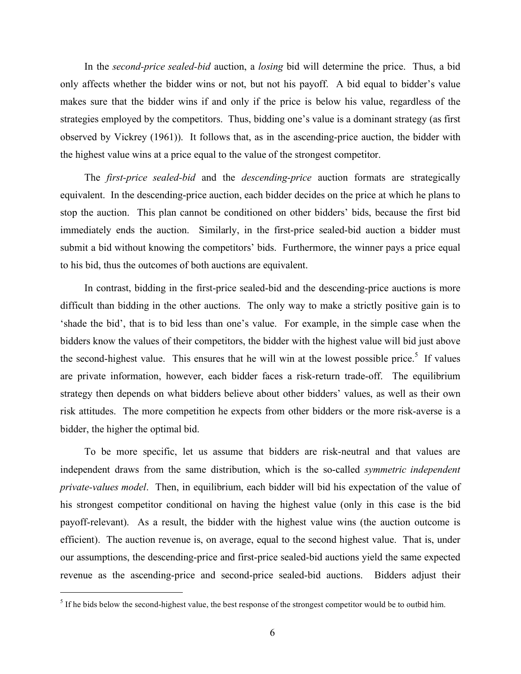In the *second-price sealed-bid* auction, a *losing* bid will determine the price. Thus, a bid only affects whether the bidder wins or not, but not his payoff. A bid equal to bidder's value makes sure that the bidder wins if and only if the price is below his value, regardless of the strategies employed by the competitors. Thus, bidding one's value is a dominant strategy (as first observed by Vickrey (1961)). It follows that, as in the ascending-price auction, the bidder with the highest value wins at a price equal to the value of the strongest competitor.

The *first-price sealed-bid* and the *descending-price* auction formats are strategically equivalent. In the descending-price auction, each bidder decides on the price at which he plans to stop the auction. This plan cannot be conditioned on other bidders' bids, because the first bid immediately ends the auction. Similarly, in the first-price sealed-bid auction a bidder must submit a bid without knowing the competitors' bids. Furthermore, the winner pays a price equal to his bid, thus the outcomes of both auctions are equivalent.

In contrast, bidding in the first-price sealed-bid and the descending-price auctions is more difficult than bidding in the other auctions. The only way to make a strictly positive gain is to 'shade the bid', that is to bid less than one's value. For example, in the simple case when the bidders know the values of their competitors, the bidder with the highest value will bid just above the second-highest value. This ensures that he will win at the lowest possible price. <sup>5</sup> If values are private information, however, each bidder faces a risk-return trade-off. The equilibrium strategy then depends on what bidders believe about other bidders' values, as well as their own risk attitudes. The more competition he expects from other bidders or the more risk-averse is a bidder, the higher the optimal bid.

To be more specific, let us assume that bidders are risk-neutral and that values are independent draws from the same distribution, which is the so-called *symmetric independent private-values model*. Then, in equilibrium, each bidder will bid his expectation of the value of his strongest competitor conditional on having the highest value (only in this case is the bid payoff-relevant). As a result, the bidder with the highest value wins (the auction outcome is efficient). The auction revenue is, on average, equal to the second highest value. That is, under our assumptions, the descending-price and first-price sealed-bid auctions yield the same expected revenue as the ascending-price and second-price sealed-bid auctions. Bidders adjust their

 $<sup>5</sup>$  If he bids below the second-highest value, the best response of the strongest competitor would be to outbid him.</sup>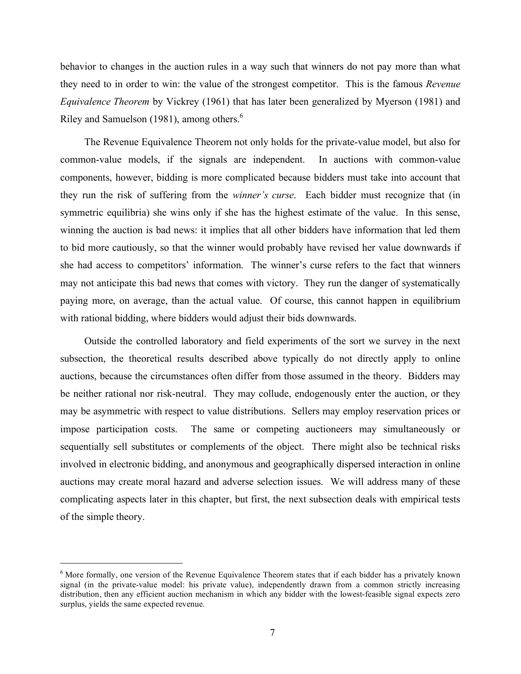behavior to changes in the auction rules in a way such that winners do not pay more than what they need to in order to win: the value of the strongest competitor. This is the famous *Revenue Equivalence Theorem* by Vickrey (1961) that has later been generalized by Myerson (1981) and Riley and Samuelson (1981), among others.<sup>6</sup>

The Revenue Equivalence Theorem not only holds for the private-value model, but also for common-value models, if the signals are independent. In auctions with common-value components, however, bidding is more complicated because bidders must take into account that they run the risk of suffering from the *winner's curse*. Each bidder must recognize that (in symmetric equilibria) she wins only if she has the highest estimate of the value. In this sense, winning the auction is bad news: it implies that all other bidders have information that led them to bid more cautiously, so that the winner would probably have revised her value downwards if she had access to competitors' information. The winner's curse refers to the fact that winners may not anticipate this bad news that comes with victory. They run the danger of systematically paying more, on average, than the actual value. Of course, this cannot happen in equilibrium with rational bidding, where bidders would adjust their bids downwards.

Outside the controlled laboratory and field experiments of the sort we survey in the next subsection, the theoretical results described above typically do not directly apply to online auctions, because the circumstances often differ from those assumed in the theory. Bidders may be neither rational nor risk-neutral. They may collude, endogenously enter the auction, or they may be asymmetric with respect to value distributions. Sellers may employ reservation prices or impose participation costs. The same or competing auctioneers may simultaneously or sequentially sell substitutes or complements of the object. There might also be technical risks involved in electronic bidding, and anonymous and geographically dispersed interaction in online auctions may create moral hazard and adverse selection issues. We will address many of these complicating aspects later in this chapter, but first, the next subsection deals with empirical tests of the simple theory.

<sup>&</sup>lt;sup>6</sup> More formally, one version of the Revenue Equivalence Theorem states that if each bidder has a privately known signal (in the private-value model: his private value), independently drawn from a common strictly increasing distribution, then any efficient auction mechanism in which any bidder with the lowest-feasible signal expects zero surplus, yields the same expected revenue.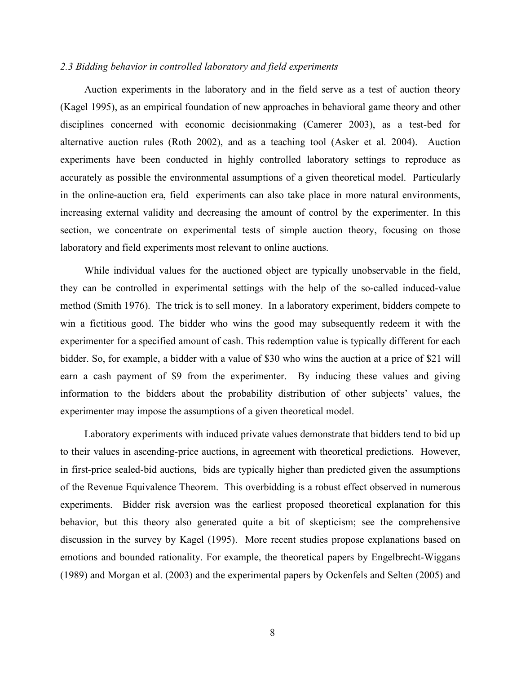## *2.3 Bidding behavior in controlled laboratory and field experiments*

Auction experiments in the laboratory and in the field serve as a test of auction theory (Kagel 1995), as an empirical foundation of new approaches in behavioral game theory and other disciplines concerned with economic decisionmaking (Camerer 2003), as a test-bed for alternative auction rules (Roth 2002), and as a teaching tool (Asker et al. 2004). Auction experiments have been conducted in highly controlled laboratory settings to reproduce as accurately as possible the environmental assumptions of a given theoretical model. Particularly in the online-auction era, field experiments can also take place in more natural environments, increasing external validity and decreasing the amount of control by the experimenter. In this section, we concentrate on experimental tests of simple auction theory, focusing on those laboratory and field experiments most relevant to online auctions.

While individual values for the auctioned object are typically unobservable in the field, they can be controlled in experimental settings with the help of the so-called induced-value method (Smith 1976). The trick is to sell money. In a laboratory experiment, bidders compete to win a fictitious good. The bidder who wins the good may subsequently redeem it with the experimenter for a specified amount of cash. This redemption value is typically different for each bidder. So, for example, a bidder with a value of \$30 who wins the auction at a price of \$21 will earn a cash payment of \$9 from the experimenter. By inducing these values and giving information to the bidders about the probability distribution of other subjects' values, the experimenter may impose the assumptions of a given theoretical model.

Laboratory experiments with induced private values demonstrate that bidders tend to bid up to their values in ascending-price auctions, in agreement with theoretical predictions. However, in first-price sealed-bid auctions, bids are typically higher than predicted given the assumptions of the Revenue Equivalence Theorem. This overbidding is a robust effect observed in numerous experiments. Bidder risk aversion was the earliest proposed theoretical explanation for this behavior, but this theory also generated quite a bit of skepticism; see the comprehensive discussion in the survey by Kagel (1995). More recent studies propose explanations based on emotions and bounded rationality. For example, the theoretical papers by Engelbrecht-Wiggans (1989) and Morgan et al. (2003) and the experimental papers by Ockenfels and Selten (2005) and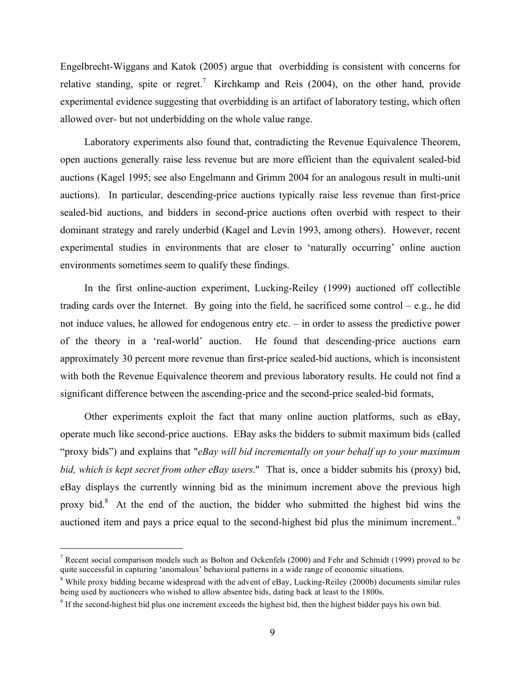Engelbrecht-Wiggans and Katok (2005) argue that overbidding is consistent with concerns for relative standing, spite or regret.<sup>7</sup> Kirchkamp and Reis (2004), on the other hand, provide experimental evidence suggesting that overbidding is an artifact of laboratory testing, which often allowed over- but not underbidding on the whole value range.

Laboratory experiments also found that, contradicting the Revenue Equivalence Theorem, open auctions generally raise less revenue but are more efficient than the equivalent sealed-bid auctions (Kagel 1995; see also Engelmann and Grimm 2004 for an analogous result in multi-unit auctions). In particular, descending-price auctions typically raise less revenue than first-price sealed-bid auctions, and bidders in second-price auctions often overbid with respect to their dominant strategy and rarely underbid (Kagel and Levin 1993, among others). However, recent experimental studies in environments that are closer to 'naturally occurring' online auction environments sometimes seem to qualify these findings.

In the first online-auction experiment, Lucking-Reiley (1999) auctioned off collectible trading cards over the Internet. By going into the field, he sacrificed some control – e.g., he did not induce values, he allowed for endogenous entry etc. – in order to assess the predictive power of the theory in a 'real-world' auction. He found that descending-price auctions earn approximately 30 percent more revenue than first-price sealed-bid auctions, which is inconsistent with both the Revenue Equivalence theorem and previous laboratory results. He could not find a significant difference between the ascending-price and the second-price sealed-bid formats,

Other experiments exploit the fact that many online auction platforms, such as eBay, operate much like second-price auctions. EBay asks the bidders to submit maximum bids (called "proxy bids") and explains that "*eBay will bid incrementally on your behalf up to your maximum bid, which is kept secret from other eBay users*." That is, once a bidder submits his (proxy) bid, eBay displays the currently winning bid as the minimum increment above the previous high proxy bid. $8$  At the end of the auction, the bidder who submitted the highest bid wins the auctioned item and pays a price equal to the second-highest bid plus the minimum increment.<sup>9</sup>

-

 $7$  Recent social comparison models such as Bolton and Ockenfels (2000) and Fehr and Schmidt (1999) proved to be quite successful in capturing 'anomalous' behavioral patterns in a wide range of economic situations.

 $8$  While proxy bidding became widespread with the advent of eBay. Lucking-Reiley (2000b) documents similar rules being used by auctioneers who wished to allow absentee bids, dating back at least to the 1800s.

<sup>&</sup>lt;sup>9</sup> If the second-highest bid plus one increment exceeds the highest bid, then the highest bidder pays his own bid.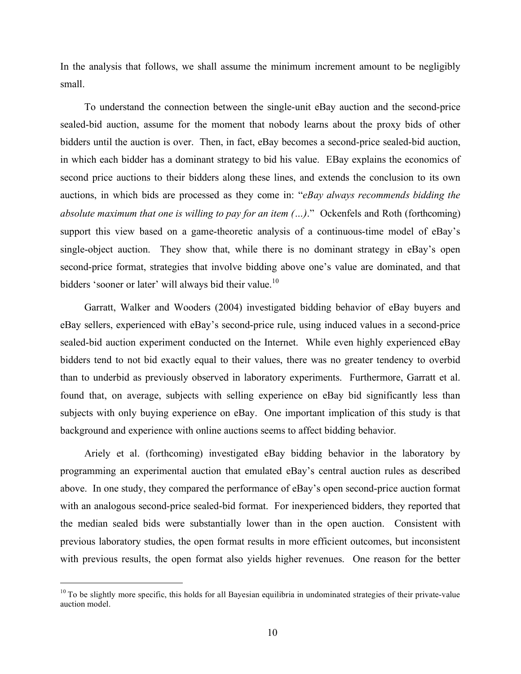In the analysis that follows, we shall assume the minimum increment amount to be negligibly small.

To understand the connection between the single-unit eBay auction and the second-price sealed-bid auction, assume for the moment that nobody learns about the proxy bids of other bidders until the auction is over. Then, in fact, eBay becomes a second-price sealed-bid auction, in which each bidder has a dominant strategy to bid his value. EBay explains the economics of second price auctions to their bidders along these lines, and extends the conclusion to its own auctions, in which bids are processed as they come in: "*eBay always recommends bidding the absolute maximum that one is willing to pay for an item (…)*." Ockenfels and Roth (forthcoming) support this view based on a game-theoretic analysis of a continuous-time model of eBay's single-object auction. They show that, while there is no dominant strategy in eBay's open second-price format, strategies that involve bidding above one's value are dominated, and that bidders 'sooner or later' will always bid their value.<sup>10</sup>

Garratt, Walker and Wooders (2004) investigated bidding behavior of eBay buyers and eBay sellers, experienced with eBay's second-price rule, using induced values in a second-price sealed-bid auction experiment conducted on the Internet. While even highly experienced eBay bidders tend to not bid exactly equal to their values, there was no greater tendency to overbid than to underbid as previously observed in laboratory experiments. Furthermore, Garratt et al. found that, on average, subjects with selling experience on eBay bid significantly less than subjects with only buying experience on eBay. One important implication of this study is that background and experience with online auctions seems to affect bidding behavior.

Ariely et al. (forthcoming) investigated eBay bidding behavior in the laboratory by programming an experimental auction that emulated eBay's central auction rules as described above. In one study, they compared the performance of eBay's open second-price auction format with an analogous second-price sealed-bid format. For inexperienced bidders, they reported that the median sealed bids were substantially lower than in the open auction. Consistent with previous laboratory studies, the open format results in more efficient outcomes, but inconsistent with previous results, the open format also yields higher revenues. One reason for the better

 $10$  To be slightly more specific, this holds for all Bayesian equilibria in undominated strategies of their private-value auction model.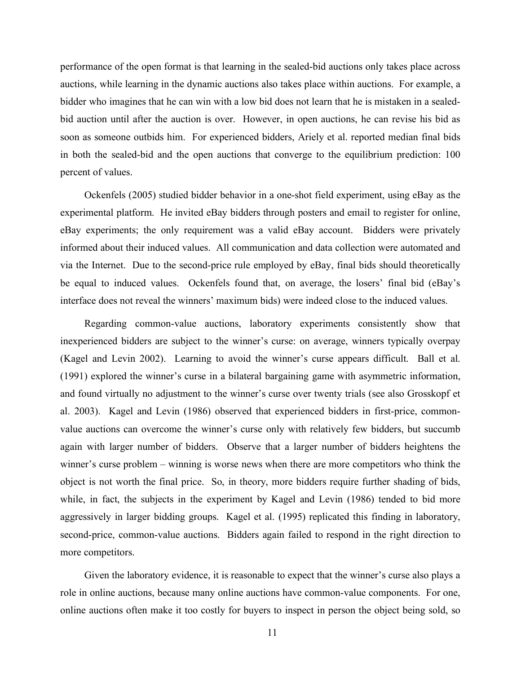performance of the open format is that learning in the sealed-bid auctions only takes place across auctions, while learning in the dynamic auctions also takes place within auctions. For example, a bidder who imagines that he can win with a low bid does not learn that he is mistaken in a sealedbid auction until after the auction is over. However, in open auctions, he can revise his bid as soon as someone outbids him. For experienced bidders, Ariely et al. reported median final bids in both the sealed-bid and the open auctions that converge to the equilibrium prediction: 100 percent of values.

Ockenfels (2005) studied bidder behavior in a one-shot field experiment, using eBay as the experimental platform. He invited eBay bidders through posters and email to register for online, eBay experiments; the only requirement was a valid eBay account. Bidders were privately informed about their induced values. All communication and data collection were automated and via the Internet. Due to the second-price rule employed by eBay, final bids should theoretically be equal to induced values. Ockenfels found that, on average, the losers' final bid (eBay's interface does not reveal the winners' maximum bids) were indeed close to the induced values.

Regarding common-value auctions, laboratory experiments consistently show that inexperienced bidders are subject to the winner's curse: on average, winners typically overpay (Kagel and Levin 2002). Learning to avoid the winner's curse appears difficult. Ball et al. (1991) explored the winner's curse in a bilateral bargaining game with asymmetric information, and found virtually no adjustment to the winner's curse over twenty trials (see also Grosskopf et al. 2003). Kagel and Levin (1986) observed that experienced bidders in first-price, commonvalue auctions can overcome the winner's curse only with relatively few bidders, but succumb again with larger number of bidders. Observe that a larger number of bidders heightens the winner's curse problem – winning is worse news when there are more competitors who think the object is not worth the final price. So, in theory, more bidders require further shading of bids, while, in fact, the subjects in the experiment by Kagel and Levin (1986) tended to bid more aggressively in larger bidding groups. Kagel et al. (1995) replicated this finding in laboratory, second-price, common-value auctions. Bidders again failed to respond in the right direction to more competitors.

Given the laboratory evidence, it is reasonable to expect that the winner's curse also plays a role in online auctions, because many online auctions have common-value components. For one, online auctions often make it too costly for buyers to inspect in person the object being sold, so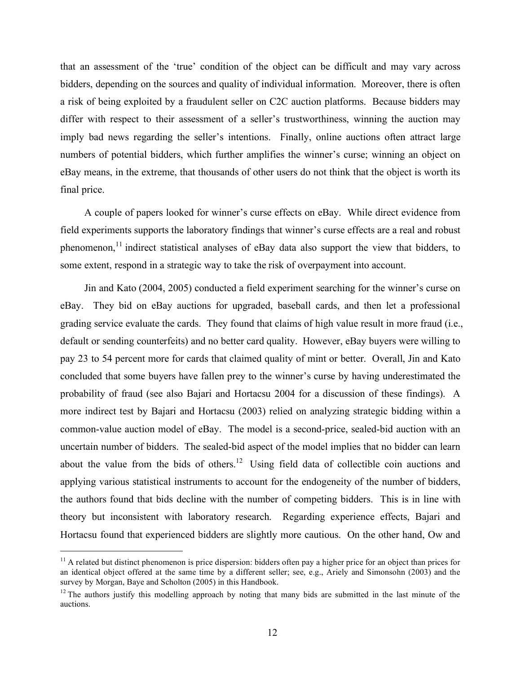that an assessment of the 'true' condition of the object can be difficult and may vary across bidders, depending on the sources and quality of individual information. Moreover, there is often a risk of being exploited by a fraudulent seller on C2C auction platforms. Because bidders may differ with respect to their assessment of a seller's trustworthiness, winning the auction may imply bad news regarding the seller's intentions. Finally, online auctions often attract large numbers of potential bidders, which further amplifies the winner's curse; winning an object on eBay means, in the extreme, that thousands of other users do not think that the object is worth its final price.

A couple of papers looked for winner's curse effects on eBay. While direct evidence from field experiments supports the laboratory findings that winner's curse effects are a real and robust phenomenon,<sup>11</sup> indirect statistical analyses of eBay data also support the view that bidders, to some extent, respond in a strategic way to take the risk of overpayment into account.

Jin and Kato (2004, 2005) conducted a field experiment searching for the winner's curse on eBay. They bid on eBay auctions for upgraded, baseball cards, and then let a professional grading service evaluate the cards. They found that claims of high value result in more fraud (i.e., default or sending counterfeits) and no better card quality. However, eBay buyers were willing to pay 23 to 54 percent more for cards that claimed quality of mint or better. Overall, Jin and Kato concluded that some buyers have fallen prey to the winner's curse by having underestimated the probability of fraud (see also Bajari and Hortacsu 2004 for a discussion of these findings). A more indirect test by Bajari and Hortacsu (2003) relied on analyzing strategic bidding within a common-value auction model of eBay. The model is a second-price, sealed-bid auction with an uncertain number of bidders. The sealed-bid aspect of the model implies that no bidder can learn about the value from the bids of others.<sup>12</sup> Using field data of collectible coin auctions and applying various statistical instruments to account for the endogeneity of the number of bidders, the authors found that bids decline with the number of competing bidders. This is in line with theory but inconsistent with laboratory research. Regarding experience effects, Bajari and Hortacsu found that experienced bidders are slightly more cautious. On the other hand, Ow and

<sup>&</sup>lt;sup>11</sup> A related but distinct phenomenon is price dispersion: bidders often pay a higher price for an object than prices for an identical object offered at the same time by a different seller; see, e.g., Ariely and Simonsohn (2003) and the survey by Morgan, Baye and Scholton (2005) in this Handbook.

<sup>&</sup>lt;sup>12</sup> The authors justify this modelling approach by noting that many bids are submitted in the last minute of the auctions.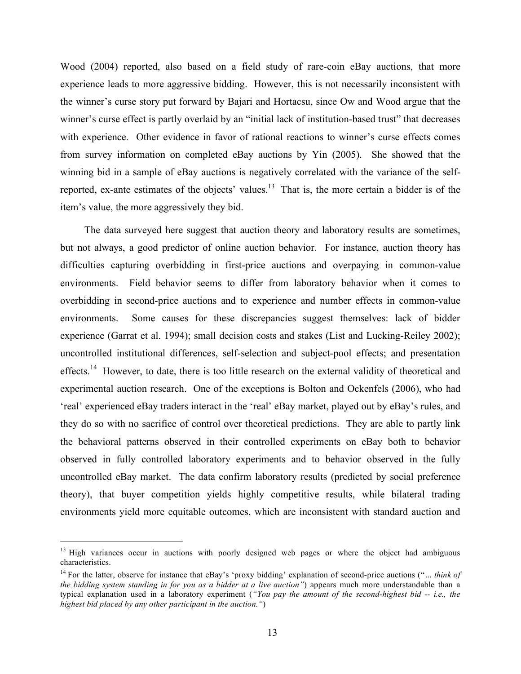Wood (2004) reported, also based on a field study of rare-coin eBay auctions, that more experience leads to more aggressive bidding. However, this is not necessarily inconsistent with the winner's curse story put forward by Bajari and Hortacsu, since Ow and Wood argue that the winner's curse effect is partly overlaid by an "initial lack of institution-based trust" that decreases with experience. Other evidence in favor of rational reactions to winner's curse effects comes from survey information on completed eBay auctions by Yin (2005). She showed that the winning bid in a sample of eBay auctions is negatively correlated with the variance of the selfreported, ex-ante estimates of the objects' values.<sup>13</sup> That is, the more certain a bidder is of the item's value, the more aggressively they bid.

The data surveyed here suggest that auction theory and laboratory results are sometimes, but not always, a good predictor of online auction behavior. For instance, auction theory has difficulties capturing overbidding in first-price auctions and overpaying in common-value environments. Field behavior seems to differ from laboratory behavior when it comes to overbidding in second-price auctions and to experience and number effects in common-value environments. Some causes for these discrepancies suggest themselves: lack of bidder experience (Garrat et al. 1994); small decision costs and stakes (List and Lucking-Reiley 2002); uncontrolled institutional differences, self-selection and subject-pool effects; and presentation effects.<sup>14</sup> However, to date, there is too little research on the external validity of theoretical and experimental auction research. One of the exceptions is Bolton and Ockenfels (2006), who had 'real' experienced eBay traders interact in the 'real' eBay market, played out by eBay's rules, and they do so with no sacrifice of control over theoretical predictions. They are able to partly link the behavioral patterns observed in their controlled experiments on eBay both to behavior observed in fully controlled laboratory experiments and to behavior observed in the fully uncontrolled eBay market. The data confirm laboratory results (predicted by social preference theory), that buyer competition yields highly competitive results, while bilateral trading environments yield more equitable outcomes, which are inconsistent with standard auction and

-

<sup>&</sup>lt;sup>13</sup> High variances occur in auctions with poorly designed web pages or where the object had ambiguous characteristics.

<sup>14</sup> For the latter, observe for instance that eBay's 'proxy bidding' explanation of second-price auctions ("*… think of the bidding system standing in for you as a bidder at a live auction"*) appears much more understandable than a typical explanation used in a laboratory experiment (*"You pay the amount of the second-highest bid -- i.e., the highest bid placed by any other participant in the auction."*)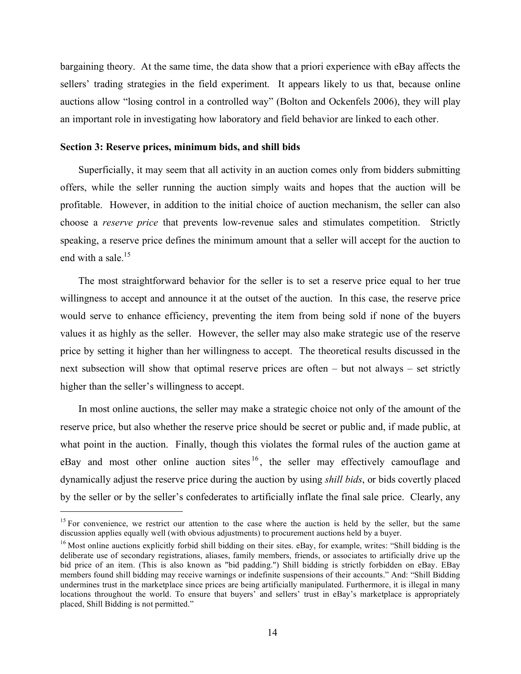bargaining theory. At the same time, the data show that a priori experience with eBay affects the sellers' trading strategies in the field experiment. It appears likely to us that, because online auctions allow "losing control in a controlled way" (Bolton and Ockenfels 2006), they will play an important role in investigating how laboratory and field behavior are linked to each other.

# **Section 3: Reserve prices, minimum bids, and shill bids**

-

Superficially, it may seem that all activity in an auction comes only from bidders submitting offers, while the seller running the auction simply waits and hopes that the auction will be profitable. However, in addition to the initial choice of auction mechanism, the seller can also choose a *reserve price* that prevents low-revenue sales and stimulates competition. Strictly speaking, a reserve price defines the minimum amount that a seller will accept for the auction to end with a sale.<sup>15</sup>

The most straightforward behavior for the seller is to set a reserve price equal to her true willingness to accept and announce it at the outset of the auction. In this case, the reserve price would serve to enhance efficiency, preventing the item from being sold if none of the buyers values it as highly as the seller. However, the seller may also make strategic use of the reserve price by setting it higher than her willingness to accept. The theoretical results discussed in the next subsection will show that optimal reserve prices are often – but not always – set strictly higher than the seller's willingness to accept.

In most online auctions, the seller may make a strategic choice not only of the amount of the reserve price, but also whether the reserve price should be secret or public and, if made public, at what point in the auction. Finally, though this violates the formal rules of the auction game at  $e$ Bay and most other online auction sites  $16$ , the seller may effectively camouflage and dynamically adjust the reserve price during the auction by using *shill bids*, or bids covertly placed by the seller or by the seller's confederates to artificially inflate the final sale price. Clearly, any

 $15$  For convenience, we restrict our attention to the case where the auction is held by the seller, but the same discussion applies equally well (with obvious adjustments) to procurement auctions held by a buyer.

<sup>&</sup>lt;sup>16</sup> Most online auctions explicitly forbid shill bidding on their sites. eBay, for example, writes: "Shill bidding is the deliberate use of secondary registrations, aliases, family members, friends, or associates to artificially drive up the bid price of an item. (This is also known as "bid padding.") Shill bidding is strictly forbidden on eBay. EBay members found shill bidding may receive warnings or indefinite suspensions of their accounts." And: "Shill Bidding undermines trust in the marketplace since prices are being artificially manipulated. Furthermore, it is illegal in many locations throughout the world. To ensure that buyers' and sellers' trust in eBay's marketplace is appropriately placed, Shill Bidding is not permitted."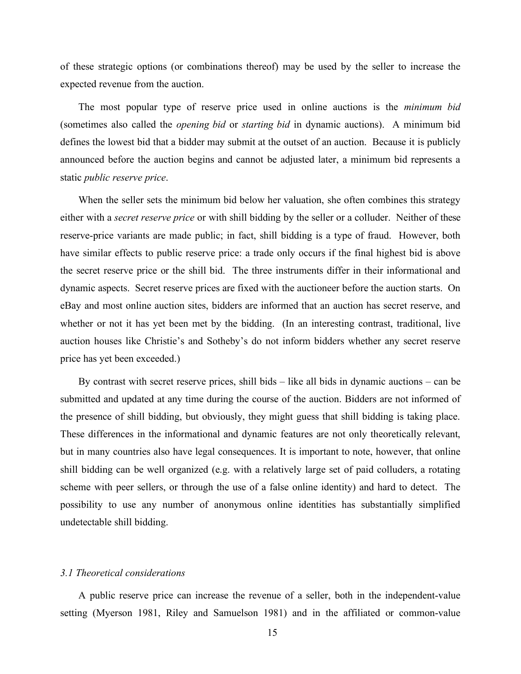of these strategic options (or combinations thereof) may be used by the seller to increase the expected revenue from the auction.

The most popular type of reserve price used in online auctions is the *minimum bid* (sometimes also called the *opening bid* or *starting bid* in dynamic auctions). A minimum bid defines the lowest bid that a bidder may submit at the outset of an auction. Because it is publicly announced before the auction begins and cannot be adjusted later, a minimum bid represents a static *public reserve price*.

When the seller sets the minimum bid below her valuation, she often combines this strategy either with a *secret reserve price* or with shill bidding by the seller or a colluder. Neither of these reserve-price variants are made public; in fact, shill bidding is a type of fraud. However, both have similar effects to public reserve price: a trade only occurs if the final highest bid is above the secret reserve price or the shill bid. The three instruments differ in their informational and dynamic aspects. Secret reserve prices are fixed with the auctioneer before the auction starts. On eBay and most online auction sites, bidders are informed that an auction has secret reserve, and whether or not it has yet been met by the bidding. (In an interesting contrast, traditional, live auction houses like Christie's and Sotheby's do not inform bidders whether any secret reserve price has yet been exceeded.)

By contrast with secret reserve prices, shill bids  $-$  like all bids in dynamic auctions  $-$  can be submitted and updated at any time during the course of the auction. Bidders are not informed of the presence of shill bidding, but obviously, they might guess that shill bidding is taking place. These differences in the informational and dynamic features are not only theoretically relevant, but in many countries also have legal consequences. It is important to note, however, that online shill bidding can be well organized (e.g. with a relatively large set of paid colluders, a rotating scheme with peer sellers, or through the use of a false online identity) and hard to detect. The possibility to use any number of anonymous online identities has substantially simplified undetectable shill bidding.

# *3.1 Theoretical considerations*

A public reserve price can increase the revenue of a seller, both in the independent-value setting (Myerson 1981, Riley and Samuelson 1981) and in the affiliated or common-value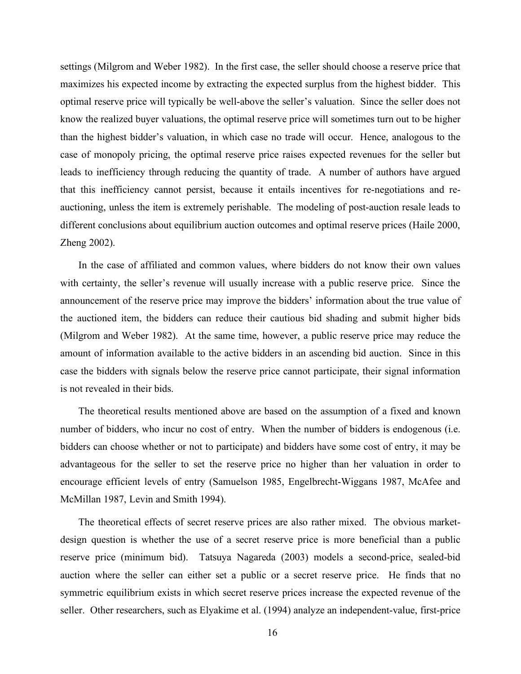settings (Milgrom and Weber 1982). In the first case, the seller should choose a reserve price that maximizes his expected income by extracting the expected surplus from the highest bidder. This optimal reserve price will typically be well-above the seller's valuation. Since the seller does not know the realized buyer valuations, the optimal reserve price will sometimes turn out to be higher than the highest bidder's valuation, in which case no trade will occur. Hence, analogous to the case of monopoly pricing, the optimal reserve price raises expected revenues for the seller but leads to inefficiency through reducing the quantity of trade. A number of authors have argued that this inefficiency cannot persist, because it entails incentives for re-negotiations and reauctioning, unless the item is extremely perishable. The modeling of post-auction resale leads to different conclusions about equilibrium auction outcomes and optimal reserve prices (Haile 2000, Zheng 2002).

In the case of affiliated and common values, where bidders do not know their own values with certainty, the seller's revenue will usually increase with a public reserve price. Since the announcement of the reserve price may improve the bidders' information about the true value of the auctioned item, the bidders can reduce their cautious bid shading and submit higher bids (Milgrom and Weber 1982). At the same time, however, a public reserve price may reduce the amount of information available to the active bidders in an ascending bid auction. Since in this case the bidders with signals below the reserve price cannot participate, their signal information is not revealed in their bids.

The theoretical results mentioned above are based on the assumption of a fixed and known number of bidders, who incur no cost of entry. When the number of bidders is endogenous (i.e. bidders can choose whether or not to participate) and bidders have some cost of entry, it may be advantageous for the seller to set the reserve price no higher than her valuation in order to encourage efficient levels of entry (Samuelson 1985, Engelbrecht-Wiggans 1987, McAfee and McMillan 1987, Levin and Smith 1994).

The theoretical effects of secret reserve prices are also rather mixed. The obvious marketdesign question is whether the use of a secret reserve price is more beneficial than a public reserve price (minimum bid). Tatsuya Nagareda (2003) models a second-price, sealed-bid auction where the seller can either set a public or a secret reserve price. He finds that no symmetric equilibrium exists in which secret reserve prices increase the expected revenue of the seller. Other researchers, such as Elyakime et al. (1994) analyze an independent-value, first-price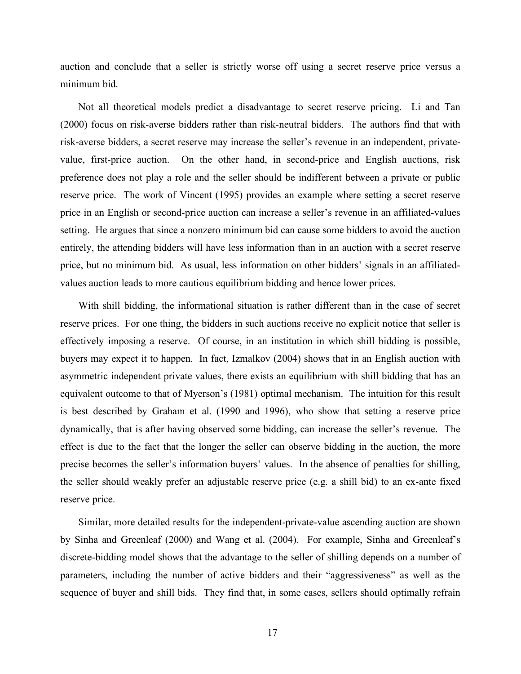auction and conclude that a seller is strictly worse off using a secret reserve price versus a minimum bid.

Not all theoretical models predict a disadvantage to secret reserve pricing. Li and Tan (2000) focus on risk-averse bidders rather than risk-neutral bidders. The authors find that with risk-averse bidders, a secret reserve may increase the seller's revenue in an independent, privatevalue, first-price auction. On the other hand, in second-price and English auctions, risk preference does not play a role and the seller should be indifferent between a private or public reserve price. The work of Vincent (1995) provides an example where setting a secret reserve price in an English or second-price auction can increase a seller's revenue in an affiliated-values setting. He argues that since a nonzero minimum bid can cause some bidders to avoid the auction entirely, the attending bidders will have less information than in an auction with a secret reserve price, but no minimum bid. As usual, less information on other bidders' signals in an affiliatedvalues auction leads to more cautious equilibrium bidding and hence lower prices.

With shill bidding, the informational situation is rather different than in the case of secret reserve prices. For one thing, the bidders in such auctions receive no explicit notice that seller is effectively imposing a reserve. Of course, in an institution in which shill bidding is possible, buyers may expect it to happen. In fact, Izmalkov (2004) shows that in an English auction with asymmetric independent private values, there exists an equilibrium with shill bidding that has an equivalent outcome to that of Myerson's (1981) optimal mechanism. The intuition for this result is best described by Graham et al. (1990 and 1996), who show that setting a reserve price dynamically, that is after having observed some bidding, can increase the seller's revenue. The effect is due to the fact that the longer the seller can observe bidding in the auction, the more precise becomes the seller's information buyers' values. In the absence of penalties for shilling, the seller should weakly prefer an adjustable reserve price (e.g. a shill bid) to an ex-ante fixed reserve price.

Similar, more detailed results for the independent-private-value ascending auction are shown by Sinha and Greenleaf (2000) and Wang et al. (2004). For example, Sinha and Greenleaf's discrete-bidding model shows that the advantage to the seller of shilling depends on a number of parameters, including the number of active bidders and their "aggressiveness" as well as the sequence of buyer and shill bids. They find that, in some cases, sellers should optimally refrain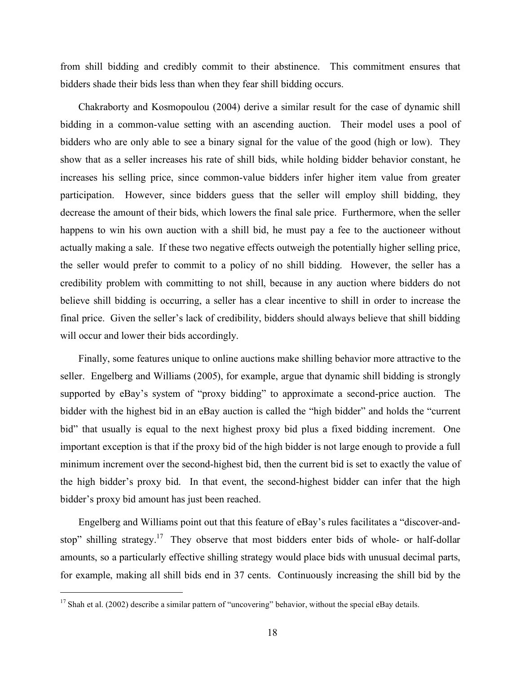from shill bidding and credibly commit to their abstinence. This commitment ensures that bidders shade their bids less than when they fear shill bidding occurs.

Chakraborty and Kosmopoulou (2004) derive a similar result for the case of dynamic shill bidding in a common-value setting with an ascending auction. Their model uses a pool of bidders who are only able to see a binary signal for the value of the good (high or low). They show that as a seller increases his rate of shill bids, while holding bidder behavior constant, he increases his selling price, since common-value bidders infer higher item value from greater participation. However, since bidders guess that the seller will employ shill bidding, they decrease the amount of their bids, which lowers the final sale price. Furthermore, when the seller happens to win his own auction with a shill bid, he must pay a fee to the auctioneer without actually making a sale. If these two negative effects outweigh the potentially higher selling price, the seller would prefer to commit to a policy of no shill bidding. However, the seller has a credibility problem with committing to not shill, because in any auction where bidders do not believe shill bidding is occurring, a seller has a clear incentive to shill in order to increase the final price. Given the seller's lack of credibility, bidders should always believe that shill bidding will occur and lower their bids accordingly.

Finally, some features unique to online auctions make shilling behavior more attractive to the seller. Engelberg and Williams (2005), for example, argue that dynamic shill bidding is strongly supported by eBay's system of "proxy bidding" to approximate a second-price auction. The bidder with the highest bid in an eBay auction is called the "high bidder" and holds the "current bid" that usually is equal to the next highest proxy bid plus a fixed bidding increment. One important exception is that if the proxy bid of the high bidder is not large enough to provide a full minimum increment over the second-highest bid, then the current bid is set to exactly the value of the high bidder's proxy bid. In that event, the second-highest bidder can infer that the high bidder's proxy bid amount has just been reached.

Engelberg and Williams point out that this feature of eBay's rules facilitates a "discover-andstop" shilling strategy.<sup>17</sup> They observe that most bidders enter bids of whole- or half-dollar amounts, so a particularly effective shilling strategy would place bids with unusual decimal parts, for example, making all shill bids end in 37 cents. Continuously increasing the shill bid by the

 $17$  Shah et al. (2002) describe a similar pattern of "uncovering" behavior, without the special eBay details.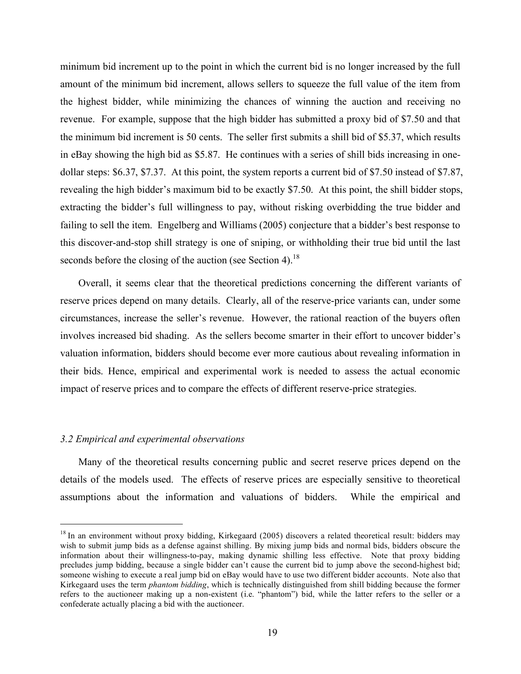minimum bid increment up to the point in which the current bid is no longer increased by the full amount of the minimum bid increment, allows sellers to squeeze the full value of the item from the highest bidder, while minimizing the chances of winning the auction and receiving no revenue. For example, suppose that the high bidder has submitted a proxy bid of \$7.50 and that the minimum bid increment is 50 cents. The seller first submits a shill bid of \$5.37, which results in eBay showing the high bid as \$5.87. He continues with a series of shill bids increasing in onedollar steps: \$6.37, \$7.37. At this point, the system reports a current bid of \$7.50 instead of \$7.87, revealing the high bidder's maximum bid to be exactly \$7.50. At this point, the shill bidder stops, extracting the bidder's full willingness to pay, without risking overbidding the true bidder and failing to sell the item. Engelberg and Williams (2005) conjecture that a bidder's best response to this discover-and-stop shill strategy is one of sniping, or withholding their true bid until the last seconds before the closing of the auction (see Section 4).<sup>18</sup>

Overall, it seems clear that the theoretical predictions concerning the different variants of reserve prices depend on many details. Clearly, all of the reserve-price variants can, under some circumstances, increase the seller's revenue. However, the rational reaction of the buyers often involves increased bid shading. As the sellers become smarter in their effort to uncover bidder's valuation information, bidders should become ever more cautious about revealing information in their bids. Hence, empirical and experimental work is needed to assess the actual economic impact of reserve prices and to compare the effects of different reserve-price strategies.

#### *3.2 Empirical and experimental observations*

-

Many of the theoretical results concerning public and secret reserve prices depend on the details of the models used. The effects of reserve prices are especially sensitive to theoretical assumptions about the information and valuations of bidders. While the empirical and

 $18$  In an environment without proxy bidding, Kirkegaard (2005) discovers a related theoretical result: bidders may wish to submit jump bids as a defense against shilling. By mixing jump bids and normal bids, bidders obscure the information about their willingness-to-pay, making dynamic shilling less effective. Note that proxy bidding precludes jump bidding, because a single bidder can't cause the current bid to jump above the second-highest bid; someone wishing to execute a real jump bid on eBay would have to use two different bidder accounts. Note also that Kirkegaard uses the term *phantom bidding*, which is technically distinguished from shill bidding because the former refers to the auctioneer making up a non-existent (i.e. "phantom") bid, while the latter refers to the seller or a confederate actually placing a bid with the auctioneer.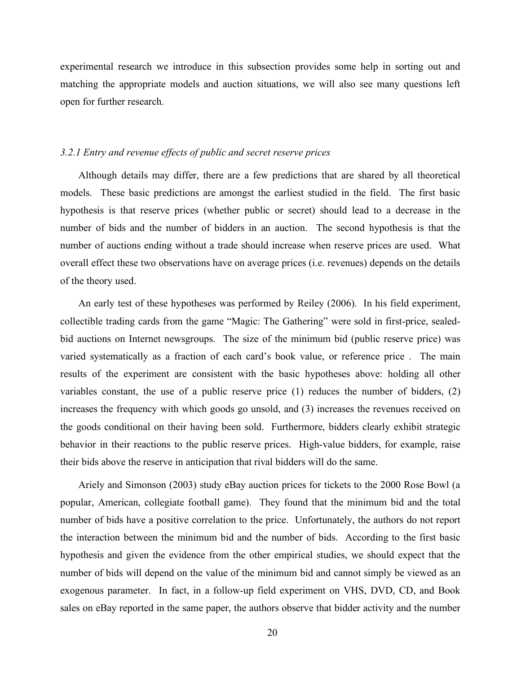experimental research we introduce in this subsection provides some help in sorting out and matching the appropriate models and auction situations, we will also see many questions left open for further research.

# *3.2.1 Entry and revenue effects of public and secret reserve prices*

Although details may differ, there are a few predictions that are shared by all theoretical models. These basic predictions are amongst the earliest studied in the field. The first basic hypothesis is that reserve prices (whether public or secret) should lead to a decrease in the number of bids and the number of bidders in an auction. The second hypothesis is that the number of auctions ending without a trade should increase when reserve prices are used. What overall effect these two observations have on average prices (i.e. revenues) depends on the details of the theory used.

An early test of these hypotheses was performed by Reiley (2006). In his field experiment, collectible trading cards from the game "Magic: The Gathering" were sold in first-price, sealedbid auctions on Internet newsgroups. The size of the minimum bid (public reserve price) was varied systematically as a fraction of each card's book value, or reference price . The main results of the experiment are consistent with the basic hypotheses above: holding all other variables constant, the use of a public reserve price (1) reduces the number of bidders, (2) increases the frequency with which goods go unsold, and (3) increases the revenues received on the goods conditional on their having been sold. Furthermore, bidders clearly exhibit strategic behavior in their reactions to the public reserve prices. High-value bidders, for example, raise their bids above the reserve in anticipation that rival bidders will do the same.

Ariely and Simonson (2003) study eBay auction prices for tickets to the 2000 Rose Bowl (a popular, American, collegiate football game). They found that the minimum bid and the total number of bids have a positive correlation to the price. Unfortunately, the authors do not report the interaction between the minimum bid and the number of bids. According to the first basic hypothesis and given the evidence from the other empirical studies, we should expect that the number of bids will depend on the value of the minimum bid and cannot simply be viewed as an exogenous parameter. In fact, in a follow-up field experiment on VHS, DVD, CD, and Book sales on eBay reported in the same paper, the authors observe that bidder activity and the number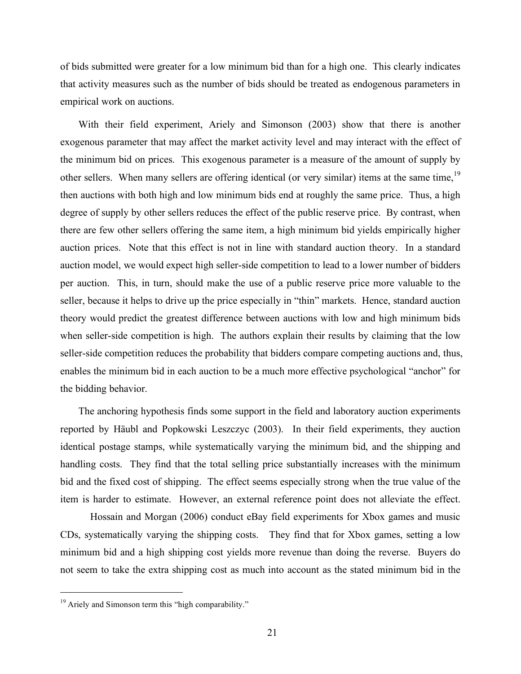of bids submitted were greater for a low minimum bid than for a high one. This clearly indicates that activity measures such as the number of bids should be treated as endogenous parameters in empirical work on auctions.

With their field experiment, Ariely and Simonson (2003) show that there is another exogenous parameter that may affect the market activity level and may interact with the effect of the minimum bid on prices. This exogenous parameter is a measure of the amount of supply by other sellers. When many sellers are offering identical (or very similar) items at the same time, <sup>19</sup> then auctions with both high and low minimum bids end at roughly the same price. Thus, a high degree of supply by other sellers reduces the effect of the public reserve price. By contrast, when there are few other sellers offering the same item, a high minimum bid yields empirically higher auction prices. Note that this effect is not in line with standard auction theory. In a standard auction model, we would expect high seller-side competition to lead to a lower number of bidders per auction. This, in turn, should make the use of a public reserve price more valuable to the seller, because it helps to drive up the price especially in "thin" markets. Hence, standard auction theory would predict the greatest difference between auctions with low and high minimum bids when seller-side competition is high. The authors explain their results by claiming that the low seller-side competition reduces the probability that bidders compare competing auctions and, thus, enables the minimum bid in each auction to be a much more effective psychological "anchor" for the bidding behavior.

The anchoring hypothesis finds some support in the field and laboratory auction experiments reported by Häubl and Popkowski Leszczyc (2003). In their field experiments, they auction identical postage stamps, while systematically varying the minimum bid, and the shipping and handling costs. They find that the total selling price substantially increases with the minimum bid and the fixed cost of shipping. The effect seems especially strong when the true value of the item is harder to estimate. However, an external reference point does not alleviate the effect.

Hossain and Morgan (2006) conduct eBay field experiments for Xbox games and music CDs, systematically varying the shipping costs. They find that for Xbox games, setting a low minimum bid and a high shipping cost yields more revenue than doing the reverse. Buyers do not seem to take the extra shipping cost as much into account as the stated minimum bid in the

<sup>&</sup>lt;sup>19</sup> Ariely and Simonson term this "high comparability."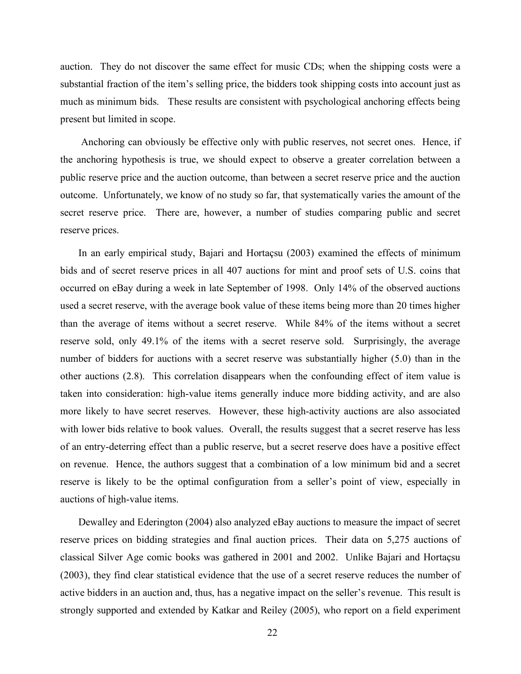auction. They do not discover the same effect for music CDs; when the shipping costs were a substantial fraction of the item's selling price, the bidders took shipping costs into account just as much as minimum bids. These results are consistent with psychological anchoring effects being present but limited in scope.

Anchoring can obviously be effective only with public reserves, not secret ones. Hence, if the anchoring hypothesis is true, we should expect to observe a greater correlation between a public reserve price and the auction outcome, than between a secret reserve price and the auction outcome. Unfortunately, we know of no study so far, that systematically varies the amount of the secret reserve price. There are, however, a number of studies comparing public and secret reserve prices.

In an early empirical study, Bajari and Hortaçsu (2003) examined the effects of minimum bids and of secret reserve prices in all 407 auctions for mint and proof sets of U.S. coins that occurred on eBay during a week in late September of 1998. Only 14% of the observed auctions used a secret reserve, with the average book value of these items being more than 20 times higher than the average of items without a secret reserve. While 84% of the items without a secret reserve sold, only 49.1% of the items with a secret reserve sold. Surprisingly, the average number of bidders for auctions with a secret reserve was substantially higher (5.0) than in the other auctions (2.8). This correlation disappears when the confounding effect of item value is taken into consideration: high-value items generally induce more bidding activity, and are also more likely to have secret reserves. However, these high-activity auctions are also associated with lower bids relative to book values. Overall, the results suggest that a secret reserve has less of an entry-deterring effect than a public reserve, but a secret reserve does have a positive effect on revenue. Hence, the authors suggest that a combination of a low minimum bid and a secret reserve is likely to be the optimal configuration from a seller's point of view, especially in auctions of high-value items.

Dewalley and Ederington (2004) also analyzed eBay auctions to measure the impact of secret reserve prices on bidding strategies and final auction prices. Their data on 5,275 auctions of classical Silver Age comic books was gathered in 2001 and 2002. Unlike Bajari and Hortaçsu (2003), they find clear statistical evidence that the use of a secret reserve reduces the number of active bidders in an auction and, thus, has a negative impact on the seller's revenue. This result is strongly supported and extended by Katkar and Reiley (2005), who report on a field experiment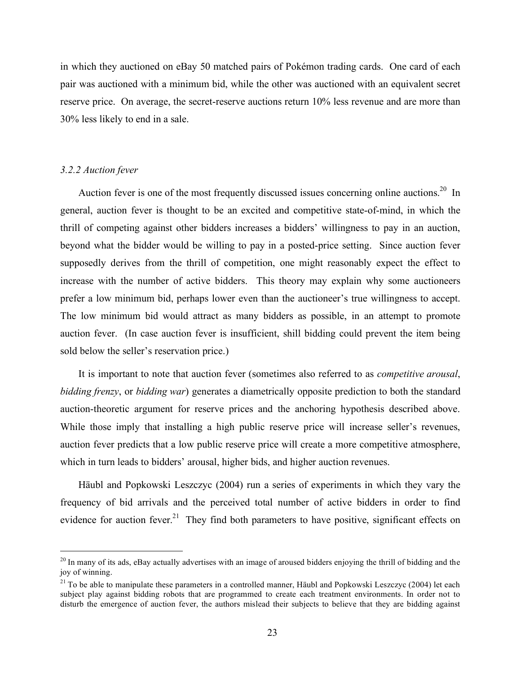in which they auctioned on eBay 50 matched pairs of Pokémon trading cards. One card of each pair was auctioned with a minimum bid, while the other was auctioned with an equivalent secret reserve price. On average, the secret-reserve auctions return 10% less revenue and are more than 30% less likely to end in a sale.

## *3.2.2 Auction fever*

Auction fever is one of the most frequently discussed issues concerning online auctions.<sup>20</sup> In general, auction fever is thought to be an excited and competitive state-of-mind, in which the thrill of competing against other bidders increases a bidders' willingness to pay in an auction, beyond what the bidder would be willing to pay in a posted-price setting. Since auction fever supposedly derives from the thrill of competition, one might reasonably expect the effect to increase with the number of active bidders. This theory may explain why some auctioneers prefer a low minimum bid, perhaps lower even than the auctioneer's true willingness to accept. The low minimum bid would attract as many bidders as possible, in an attempt to promote auction fever. (In case auction fever is insufficient, shill bidding could prevent the item being sold below the seller's reservation price.)

It is important to note that auction fever (sometimes also referred to as *competitive arousal*, *bidding frenzy*, or *bidding war*) generates a diametrically opposite prediction to both the standard auction-theoretic argument for reserve prices and the anchoring hypothesis described above. While those imply that installing a high public reserve price will increase seller's revenues, auction fever predicts that a low public reserve price will create a more competitive atmosphere, which in turn leads to bidders' arousal, higher bids, and higher auction revenues.

Häubl and Popkowski Leszczyc (2004) run a series of experiments in which they vary the frequency of bid arrivals and the perceived total number of active bidders in order to find evidence for auction fever.<sup>21</sup> They find both parameters to have positive, significant effects on

 $20$  In many of its ads, eBay actually advertises with an image of aroused bidders enjoying the thrill of bidding and the joy of winning.

 $21$  To be able to manipulate these parameters in a controlled manner, Häubl and Popkowski Leszczyc (2004) let each subject play against bidding robots that are programmed to create each treatment environments. In order not to disturb the emergence of auction fever, the authors mislead their subjects to believe that they are bidding against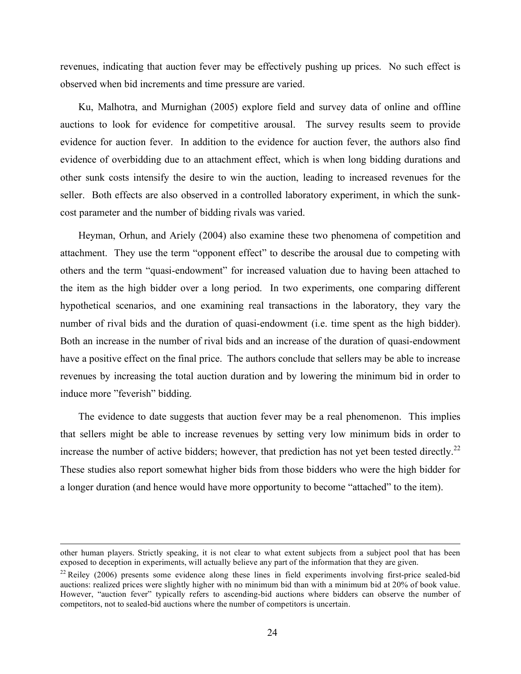revenues, indicating that auction fever may be effectively pushing up prices. No such effect is observed when bid increments and time pressure are varied.

Ku, Malhotra, and Murnighan (2005) explore field and survey data of online and offline auctions to look for evidence for competitive arousal. The survey results seem to provide evidence for auction fever. In addition to the evidence for auction fever, the authors also find evidence of overbidding due to an attachment effect, which is when long bidding durations and other sunk costs intensify the desire to win the auction, leading to increased revenues for the seller. Both effects are also observed in a controlled laboratory experiment, in which the sunkcost parameter and the number of bidding rivals was varied.

Heyman, Orhun, and Ariely (2004) also examine these two phenomena of competition and attachment. They use the term "opponent effect" to describe the arousal due to competing with others and the term "quasi-endowment" for increased valuation due to having been attached to the item as the high bidder over a long period. In two experiments, one comparing different hypothetical scenarios, and one examining real transactions in the laboratory, they vary the number of rival bids and the duration of quasi-endowment (i.e. time spent as the high bidder). Both an increase in the number of rival bids and an increase of the duration of quasi-endowment have a positive effect on the final price. The authors conclude that sellers may be able to increase revenues by increasing the total auction duration and by lowering the minimum bid in order to induce more "feverish" bidding.

The evidence to date suggests that auction fever may be a real phenomenon. This implies that sellers might be able to increase revenues by setting very low minimum bids in order to increase the number of active bidders; however, that prediction has not yet been tested directly.<sup>22</sup> These studies also report somewhat higher bids from those bidders who were the high bidder for a longer duration (and hence would have more opportunity to become "attached" to the item).

other human players. Strictly speaking, it is not clear to what extent subjects from a subject pool that has been exposed to deception in experiments, will actually believe any part of the information that they are given.

 $^{22}$  Reiley (2006) presents some evidence along these lines in field experiments involving first-price sealed-bid auctions: realized prices were slightly higher with no minimum bid than with a minimum bid at 20% of book value. However, "auction fever" typically refers to ascending-bid auctions where bidders can observe the number of competitors, not to sealed-bid auctions where the number of competitors is uncertain.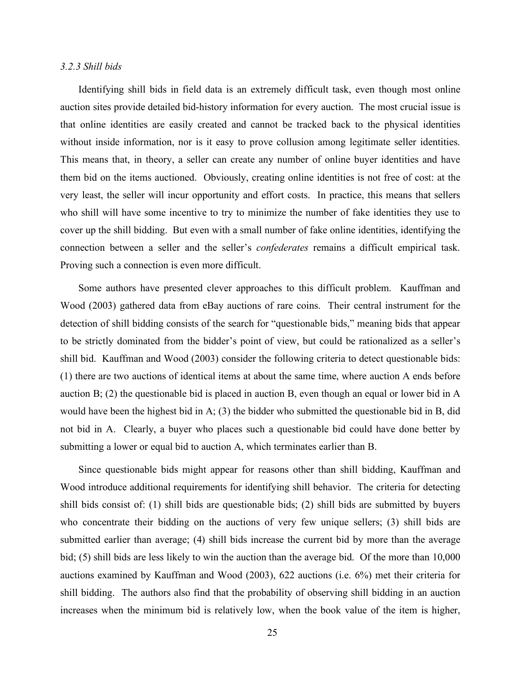# *3.2.3 Shill bids*

Identifying shill bids in field data is an extremely difficult task, even though most online auction sites provide detailed bid-history information for every auction. The most crucial issue is that online identities are easily created and cannot be tracked back to the physical identities without inside information, nor is it easy to prove collusion among legitimate seller identities. This means that, in theory, a seller can create any number of online buyer identities and have them bid on the items auctioned. Obviously, creating online identities is not free of cost: at the very least, the seller will incur opportunity and effort costs. In practice, this means that sellers who shill will have some incentive to try to minimize the number of fake identities they use to cover up the shill bidding. But even with a small number of fake online identities, identifying the connection between a seller and the seller's *confederates* remains a difficult empirical task. Proving such a connection is even more difficult.

Some authors have presented clever approaches to this difficult problem. Kauffman and Wood (2003) gathered data from eBay auctions of rare coins. Their central instrument for the detection of shill bidding consists of the search for "questionable bids," meaning bids that appear to be strictly dominated from the bidder's point of view, but could be rationalized as a seller's shill bid. Kauffman and Wood (2003) consider the following criteria to detect questionable bids: (1) there are two auctions of identical items at about the same time, where auction A ends before auction B; (2) the questionable bid is placed in auction B, even though an equal or lower bid in A would have been the highest bid in A; (3) the bidder who submitted the questionable bid in B, did not bid in A. Clearly, a buyer who places such a questionable bid could have done better by submitting a lower or equal bid to auction A, which terminates earlier than B.

Since questionable bids might appear for reasons other than shill bidding, Kauffman and Wood introduce additional requirements for identifying shill behavior. The criteria for detecting shill bids consist of: (1) shill bids are questionable bids; (2) shill bids are submitted by buyers who concentrate their bidding on the auctions of very few unique sellers; (3) shill bids are submitted earlier than average; (4) shill bids increase the current bid by more than the average bid; (5) shill bids are less likely to win the auction than the average bid. Of the more than 10,000 auctions examined by Kauffman and Wood (2003), 622 auctions (i.e. 6%) met their criteria for shill bidding. The authors also find that the probability of observing shill bidding in an auction increases when the minimum bid is relatively low, when the book value of the item is higher,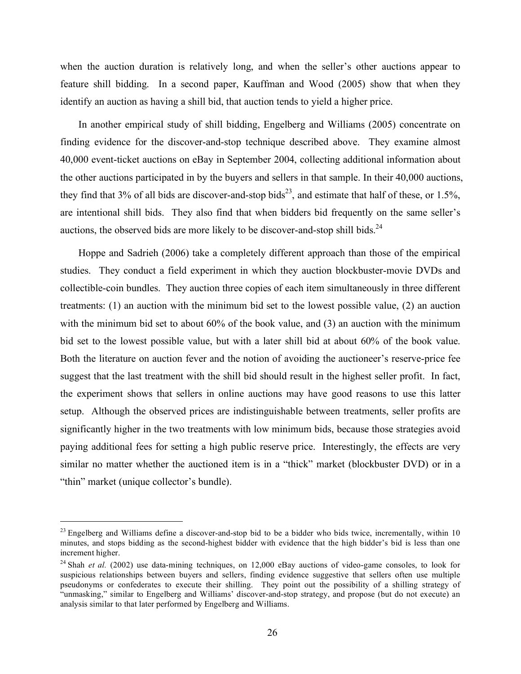when the auction duration is relatively long, and when the seller's other auctions appear to feature shill bidding. In a second paper, Kauffman and Wood (2005) show that when they identify an auction as having a shill bid, that auction tends to yield a higher price.

In another empirical study of shill bidding, Engelberg and Williams (2005) concentrate on finding evidence for the discover-and-stop technique described above. They examine almost 40,000 event-ticket auctions on eBay in September 2004, collecting additional information about the other auctions participated in by the buyers and sellers in that sample. In their 40,000 auctions, they find that 3% of all bids are discover-and-stop bids<sup>23</sup>, and estimate that half of these, or 1.5%, are intentional shill bids. They also find that when bidders bid frequently on the same seller's auctions, the observed bids are more likely to be discover-and-stop shill bids.<sup>24</sup>

Hoppe and Sadrieh (2006) take a completely different approach than those of the empirical studies. They conduct a field experiment in which they auction blockbuster-movie DVDs and collectible-coin bundles. They auction three copies of each item simultaneously in three different treatments: (1) an auction with the minimum bid set to the lowest possible value, (2) an auction with the minimum bid set to about 60% of the book value, and (3) an auction with the minimum bid set to the lowest possible value, but with a later shill bid at about 60% of the book value. Both the literature on auction fever and the notion of avoiding the auctioneer's reserve-price fee suggest that the last treatment with the shill bid should result in the highest seller profit. In fact, the experiment shows that sellers in online auctions may have good reasons to use this latter setup. Although the observed prices are indistinguishable between treatments, seller profits are significantly higher in the two treatments with low minimum bids, because those strategies avoid paying additional fees for setting a high public reserve price. Interestingly, the effects are very similar no matter whether the auctioned item is in a "thick" market (blockbuster DVD) or in a "thin" market (unique collector's bundle).

 $23$  Engelberg and Williams define a discover-and-stop bid to be a bidder who bids twice, incrementally, within 10 minutes, and stops bidding as the second-highest bidder with evidence that the high bidder's bid is less than one increment higher.

<sup>&</sup>lt;sup>24</sup> Shah *et al.* (2002) use data-mining techniques, on 12,000 eBay auctions of video-game consoles, to look for suspicious relationships between buyers and sellers, finding evidence suggestive that sellers often use multiple pseudonyms or confederates to execute their shilling. They point out the possibility of a shilling strategy of "unmasking," similar to Engelberg and Williams' discover-and-stop strategy, and propose (but do not execute) an analysis similar to that later performed by Engelberg and Williams.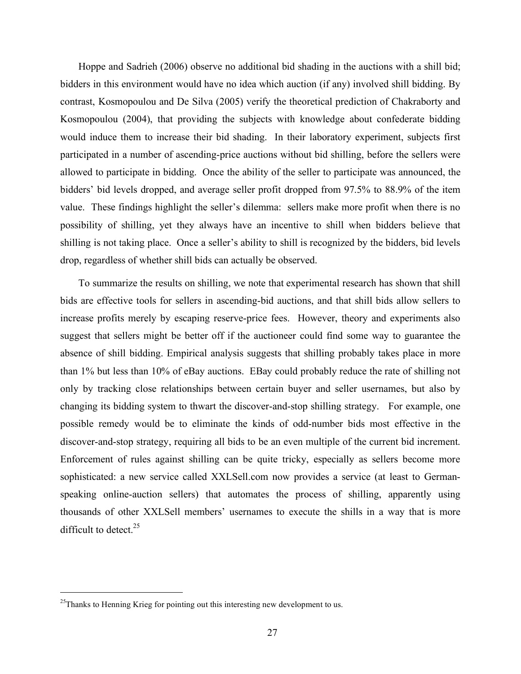Hoppe and Sadrieh (2006) observe no additional bid shading in the auctions with a shill bid; bidders in this environment would have no idea which auction (if any) involved shill bidding. By contrast, Kosmopoulou and De Silva (2005) verify the theoretical prediction of Chakraborty and Kosmopoulou (2004), that providing the subjects with knowledge about confederate bidding would induce them to increase their bid shading. In their laboratory experiment, subjects first participated in a number of ascending-price auctions without bid shilling, before the sellers were allowed to participate in bidding. Once the ability of the seller to participate was announced, the bidders' bid levels dropped, and average seller profit dropped from 97.5% to 88.9% of the item value. These findings highlight the seller's dilemma: sellers make more profit when there is no possibility of shilling, yet they always have an incentive to shill when bidders believe that shilling is not taking place. Once a seller's ability to shill is recognized by the bidders, bid levels drop, regardless of whether shill bids can actually be observed.

To summarize the results on shilling, we note that experimental research has shown that shill bids are effective tools for sellers in ascending-bid auctions, and that shill bids allow sellers to increase profits merely by escaping reserve-price fees. However, theory and experiments also suggest that sellers might be better off if the auctioneer could find some way to guarantee the absence of shill bidding. Empirical analysis suggests that shilling probably takes place in more than 1% but less than 10% of eBay auctions. EBay could probably reduce the rate of shilling not only by tracking close relationships between certain buyer and seller usernames, but also by changing its bidding system to thwart the discover-and-stop shilling strategy. For example, one possible remedy would be to eliminate the kinds of odd-number bids most effective in the discover-and-stop strategy, requiring all bids to be an even multiple of the current bid increment. Enforcement of rules against shilling can be quite tricky, especially as sellers become more sophisticated: a new service called XXLSell.com now provides a service (at least to Germanspeaking online-auction sellers) that automates the process of shilling, apparently using thousands of other XXLSell members' usernames to execute the shills in a way that is more difficult to detect.<sup>25</sup>

 $25$ Thanks to Henning Krieg for pointing out this interesting new development to us.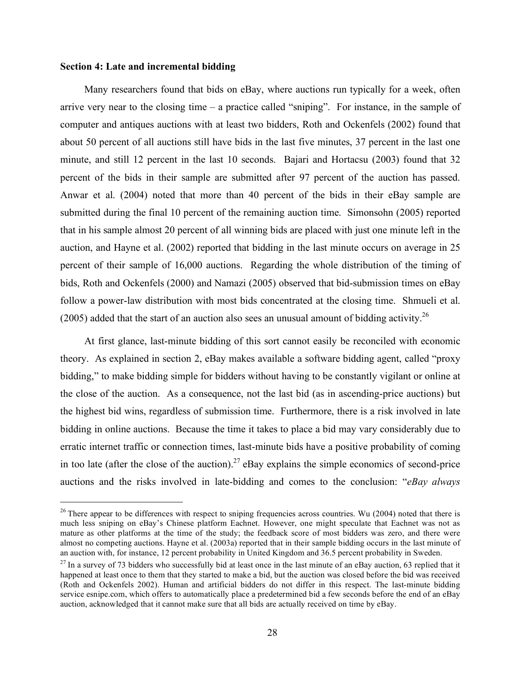## **Section 4: Late and incremental bidding**

1

Many researchers found that bids on eBay, where auctions run typically for a week, often arrive very near to the closing time – a practice called "sniping". For instance, in the sample of computer and antiques auctions with at least two bidders, Roth and Ockenfels (2002) found that about 50 percent of all auctions still have bids in the last five minutes, 37 percent in the last one minute, and still 12 percent in the last 10 seconds. Bajari and Hortacsu (2003) found that 32 percent of the bids in their sample are submitted after 97 percent of the auction has passed. Anwar et al. (2004) noted that more than 40 percent of the bids in their eBay sample are submitted during the final 10 percent of the remaining auction time. Simonsohn (2005) reported that in his sample almost 20 percent of all winning bids are placed with just one minute left in the auction, and Hayne et al. (2002) reported that bidding in the last minute occurs on average in 25 percent of their sample of 16,000 auctions. Regarding the whole distribution of the timing of bids, Roth and Ockenfels (2000) and Namazi (2005) observed that bid-submission times on eBay follow a power-law distribution with most bids concentrated at the closing time. Shmueli et al. (2005) added that the start of an auction also sees an unusual amount of bidding activity.<sup>26</sup>

At first glance, last-minute bidding of this sort cannot easily be reconciled with economic theory. As explained in section 2, eBay makes available a software bidding agent, called "proxy bidding," to make bidding simple for bidders without having to be constantly vigilant or online at the close of the auction. As a consequence, not the last bid (as in ascending-price auctions) but the highest bid wins, regardless of submission time. Furthermore, there is a risk involved in late bidding in online auctions. Because the time it takes to place a bid may vary considerably due to erratic internet traffic or connection times, last-minute bids have a positive probability of coming in too late (after the close of the auction).<sup>27</sup> eBay explains the simple economics of second-price auctions and the risks involved in late-bidding and comes to the conclusion: "*eBay always*

 $26$  There appear to be differences with respect to sniping frequencies across countries. Wu (2004) noted that there is much less sniping on eBay's Chinese platform Eachnet. However, one might speculate that Eachnet was not as mature as other platforms at the time of the study; the feedback score of most bidders was zero, and there were almost no competing auctions. Hayne et al. (2003a) reported that in their sample bidding occurs in the last minute of an auction with, for instance, 12 percent probability in United Kingdom and 36.5 percent probability in Sweden.

 $27$  In a survey of 73 bidders who successfully bid at least once in the last minute of an eBay auction, 63 replied that it happened at least once to them that they started to make a bid, but the auction was closed before the bid was received (Roth and Ockenfels 2002). Human and artificial bidders do not differ in this respect. The last-minute bidding service esnipe.com, which offers to automatically place a predetermined bid a few seconds before the end of an eBay auction, acknowledged that it cannot make sure that all bids are actually received on time by eBay.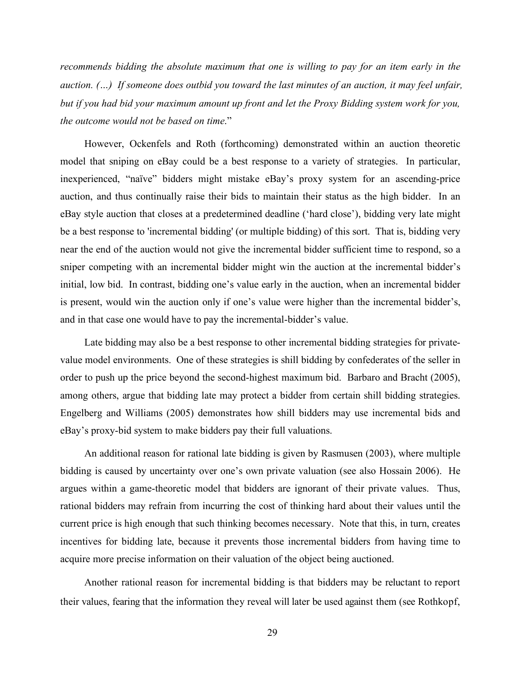*recommends bidding the absolute maximum that one is willing to pay for an item early in the auction. (…) If someone does outbid you toward the last minutes of an auction, it may feel unfair, but if you had bid your maximum amount up front and let the Proxy Bidding system work for you, the outcome would not be based on time*."

However, Ockenfels and Roth (forthcoming) demonstrated within an auction theoretic model that sniping on eBay could be a best response to a variety of strategies. In particular, inexperienced, "naïve" bidders might mistake eBay's proxy system for an ascending-price auction, and thus continually raise their bids to maintain their status as the high bidder. In an eBay style auction that closes at a predetermined deadline ('hard close'), bidding very late might be a best response to 'incremental bidding' (or multiple bidding) of this sort. That is, bidding very near the end of the auction would not give the incremental bidder sufficient time to respond, so a sniper competing with an incremental bidder might win the auction at the incremental bidder's initial, low bid. In contrast, bidding one's value early in the auction, when an incremental bidder is present, would win the auction only if one's value were higher than the incremental bidder's, and in that case one would have to pay the incremental-bidder's value.

Late bidding may also be a best response to other incremental bidding strategies for privatevalue model environments. One of these strategies is shill bidding by confederates of the seller in order to push up the price beyond the second-highest maximum bid. Barbaro and Bracht (2005), among others, argue that bidding late may protect a bidder from certain shill bidding strategies. Engelberg and Williams (2005) demonstrates how shill bidders may use incremental bids and eBay's proxy-bid system to make bidders pay their full valuations.

An additional reason for rational late bidding is given by Rasmusen (2003), where multiple bidding is caused by uncertainty over one's own private valuation (see also Hossain 2006). He argues within a game-theoretic model that bidders are ignorant of their private values. Thus, rational bidders may refrain from incurring the cost of thinking hard about their values until the current price is high enough that such thinking becomes necessary. Note that this, in turn, creates incentives for bidding late, because it prevents those incremental bidders from having time to acquire more precise information on their valuation of the object being auctioned.

Another rational reason for incremental bidding is that bidders may be reluctant to report their values, fearing that the information they reveal will later be used against them (see Rothkopf,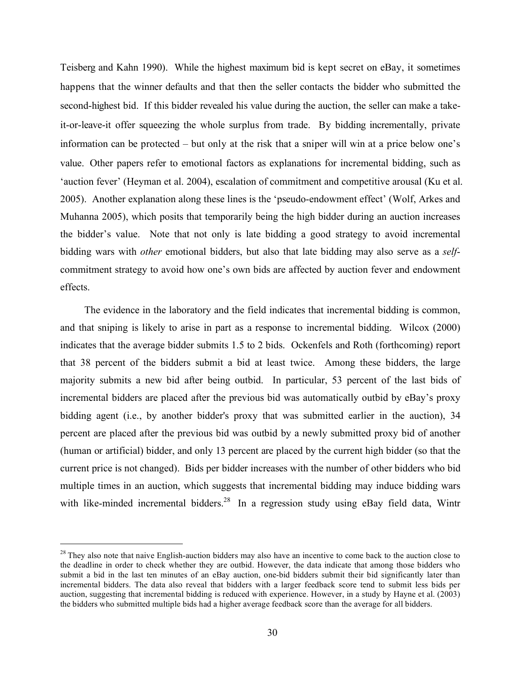Teisberg and Kahn 1990). While the highest maximum bid is kept secret on eBay, it sometimes happens that the winner defaults and that then the seller contacts the bidder who submitted the second-highest bid. If this bidder revealed his value during the auction, the seller can make a takeit-or-leave-it offer squeezing the whole surplus from trade. By bidding incrementally, private information can be protected – but only at the risk that a sniper will win at a price below one's value. Other papers refer to emotional factors as explanations for incremental bidding, such as 'auction fever' (Heyman et al. 2004), escalation of commitment and competitive arousal (Ku et al. 2005). Another explanation along these lines is the 'pseudo-endowment effect' (Wolf, Arkes and Muhanna 2005), which posits that temporarily being the high bidder during an auction increases the bidder's value. Note that not only is late bidding a good strategy to avoid incremental bidding wars with *other* emotional bidders, but also that late bidding may also serve as a *self*commitment strategy to avoid how one's own bids are affected by auction fever and endowment effects.

The evidence in the laboratory and the field indicates that incremental bidding is common, and that sniping is likely to arise in part as a response to incremental bidding. Wilcox (2000) indicates that the average bidder submits 1.5 to 2 bids. Ockenfels and Roth (forthcoming) report that 38 percent of the bidders submit a bid at least twice. Among these bidders, the large majority submits a new bid after being outbid. In particular, 53 percent of the last bids of incremental bidders are placed after the previous bid was automatically outbid by eBay's proxy bidding agent (i.e., by another bidder's proxy that was submitted earlier in the auction), 34 percent are placed after the previous bid was outbid by a newly submitted proxy bid of another (human or artificial) bidder, and only 13 percent are placed by the current high bidder (so that the current price is not changed). Bids per bidder increases with the number of other bidders who bid multiple times in an auction, which suggests that incremental bidding may induce bidding wars with like-minded incremental bidders.<sup>28</sup> In a regression study using eBay field data, Wintr

<sup>&</sup>lt;sup>28</sup> They also note that naive English-auction bidders may also have an incentive to come back to the auction close to the deadline in order to check whether they are outbid. However, the data indicate that among those bidders who submit a bid in the last ten minutes of an eBay auction, one-bid bidders submit their bid significantly later than incremental bidders. The data also reveal that bidders with a larger feedback score tend to submit less bids per auction, suggesting that incremental bidding is reduced with experience. However, in a study by Hayne et al. (2003) the bidders who submitted multiple bids had a higher average feedback score than the average for all bidders.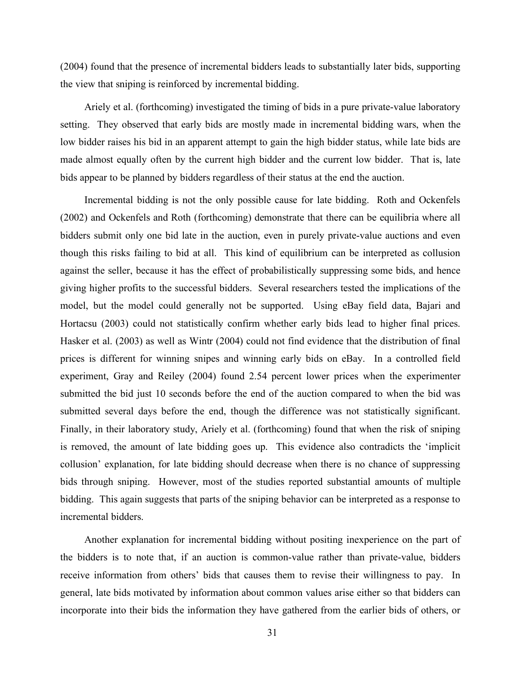(2004) found that the presence of incremental bidders leads to substantially later bids, supporting the view that sniping is reinforced by incremental bidding.

Ariely et al. (forthcoming) investigated the timing of bids in a pure private-value laboratory setting. They observed that early bids are mostly made in incremental bidding wars, when the low bidder raises his bid in an apparent attempt to gain the high bidder status, while late bids are made almost equally often by the current high bidder and the current low bidder. That is, late bids appear to be planned by bidders regardless of their status at the end the auction.

Incremental bidding is not the only possible cause for late bidding. Roth and Ockenfels (2002) and Ockenfels and Roth (forthcoming) demonstrate that there can be equilibria where all bidders submit only one bid late in the auction, even in purely private-value auctions and even though this risks failing to bid at all. This kind of equilibrium can be interpreted as collusion against the seller, because it has the effect of probabilistically suppressing some bids, and hence giving higher profits to the successful bidders. Several researchers tested the implications of the model, but the model could generally not be supported. Using eBay field data, Bajari and Hortacsu (2003) could not statistically confirm whether early bids lead to higher final prices. Hasker et al. (2003) as well as Wintr (2004) could not find evidence that the distribution of final prices is different for winning snipes and winning early bids on eBay. In a controlled field experiment, Gray and Reiley (2004) found 2.54 percent lower prices when the experimenter submitted the bid just 10 seconds before the end of the auction compared to when the bid was submitted several days before the end, though the difference was not statistically significant. Finally, in their laboratory study, Ariely et al. (forthcoming) found that when the risk of sniping is removed, the amount of late bidding goes up. This evidence also contradicts the 'implicit collusion' explanation, for late bidding should decrease when there is no chance of suppressing bids through sniping. However, most of the studies reported substantial amounts of multiple bidding. This again suggests that parts of the sniping behavior can be interpreted as a response to incremental bidders.

Another explanation for incremental bidding without positing inexperience on the part of the bidders is to note that, if an auction is common-value rather than private-value, bidders receive information from others' bids that causes them to revise their willingness to pay. In general, late bids motivated by information about common values arise either so that bidders can incorporate into their bids the information they have gathered from the earlier bids of others, or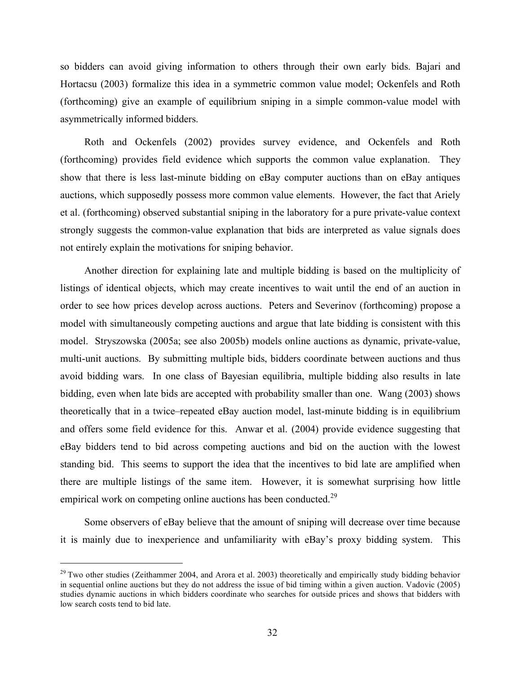so bidders can avoid giving information to others through their own early bids. Bajari and Hortacsu (2003) formalize this idea in a symmetric common value model; Ockenfels and Roth (forthcoming) give an example of equilibrium sniping in a simple common-value model with asymmetrically informed bidders.

Roth and Ockenfels (2002) provides survey evidence, and Ockenfels and Roth (forthcoming) provides field evidence which supports the common value explanation. They show that there is less last-minute bidding on eBay computer auctions than on eBay antiques auctions, which supposedly possess more common value elements. However, the fact that Ariely et al. (forthcoming) observed substantial sniping in the laboratory for a pure private-value context strongly suggests the common-value explanation that bids are interpreted as value signals does not entirely explain the motivations for sniping behavior.

Another direction for explaining late and multiple bidding is based on the multiplicity of listings of identical objects, which may create incentives to wait until the end of an auction in order to see how prices develop across auctions. Peters and Severinov (forthcoming) propose a model with simultaneously competing auctions and argue that late bidding is consistent with this model. Stryszowska (2005a; see also 2005b) models online auctions as dynamic, private-value, multi-unit auctions. By submitting multiple bids, bidders coordinate between auctions and thus avoid bidding wars. In one class of Bayesian equilibria, multiple bidding also results in late bidding, even when late bids are accepted with probability smaller than one. Wang (2003) shows theoretically that in a twice–repeated eBay auction model, last-minute bidding is in equilibrium and offers some field evidence for this. Anwar et al. (2004) provide evidence suggesting that eBay bidders tend to bid across competing auctions and bid on the auction with the lowest standing bid. This seems to support the idea that the incentives to bid late are amplified when there are multiple listings of the same item. However, it is somewhat surprising how little empirical work on competing online auctions has been conducted.<sup>29</sup>

Some observers of eBay believe that the amount of sniping will decrease over time because it is mainly due to inexperience and unfamiliarity with eBay's proxy bidding system. This

<sup>&</sup>lt;sup>29</sup> Two other studies (Zeithammer 2004, and Arora et al. 2003) theoretically and empirically study bidding behavior in sequential online auctions but they do not address the issue of bid timing within a given auction. Vadovic (2005) studies dynamic auctions in which bidders coordinate who searches for outside prices and shows that bidders with low search costs tend to bid late.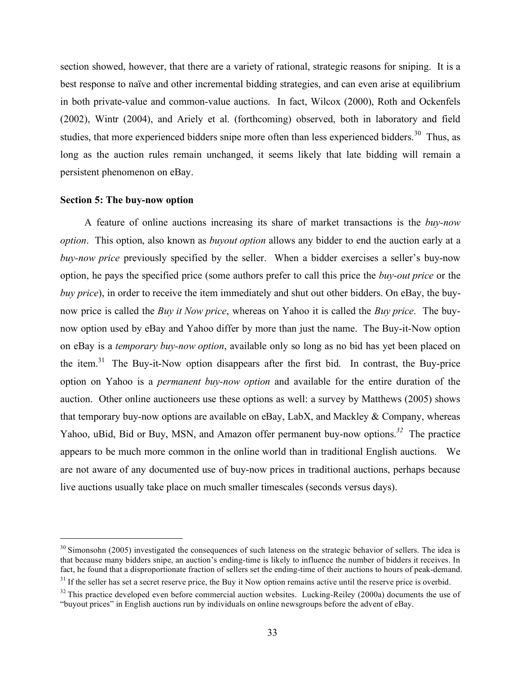section showed, however, that there are a variety of rational, strategic reasons for sniping. It is a best response to naïve and other incremental bidding strategies, and can even arise at equilibrium in both private-value and common-value auctions. In fact, Wilcox (2000), Roth and Ockenfels (2002), Wintr (2004), and Ariely et al. (forthcoming) observed, both in laboratory and field studies, that more experienced bidders snipe more often than less experienced bidders.<sup>30</sup> Thus, as long as the auction rules remain unchanged, it seems likely that late bidding will remain a persistent phenomenon on eBay.

# **Section 5: The buy-now option**

1

A feature of online auctions increasing its share of market transactions is the *buy-now option*. This option, also known as *buyout option* allows any bidder to end the auction early at a *buy-now price* previously specified by the seller. When a bidder exercises a seller's buy-now option, he pays the specified price (some authors prefer to call this price the *buy-out price* or the *buy price*), in order to receive the item immediately and shut out other bidders. On eBay, the buynow price is called the *Buy it Now price*, whereas on Yahoo it is called the *Buy price*. The buynow option used by eBay and Yahoo differ by more than just the name. The Buy-it-Now option on eBay is a *temporary buy-now option*, available only so long as no bid has yet been placed on the item.<sup>31</sup> The Buy-it-Now option disappears after the first bid. In contrast, the Buy-price option on Yahoo is a *permanent buy-now option* and available for the entire duration of the auction. Other online auctioneers use these options as well: a survey by Matthews (2005) shows that temporary buy-now options are available on eBay, LabX, and Mackley & Company, whereas Yahoo, uBid, Bid or Buy, MSN, and Amazon offer permanent buy-now options. *<sup>32</sup>* The practice appears to be much more common in the online world than in traditional English auctions. We are not aware of any documented use of buy-now prices in traditional auctions, perhaps because live auctions usually take place on much smaller timescales (seconds versus days).

<sup>&</sup>lt;sup>30</sup> Simonsohn (2005) investigated the consequences of such lateness on the strategic behavior of sellers. The idea is that because many bidders snipe, an auction's ending-time is likely to influence the number of bidders it receives. In fact, he found that a disproportionate fraction of sellers set the ending-time of their auctions to hours of peak-demand.

 $31$  If the seller has set a secret reserve price, the Buy it Now option remains active until the reserve price is overbid.

 $32$  This practice developed even before commercial auction websites. Lucking-Reiley (2000a) documents the use of "buyout prices" in English auctions run by individuals on online newsgroups before the advent of eBay.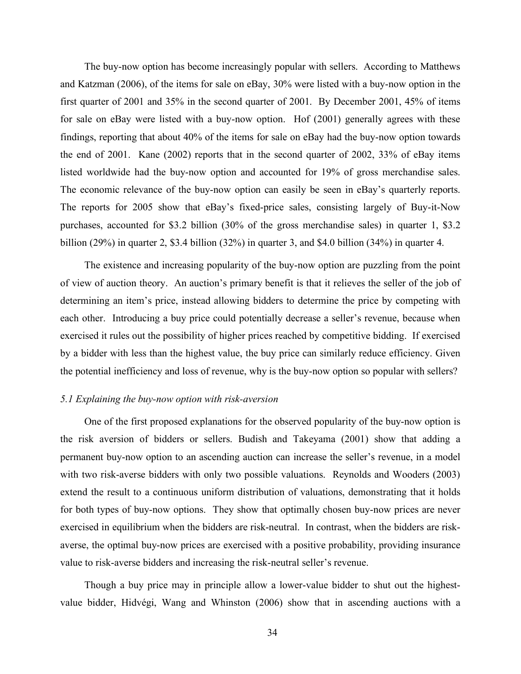The buy-now option has become increasingly popular with sellers. According to Matthews and Katzman (2006), of the items for sale on eBay, 30% were listed with a buy-now option in the first quarter of 2001 and 35% in the second quarter of 2001. By December 2001, 45% of items for sale on eBay were listed with a buy-now option. Hof (2001) generally agrees with these findings, reporting that about 40% of the items for sale on eBay had the buy-now option towards the end of 2001. Kane (2002) reports that in the second quarter of 2002, 33% of eBay items listed worldwide had the buy-now option and accounted for 19% of gross merchandise sales. The economic relevance of the buy-now option can easily be seen in eBay's quarterly reports. The reports for 2005 show that eBay's fixed-price sales, consisting largely of Buy-it-Now purchases, accounted for \$3.2 billion (30% of the gross merchandise sales) in quarter 1, \$3.2 billion (29%) in quarter 2, \$3.4 billion (32%) in quarter 3, and \$4.0 billion (34%) in quarter 4.

The existence and increasing popularity of the buy-now option are puzzling from the point of view of auction theory. An auction's primary benefit is that it relieves the seller of the job of determining an item's price, instead allowing bidders to determine the price by competing with each other. Introducing a buy price could potentially decrease a seller's revenue, because when exercised it rules out the possibility of higher prices reached by competitive bidding. If exercised by a bidder with less than the highest value, the buy price can similarly reduce efficiency. Given the potential inefficiency and loss of revenue, why is the buy-now option so popular with sellers?

# *5.1 Explaining the buy-now option with risk-aversion*

One of the first proposed explanations for the observed popularity of the buy-now option is the risk aversion of bidders or sellers. Budish and Takeyama (2001) show that adding a permanent buy-now option to an ascending auction can increase the seller's revenue, in a model with two risk-averse bidders with only two possible valuations. Reynolds and Wooders (2003) extend the result to a continuous uniform distribution of valuations, demonstrating that it holds for both types of buy-now options. They show that optimally chosen buy-now prices are never exercised in equilibrium when the bidders are risk-neutral. In contrast, when the bidders are riskaverse, the optimal buy-now prices are exercised with a positive probability, providing insurance value to risk-averse bidders and increasing the risk-neutral seller's revenue.

Though a buy price may in principle allow a lower-value bidder to shut out the highestvalue bidder, Hidvégi, Wang and Whinston (2006) show that in ascending auctions with a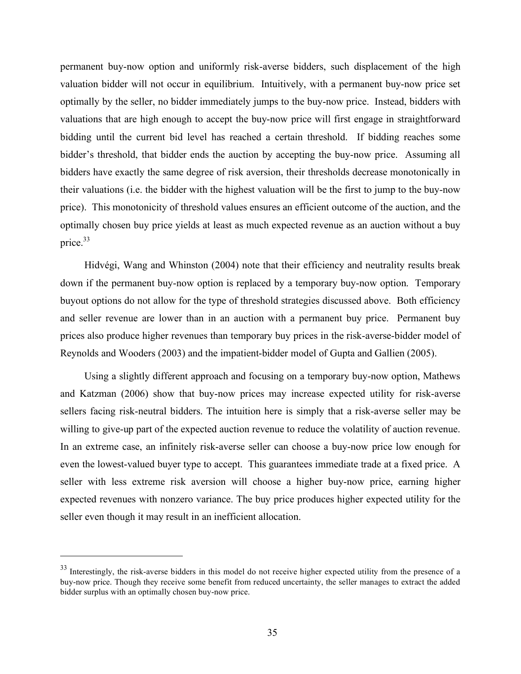permanent buy-now option and uniformly risk-averse bidders, such displacement of the high valuation bidder will not occur in equilibrium. Intuitively, with a permanent buy-now price set optimally by the seller, no bidder immediately jumps to the buy-now price. Instead, bidders with valuations that are high enough to accept the buy-now price will first engage in straightforward bidding until the current bid level has reached a certain threshold. If bidding reaches some bidder's threshold, that bidder ends the auction by accepting the buy-now price. Assuming all bidders have exactly the same degree of risk aversion, their thresholds decrease monotonically in their valuations (i.e. the bidder with the highest valuation will be the first to jump to the buy-now price). This monotonicity of threshold values ensures an efficient outcome of the auction, and the optimally chosen buy price yields at least as much expected revenue as an auction without a buy price. 33

Hidvégi, Wang and Whinston (2004) note that their efficiency and neutrality results break down if the permanent buy-now option is replaced by a temporary buy-now option. Temporary buyout options do not allow for the type of threshold strategies discussed above. Both efficiency and seller revenue are lower than in an auction with a permanent buy price. Permanent buy prices also produce higher revenues than temporary buy prices in the risk-averse-bidder model of Reynolds and Wooders (2003) and the impatient-bidder model of Gupta and Gallien (2005).

Using a slightly different approach and focusing on a temporary buy-now option, Mathews and Katzman (2006) show that buy-now prices may increase expected utility for risk-averse sellers facing risk-neutral bidders. The intuition here is simply that a risk-averse seller may be willing to give-up part of the expected auction revenue to reduce the volatility of auction revenue. In an extreme case, an infinitely risk-averse seller can choose a buy-now price low enough for even the lowest-valued buyer type to accept. This guarantees immediate trade at a fixed price. A seller with less extreme risk aversion will choose a higher buy-now price, earning higher expected revenues with nonzero variance. The buy price produces higher expected utility for the seller even though it may result in an inefficient allocation.

<sup>&</sup>lt;sup>33</sup> Interestingly, the risk-averse bidders in this model do not receive higher expected utility from the presence of a buy-now price. Though they receive some benefit from reduced uncertainty, the seller manages to extract the added bidder surplus with an optimally chosen buy-now price.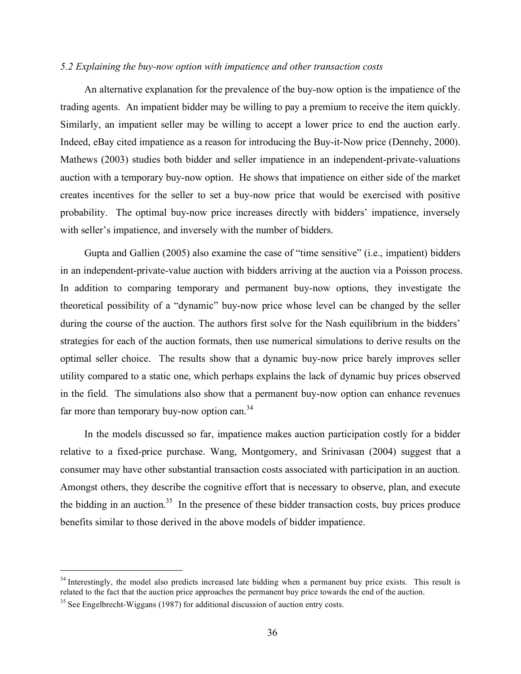# *5.2 Explaining the buy-now option with impatience and other transaction costs*

An alternative explanation for the prevalence of the buy-now option is the impatience of the trading agents. An impatient bidder may be willing to pay a premium to receive the item quickly. Similarly, an impatient seller may be willing to accept a lower price to end the auction early. Indeed, eBay cited impatience as a reason for introducing the Buy-it-Now price (Dennehy, 2000). Mathews (2003) studies both bidder and seller impatience in an independent-private-valuations auction with a temporary buy-now option. He shows that impatience on either side of the market creates incentives for the seller to set a buy-now price that would be exercised with positive probability. The optimal buy-now price increases directly with bidders' impatience, inversely with seller's impatience, and inversely with the number of bidders.

Gupta and Gallien (2005) also examine the case of "time sensitive" (i.e., impatient) bidders in an independent-private-value auction with bidders arriving at the auction via a Poisson process. In addition to comparing temporary and permanent buy-now options, they investigate the theoretical possibility of a "dynamic" buy-now price whose level can be changed by the seller during the course of the auction. The authors first solve for the Nash equilibrium in the bidders' strategies for each of the auction formats, then use numerical simulations to derive results on the optimal seller choice. The results show that a dynamic buy-now price barely improves seller utility compared to a static one, which perhaps explains the lack of dynamic buy prices observed in the field. The simulations also show that a permanent buy-now option can enhance revenues far more than temporary buy-now option can. $34$ 

In the models discussed so far, impatience makes auction participation costly for a bidder relative to a fixed-price purchase. Wang, Montgomery, and Srinivasan (2004) suggest that a consumer may have other substantial transaction costs associated with participation in an auction. Amongst others, they describe the cognitive effort that is necessary to observe, plan, and execute the bidding in an auction.<sup>35</sup> In the presence of these bidder transaction costs, buy prices produce benefits similar to those derived in the above models of bidder impatience.

 $34$  Interestingly, the model also predicts increased late bidding when a permanent buy price exists. This result is related to the fact that the auction price approaches the permanent buy price towards the end of the auction.

 $35$  See Engelbrecht-Wiggans (1987) for additional discussion of auction entry costs.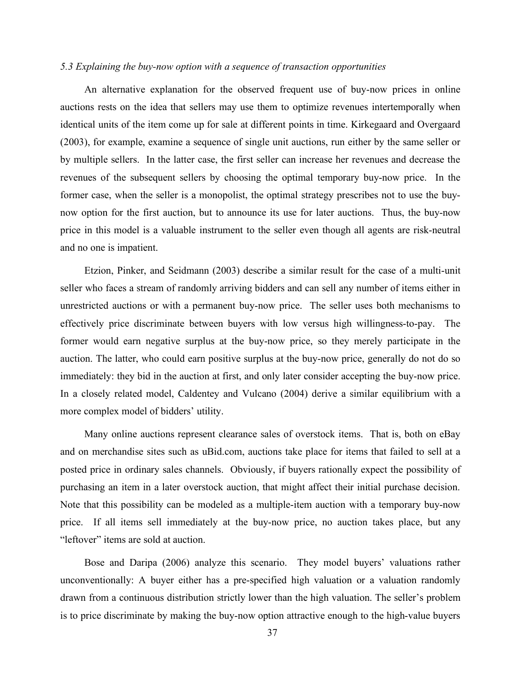# *5.3 Explaining the buy-now option with a sequence of transaction opportunities*

An alternative explanation for the observed frequent use of buy-now prices in online auctions rests on the idea that sellers may use them to optimize revenues intertemporally when identical units of the item come up for sale at different points in time. Kirkegaard and Overgaard (2003), for example, examine a sequence of single unit auctions, run either by the same seller or by multiple sellers. In the latter case, the first seller can increase her revenues and decrease the revenues of the subsequent sellers by choosing the optimal temporary buy-now price. In the former case, when the seller is a monopolist, the optimal strategy prescribes not to use the buynow option for the first auction, but to announce its use for later auctions. Thus, the buy-now price in this model is a valuable instrument to the seller even though all agents are risk-neutral and no one is impatient.

Etzion, Pinker, and Seidmann (2003) describe a similar result for the case of a multi-unit seller who faces a stream of randomly arriving bidders and can sell any number of items either in unrestricted auctions or with a permanent buy-now price. The seller uses both mechanisms to effectively price discriminate between buyers with low versus high willingness-to-pay. The former would earn negative surplus at the buy-now price, so they merely participate in the auction. The latter, who could earn positive surplus at the buy-now price, generally do not do so immediately: they bid in the auction at first, and only later consider accepting the buy-now price. In a closely related model, Caldentey and Vulcano (2004) derive a similar equilibrium with a more complex model of bidders' utility.

Many online auctions represent clearance sales of overstock items. That is, both on eBay and on merchandise sites such as uBid.com, auctions take place for items that failed to sell at a posted price in ordinary sales channels. Obviously, if buyers rationally expect the possibility of purchasing an item in a later overstock auction, that might affect their initial purchase decision. Note that this possibility can be modeled as a multiple-item auction with a temporary buy-now price. If all items sell immediately at the buy-now price, no auction takes place, but any "leftover" items are sold at auction.

Bose and Daripa (2006) analyze this scenario. They model buyers' valuations rather unconventionally: A buyer either has a pre-specified high valuation or a valuation randomly drawn from a continuous distribution strictly lower than the high valuation. The seller's problem is to price discriminate by making the buy-now option attractive enough to the high-value buyers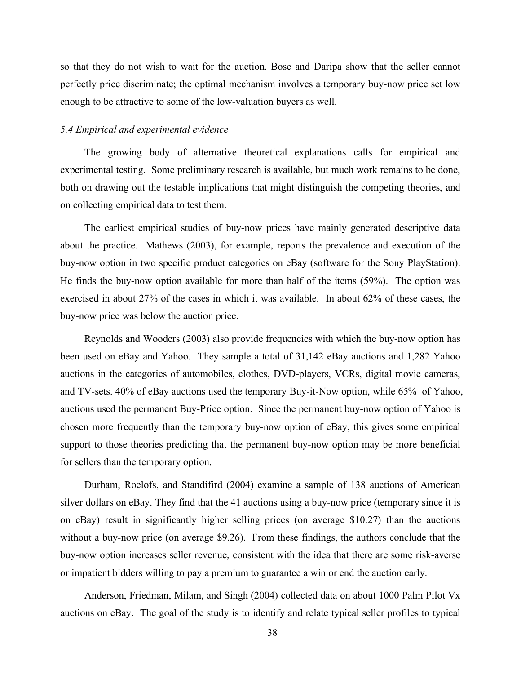so that they do not wish to wait for the auction. Bose and Daripa show that the seller cannot perfectly price discriminate; the optimal mechanism involves a temporary buy-now price set low enough to be attractive to some of the low-valuation buyers as well.

## *5.4 Empirical and experimental evidence*

The growing body of alternative theoretical explanations calls for empirical and experimental testing. Some preliminary research is available, but much work remains to be done, both on drawing out the testable implications that might distinguish the competing theories, and on collecting empirical data to test them.

The earliest empirical studies of buy-now prices have mainly generated descriptive data about the practice. Mathews (2003), for example, reports the prevalence and execution of the buy-now option in two specific product categories on eBay (software for the Sony PlayStation). He finds the buy-now option available for more than half of the items (59%). The option was exercised in about 27% of the cases in which it was available. In about 62% of these cases, the buy-now price was below the auction price.

Reynolds and Wooders (2003) also provide frequencies with which the buy-now option has been used on eBay and Yahoo. They sample a total of 31,142 eBay auctions and 1,282 Yahoo auctions in the categories of automobiles, clothes, DVD-players, VCRs, digital movie cameras, and TV-sets. 40% of eBay auctions used the temporary Buy-it-Now option, while 65% of Yahoo, auctions used the permanent Buy-Price option. Since the permanent buy-now option of Yahoo is chosen more frequently than the temporary buy-now option of eBay, this gives some empirical support to those theories predicting that the permanent buy-now option may be more beneficial for sellers than the temporary option.

Durham, Roelofs, and Standifird (2004) examine a sample of 138 auctions of American silver dollars on eBay. They find that the 41 auctions using a buy-now price (temporary since it is on eBay) result in significantly higher selling prices (on average \$10.27) than the auctions without a buy-now price (on average \$9.26). From these findings, the authors conclude that the buy-now option increases seller revenue, consistent with the idea that there are some risk-averse or impatient bidders willing to pay a premium to guarantee a win or end the auction early.

Anderson, Friedman, Milam, and Singh (2004) collected data on about 1000 Palm Pilot Vx auctions on eBay. The goal of the study is to identify and relate typical seller profiles to typical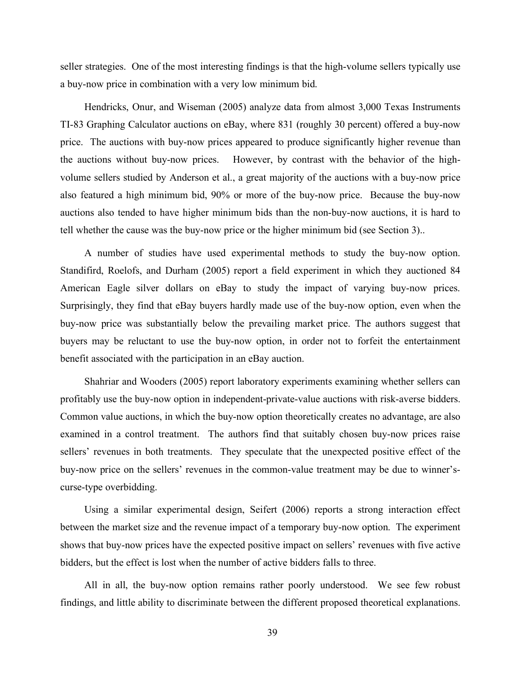seller strategies. One of the most interesting findings is that the high-volume sellers typically use a buy-now price in combination with a very low minimum bid.

Hendricks, Onur, and Wiseman (2005) analyze data from almost 3,000 Texas Instruments TI-83 Graphing Calculator auctions on eBay, where 831 (roughly 30 percent) offered a buy-now price. The auctions with buy-now prices appeared to produce significantly higher revenue than the auctions without buy-now prices. However, by contrast with the behavior of the highvolume sellers studied by Anderson et al., a great majority of the auctions with a buy-now price also featured a high minimum bid, 90% or more of the buy-now price. Because the buy-now auctions also tended to have higher minimum bids than the non-buy-now auctions, it is hard to tell whether the cause was the buy-now price or the higher minimum bid (see Section 3)..

A number of studies have used experimental methods to study the buy-now option. Standifird, Roelofs, and Durham (2005) report a field experiment in which they auctioned 84 American Eagle silver dollars on eBay to study the impact of varying buy-now prices. Surprisingly, they find that eBay buyers hardly made use of the buy-now option, even when the buy-now price was substantially below the prevailing market price. The authors suggest that buyers may be reluctant to use the buy-now option, in order not to forfeit the entertainment benefit associated with the participation in an eBay auction.

Shahriar and Wooders (2005) report laboratory experiments examining whether sellers can profitably use the buy-now option in independent-private-value auctions with risk-averse bidders. Common value auctions, in which the buy-now option theoretically creates no advantage, are also examined in a control treatment. The authors find that suitably chosen buy-now prices raise sellers' revenues in both treatments. They speculate that the unexpected positive effect of the buy-now price on the sellers' revenues in the common-value treatment may be due to winner'scurse-type overbidding.

Using a similar experimental design, Seifert (2006) reports a strong interaction effect between the market size and the revenue impact of a temporary buy-now option. The experiment shows that buy-now prices have the expected positive impact on sellers' revenues with five active bidders, but the effect is lost when the number of active bidders falls to three.

All in all, the buy-now option remains rather poorly understood. We see few robust findings, and little ability to discriminate between the different proposed theoretical explanations.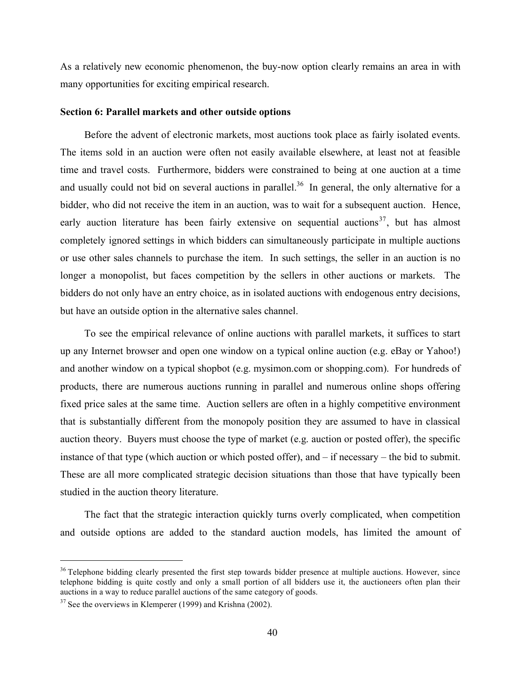As a relatively new economic phenomenon, the buy-now option clearly remains an area in with many opportunities for exciting empirical research.

### **Section 6: Parallel markets and other outside options**

Before the advent of electronic markets, most auctions took place as fairly isolated events. The items sold in an auction were often not easily available elsewhere, at least not at feasible time and travel costs. Furthermore, bidders were constrained to being at one auction at a time and usually could not bid on several auctions in parallel.<sup>36</sup> In general, the only alternative for a bidder, who did not receive the item in an auction, was to wait for a subsequent auction. Hence, early auction literature has been fairly extensive on sequential auctions<sup>37</sup>, but has almost completely ignored settings in which bidders can simultaneously participate in multiple auctions or use other sales channels to purchase the item. In such settings, the seller in an auction is no longer a monopolist, but faces competition by the sellers in other auctions or markets. The bidders do not only have an entry choice, as in isolated auctions with endogenous entry decisions, but have an outside option in the alternative sales channel.

To see the empirical relevance of online auctions with parallel markets, it suffices to start up any Internet browser and open one window on a typical online auction (e.g. eBay or Yahoo!) and another window on a typical shopbot (e.g. mysimon.com or shopping.com). For hundreds of products, there are numerous auctions running in parallel and numerous online shops offering fixed price sales at the same time. Auction sellers are often in a highly competitive environment that is substantially different from the monopoly position they are assumed to have in classical auction theory. Buyers must choose the type of market (e.g. auction or posted offer), the specific instance of that type (which auction or which posted offer), and – if necessary – the bid to submit. These are all more complicated strategic decision situations than those that have typically been studied in the auction theory literature.

The fact that the strategic interaction quickly turns overly complicated, when competition and outside options are added to the standard auction models, has limited the amount of

<sup>&</sup>lt;sup>36</sup> Telephone bidding clearly presented the first step towards bidder presence at multiple auctions. However, since telephone bidding is quite costly and only a small portion of all bidders use it, the auctioneers often plan their auctions in a way to reduce parallel auctions of the same category of goods.

 $37$  See the overviews in Klemperer (1999) and Krishna (2002).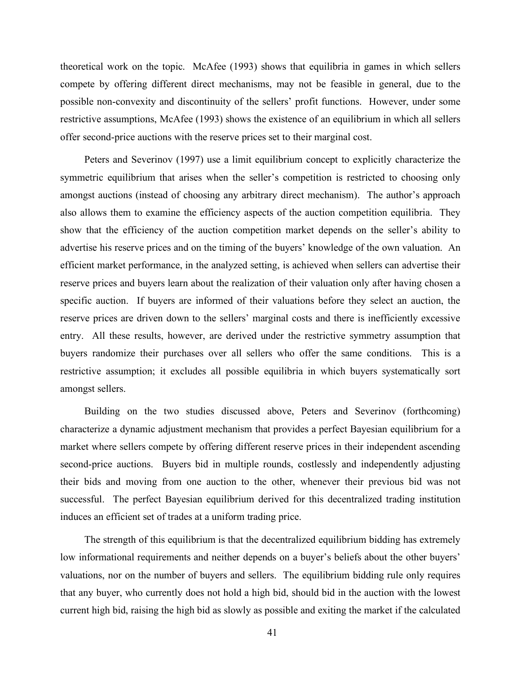theoretical work on the topic. McAfee (1993) shows that equilibria in games in which sellers compete by offering different direct mechanisms, may not be feasible in general, due to the possible non-convexity and discontinuity of the sellers' profit functions. However, under some restrictive assumptions, McAfee (1993) shows the existence of an equilibrium in which all sellers offer second-price auctions with the reserve prices set to their marginal cost.

Peters and Severinov (1997) use a limit equilibrium concept to explicitly characterize the symmetric equilibrium that arises when the seller's competition is restricted to choosing only amongst auctions (instead of choosing any arbitrary direct mechanism). The author's approach also allows them to examine the efficiency aspects of the auction competition equilibria. They show that the efficiency of the auction competition market depends on the seller's ability to advertise his reserve prices and on the timing of the buyers' knowledge of the own valuation. An efficient market performance, in the analyzed setting, is achieved when sellers can advertise their reserve prices and buyers learn about the realization of their valuation only after having chosen a specific auction. If buyers are informed of their valuations before they select an auction, the reserve prices are driven down to the sellers' marginal costs and there is inefficiently excessive entry. All these results, however, are derived under the restrictive symmetry assumption that buyers randomize their purchases over all sellers who offer the same conditions. This is a restrictive assumption; it excludes all possible equilibria in which buyers systematically sort amongst sellers.

Building on the two studies discussed above, Peters and Severinov (forthcoming) characterize a dynamic adjustment mechanism that provides a perfect Bayesian equilibrium for a market where sellers compete by offering different reserve prices in their independent ascending second-price auctions. Buyers bid in multiple rounds, costlessly and independently adjusting their bids and moving from one auction to the other, whenever their previous bid was not successful. The perfect Bayesian equilibrium derived for this decentralized trading institution induces an efficient set of trades at a uniform trading price.

The strength of this equilibrium is that the decentralized equilibrium bidding has extremely low informational requirements and neither depends on a buyer's beliefs about the other buyers' valuations, nor on the number of buyers and sellers. The equilibrium bidding rule only requires that any buyer, who currently does not hold a high bid, should bid in the auction with the lowest current high bid, raising the high bid as slowly as possible and exiting the market if the calculated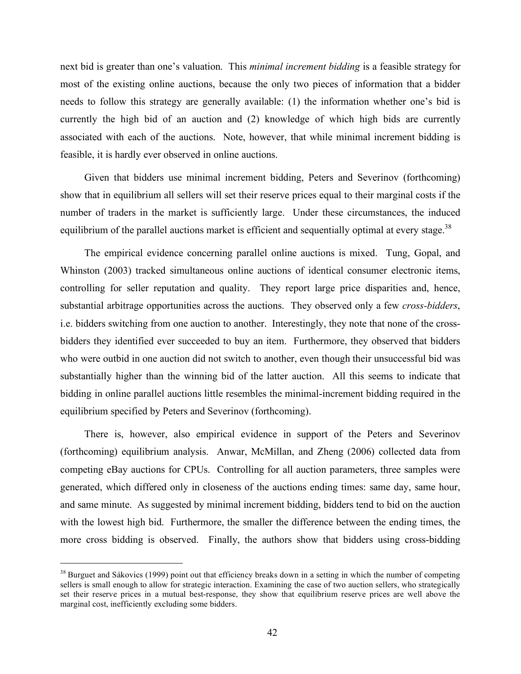next bid is greater than one's valuation. This *minimal increment bidding* is a feasible strategy for most of the existing online auctions, because the only two pieces of information that a bidder needs to follow this strategy are generally available: (1) the information whether one's bid is currently the high bid of an auction and (2) knowledge of which high bids are currently associated with each of the auctions. Note, however, that while minimal increment bidding is feasible, it is hardly ever observed in online auctions.

Given that bidders use minimal increment bidding, Peters and Severinov (forthcoming) show that in equilibrium all sellers will set their reserve prices equal to their marginal costs if the number of traders in the market is sufficiently large. Under these circumstances, the induced equilibrium of the parallel auctions market is efficient and sequentially optimal at every stage.<sup>38</sup>

The empirical evidence concerning parallel online auctions is mixed. Tung, Gopal, and Whinston (2003) tracked simultaneous online auctions of identical consumer electronic items, controlling for seller reputation and quality. They report large price disparities and, hence, substantial arbitrage opportunities across the auctions. They observed only a few *cross-bidders*, i.e. bidders switching from one auction to another. Interestingly, they note that none of the crossbidders they identified ever succeeded to buy an item. Furthermore, they observed that bidders who were outbid in one auction did not switch to another, even though their unsuccessful bid was substantially higher than the winning bid of the latter auction. All this seems to indicate that bidding in online parallel auctions little resembles the minimal-increment bidding required in the equilibrium specified by Peters and Severinov (forthcoming).

There is, however, also empirical evidence in support of the Peters and Severinov (forthcoming) equilibrium analysis. Anwar, McMillan, and Zheng (2006) collected data from competing eBay auctions for CPUs. Controlling for all auction parameters, three samples were generated, which differed only in closeness of the auctions ending times: same day, same hour, and same minute. As suggested by minimal increment bidding, bidders tend to bid on the auction with the lowest high bid. Furthermore, the smaller the difference between the ending times, the more cross bidding is observed. Finally, the authors show that bidders using cross-bidding

<sup>&</sup>lt;sup>38</sup> Burguet and Sákovics (1999) point out that efficiency breaks down in a setting in which the number of competing sellers is small enough to allow for strategic interaction. Examining the case of two auction sellers, who strategically set their reserve prices in a mutual best-response, they show that equilibrium reserve prices are well above the marginal cost, inefficiently excluding some bidders.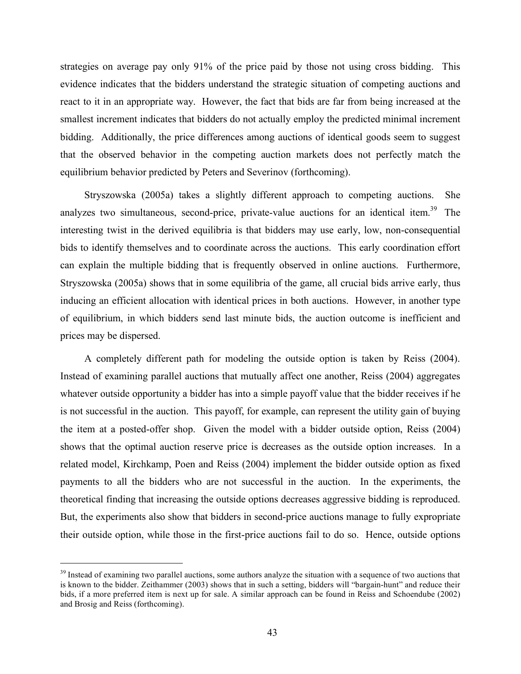strategies on average pay only 91% of the price paid by those not using cross bidding. This evidence indicates that the bidders understand the strategic situation of competing auctions and react to it in an appropriate way. However, the fact that bids are far from being increased at the smallest increment indicates that bidders do not actually employ the predicted minimal increment bidding. Additionally, the price differences among auctions of identical goods seem to suggest that the observed behavior in the competing auction markets does not perfectly match the equilibrium behavior predicted by Peters and Severinov (forthcoming).

Stryszowska (2005a) takes a slightly different approach to competing auctions. She analyzes two simultaneous, second-price, private-value auctions for an identical item.<sup>39</sup> The interesting twist in the derived equilibria is that bidders may use early, low, non-consequential bids to identify themselves and to coordinate across the auctions. This early coordination effort can explain the multiple bidding that is frequently observed in online auctions. Furthermore, Stryszowska (2005a) shows that in some equilibria of the game, all crucial bids arrive early, thus inducing an efficient allocation with identical prices in both auctions. However, in another type of equilibrium, in which bidders send last minute bids, the auction outcome is inefficient and prices may be dispersed.

A completely different path for modeling the outside option is taken by Reiss (2004). Instead of examining parallel auctions that mutually affect one another, Reiss (2004) aggregates whatever outside opportunity a bidder has into a simple payoff value that the bidder receives if he is not successful in the auction. This payoff, for example, can represent the utility gain of buying the item at a posted-offer shop. Given the model with a bidder outside option, Reiss (2004) shows that the optimal auction reserve price is decreases as the outside option increases. In a related model, Kirchkamp, Poen and Reiss (2004) implement the bidder outside option as fixed payments to all the bidders who are not successful in the auction. In the experiments, the theoretical finding that increasing the outside options decreases aggressive bidding is reproduced. But, the experiments also show that bidders in second-price auctions manage to fully expropriate their outside option, while those in the first-price auctions fail to do so. Hence, outside options

<sup>&</sup>lt;sup>39</sup> Instead of examining two parallel auctions, some authors analyze the situation with a sequence of two auctions that is known to the bidder. Zeithammer (2003) shows that in such a setting, bidders will "bargain-hunt" and reduce their bids, if a more preferred item is next up for sale. A similar approach can be found in Reiss and Schoendube (2002) and Brosig and Reiss (forthcoming).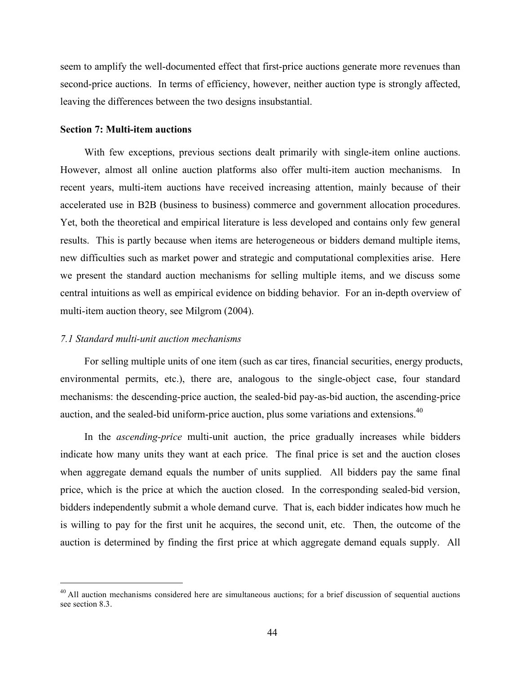seem to amplify the well-documented effect that first-price auctions generate more revenues than second-price auctions. In terms of efficiency, however, neither auction type is strongly affected, leaving the differences between the two designs insubstantial.

#### **Section 7: Multi-item auctions**

With few exceptions, previous sections dealt primarily with single-item online auctions. However, almost all online auction platforms also offer multi-item auction mechanisms. In recent years, multi-item auctions have received increasing attention, mainly because of their accelerated use in B2B (business to business) commerce and government allocation procedures. Yet, both the theoretical and empirical literature is less developed and contains only few general results. This is partly because when items are heterogeneous or bidders demand multiple items, new difficulties such as market power and strategic and computational complexities arise. Here we present the standard auction mechanisms for selling multiple items, and we discuss some central intuitions as well as empirical evidence on bidding behavior. For an in-depth overview of multi-item auction theory, see Milgrom (2004).

# *7.1 Standard multi-unit auction mechanisms*

1

For selling multiple units of one item (such as car tires, financial securities, energy products, environmental permits, etc.), there are, analogous to the single-object case, four standard mechanisms: the descending-price auction, the sealed-bid pay-as-bid auction, the ascending-price auction, and the sealed-bid uniform-price auction, plus some variations and extensions. 40

In the *ascending-price* multi-unit auction, the price gradually increases while bidders indicate how many units they want at each price. The final price is set and the auction closes when aggregate demand equals the number of units supplied. All bidders pay the same final price, which is the price at which the auction closed. In the corresponding sealed-bid version, bidders independently submit a whole demand curve. That is, each bidder indicates how much he is willing to pay for the first unit he acquires, the second unit, etc. Then, the outcome of the auction is determined by finding the first price at which aggregate demand equals supply. All

 $40$  All auction mechanisms considered here are simultaneous auctions; for a brief discussion of sequential auctions see section 8.3.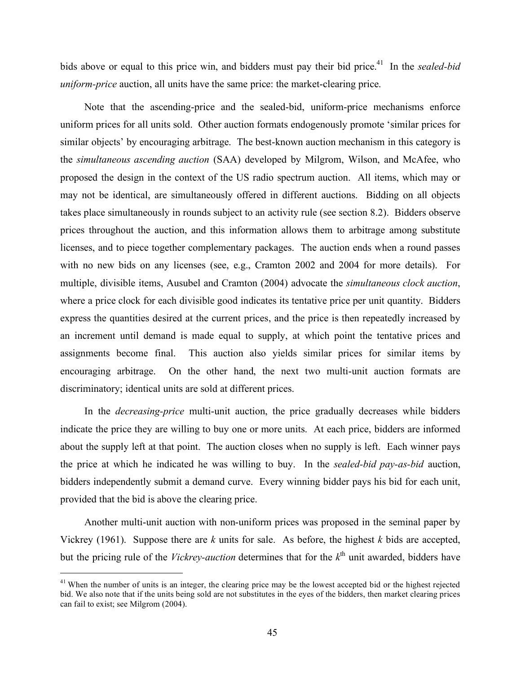bids above or equal to this price win, and bidders must pay their bid price. <sup>41</sup> In the *sealed-bid uniform-price* auction, all units have the same price: the market-clearing price.

Note that the ascending-price and the sealed-bid, uniform-price mechanisms enforce uniform prices for all units sold. Other auction formats endogenously promote 'similar prices for similar objects' by encouraging arbitrage. The best-known auction mechanism in this category is the *simultaneous ascending auction* (SAA) developed by Milgrom, Wilson, and McAfee, who proposed the design in the context of the US radio spectrum auction. All items, which may or may not be identical, are simultaneously offered in different auctions. Bidding on all objects takes place simultaneously in rounds subject to an activity rule (see section 8.2). Bidders observe prices throughout the auction, and this information allows them to arbitrage among substitute licenses, and to piece together complementary packages. The auction ends when a round passes with no new bids on any licenses (see, e.g., Cramton 2002 and 2004 for more details). For multiple, divisible items, Ausubel and Cramton (2004) advocate the *simultaneous clock auction*, where a price clock for each divisible good indicates its tentative price per unit quantity. Bidders express the quantities desired at the current prices, and the price is then repeatedly increased by an increment until demand is made equal to supply, at which point the tentative prices and assignments become final. This auction also yields similar prices for similar items by encouraging arbitrage. On the other hand, the next two multi-unit auction formats are discriminatory; identical units are sold at different prices.

In the *decreasing-price* multi-unit auction, the price gradually decreases while bidders indicate the price they are willing to buy one or more units. At each price, bidders are informed about the supply left at that point. The auction closes when no supply is left. Each winner pays the price at which he indicated he was willing to buy. In the *sealed-bid pay-as-bid* auction, bidders independently submit a demand curve. Every winning bidder pays his bid for each unit, provided that the bid is above the clearing price.

Another multi-unit auction with non-uniform prices was proposed in the seminal paper by Vickrey (1961). Suppose there are *k* units for sale. As before, the highest *k* bids are accepted, but the pricing rule of the *Vickrey-auction* determines that for the  $k^{\text{th}}$  unit awarded, bidders have

-

<sup>&</sup>lt;sup>41</sup> When the number of units is an integer, the clearing price may be the lowest accepted bid or the highest rejected bid. We also note that if the units being sold are not substitutes in the eyes of the bidders, then market clearing prices can fail to exist; see Milgrom (2004).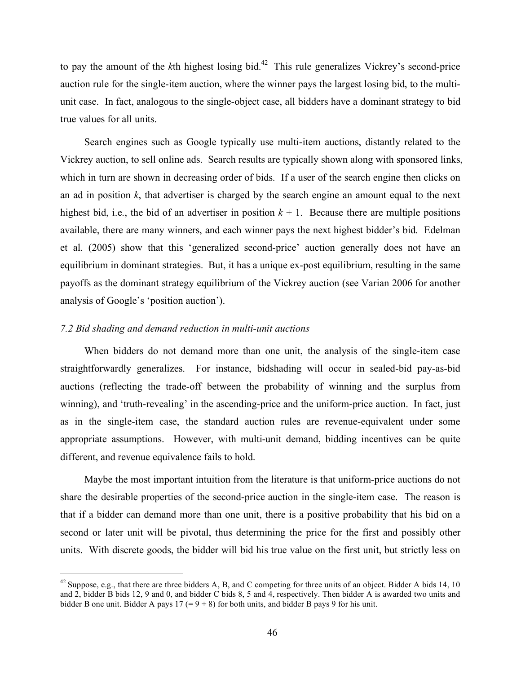to pay the amount of the *k*th highest losing bid.<sup>42</sup> This rule generalizes Vickrey's second-price auction rule for the single-item auction, where the winner pays the largest losing bid, to the multiunit case. In fact, analogous to the single-object case, all bidders have a dominant strategy to bid true values for all units.

Search engines such as Google typically use multi-item auctions, distantly related to the Vickrey auction, to sell online ads. Search results are typically shown along with sponsored links, which in turn are shown in decreasing order of bids. If a user of the search engine then clicks on an ad in position *k*, that advertiser is charged by the search engine an amount equal to the next highest bid, i.e., the bid of an advertiser in position  $k + 1$ . Because there are multiple positions available, there are many winners, and each winner pays the next highest bidder's bid. Edelman et al. (2005) show that this 'generalized second-price' auction generally does not have an equilibrium in dominant strategies. But, it has a unique ex-post equilibrium, resulting in the same payoffs as the dominant strategy equilibrium of the Vickrey auction (see Varian 2006 for another analysis of Google's 'position auction').

# *7.2 Bid shading and demand reduction in multi-unit auctions*

-

When bidders do not demand more than one unit, the analysis of the single-item case straightforwardly generalizes. For instance, bidshading will occur in sealed-bid pay-as-bid auctions (reflecting the trade-off between the probability of winning and the surplus from winning), and 'truth-revealing' in the ascending-price and the uniform-price auction. In fact, just as in the single-item case, the standard auction rules are revenue-equivalent under some appropriate assumptions. However, with multi-unit demand, bidding incentives can be quite different, and revenue equivalence fails to hold.

Maybe the most important intuition from the literature is that uniform-price auctions do not share the desirable properties of the second-price auction in the single-item case. The reason is that if a bidder can demand more than one unit, there is a positive probability that his bid on a second or later unit will be pivotal, thus determining the price for the first and possibly other units. With discrete goods, the bidder will bid his true value on the first unit, but strictly less on

 $42$  Suppose, e.g., that there are three bidders A, B, and C competing for three units of an object. Bidder A bids 14, 10 and 2, bidder B bids 12, 9 and 0, and bidder C bids 8, 5 and 4, respectively. Then bidder A is awarded two units and bidder B one unit. Bidder A pays  $17 (= 9 + 8)$  for both units, and bidder B pays 9 for his unit.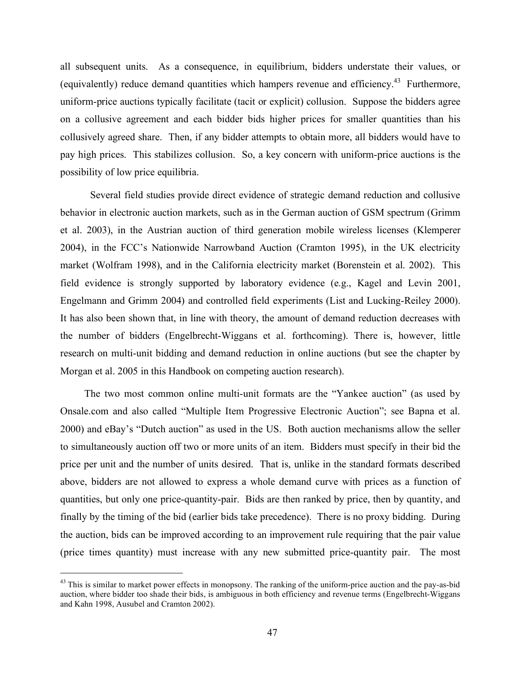all subsequent units. As a consequence, in equilibrium, bidders understate their values, or (equivalently) reduce demand quantities which hampers revenue and efficiency.<sup>43</sup> Furthermore, uniform-price auctions typically facilitate (tacit or explicit) collusion. Suppose the bidders agree on a collusive agreement and each bidder bids higher prices for smaller quantities than his collusively agreed share. Then, if any bidder attempts to obtain more, all bidders would have to pay high prices. This stabilizes collusion. So, a key concern with uniform-price auctions is the possibility of low price equilibria.

Several field studies provide direct evidence of strategic demand reduction and collusive behavior in electronic auction markets, such as in the German auction of GSM spectrum (Grimm et al. 2003), in the Austrian auction of third generation mobile wireless licenses (Klemperer 2004), in the FCC's Nationwide Narrowband Auction (Cramton 1995), in the UK electricity market (Wolfram 1998), and in the California electricity market (Borenstein et al. 2002). This field evidence is strongly supported by laboratory evidence (e.g., Kagel and Levin 2001, Engelmann and Grimm 2004) and controlled field experiments (List and Lucking-Reiley 2000). It has also been shown that, in line with theory, the amount of demand reduction decreases with the number of bidders (Engelbrecht-Wiggans et al. forthcoming). There is, however, little research on multi-unit bidding and demand reduction in online auctions (but see the chapter by Morgan et al. 2005 in this Handbook on competing auction research).

The two most common online multi-unit formats are the "Yankee auction" (as used by Onsale.com and also called "Multiple Item Progressive Electronic Auction"; see Bapna et al. 2000) and eBay's "Dutch auction" as used in the US. Both auction mechanisms allow the seller to simultaneously auction off two or more units of an item. Bidders must specify in their bid the price per unit and the number of units desired. That is, unlike in the standard formats described above, bidders are not allowed to express a whole demand curve with prices as a function of quantities, but only one price-quantity-pair. Bids are then ranked by price, then by quantity, and finally by the timing of the bid (earlier bids take precedence). There is no proxy bidding. During the auction, bids can be improved according to an improvement rule requiring that the pair value (price times quantity) must increase with any new submitted price-quantity pair. The most

-

 $43$  This is similar to market power effects in monopsony. The ranking of the uniform-price auction and the pay-as-bid auction, where bidder too shade their bids, is ambiguous in both efficiency and revenue terms (Engelbrecht-Wiggans and Kahn 1998, Ausubel and Cramton 2002).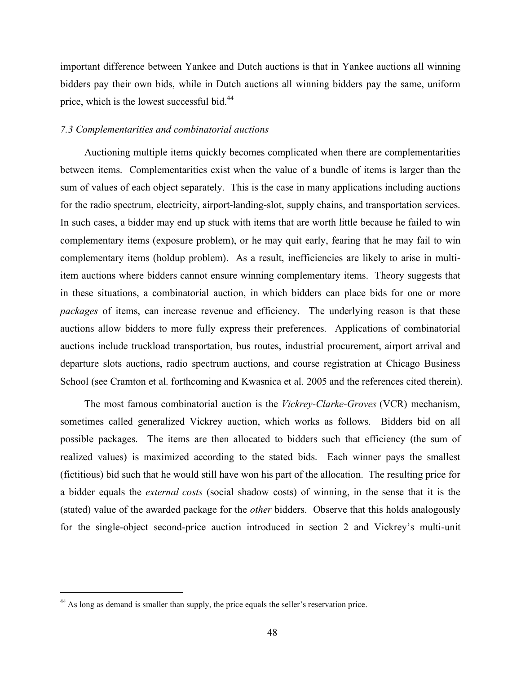important difference between Yankee and Dutch auctions is that in Yankee auctions all winning bidders pay their own bids, while in Dutch auctions all winning bidders pay the same, uniform price, which is the lowest successful bid.44

### *7.3 Complementarities and combinatorial auctions*

Auctioning multiple items quickly becomes complicated when there are complementarities between items. Complementarities exist when the value of a bundle of items is larger than the sum of values of each object separately. This is the case in many applications including auctions for the radio spectrum, electricity, airport-landing-slot, supply chains, and transportation services. In such cases, a bidder may end up stuck with items that are worth little because he failed to win complementary items (exposure problem), or he may quit early, fearing that he may fail to win complementary items (holdup problem). As a result, inefficiencies are likely to arise in multiitem auctions where bidders cannot ensure winning complementary items. Theory suggests that in these situations, a combinatorial auction, in which bidders can place bids for one or more *packages* of items, can increase revenue and efficiency. The underlying reason is that these auctions allow bidders to more fully express their preferences. Applications of combinatorial auctions include truckload transportation, bus routes, industrial procurement, airport arrival and departure slots auctions, radio spectrum auctions, and course registration at Chicago Business School (see Cramton et al. forthcoming and Kwasnica et al. 2005 and the references cited therein).

The most famous combinatorial auction is the *Vickrey-Clarke-Groves* (VCR) mechanism, sometimes called generalized Vickrey auction, which works as follows. Bidders bid on all possible packages. The items are then allocated to bidders such that efficiency (the sum of realized values) is maximized according to the stated bids. Each winner pays the smallest (fictitious) bid such that he would still have won his part of the allocation. The resulting price for a bidder equals the *external costs* (social shadow costs) of winning, in the sense that it is the (stated) value of the awarded package for the *other* bidders. Observe that this holds analogously for the single-object second-price auction introduced in section 2 and Vickrey's multi-unit

<sup>&</sup>lt;sup>44</sup> As long as demand is smaller than supply, the price equals the seller's reservation price.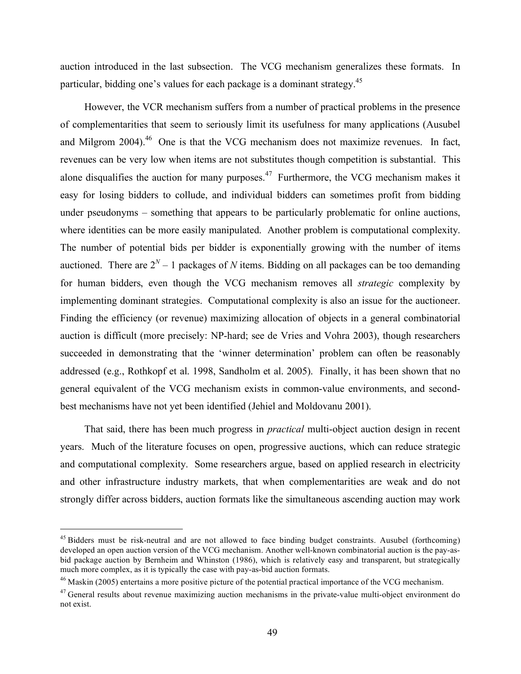auction introduced in the last subsection. The VCG mechanism generalizes these formats. In particular, bidding one's values for each package is a dominant strategy.<sup>45</sup>

However, the VCR mechanism suffers from a number of practical problems in the presence of complementarities that seem to seriously limit its usefulness for many applications (Ausubel and Milgrom 2004).<sup>46</sup> One is that the VCG mechanism does not maximize revenues. In fact, revenues can be very low when items are not substitutes though competition is substantial. This alone disqualifies the auction for many purposes.<sup>47</sup> Furthermore, the VCG mechanism makes it easy for losing bidders to collude, and individual bidders can sometimes profit from bidding under pseudonyms – something that appears to be particularly problematic for online auctions, where identities can be more easily manipulated. Another problem is computational complexity. The number of potential bids per bidder is exponentially growing with the number of items auctioned. There are  $2^{N} - 1$  packages of *N* items. Bidding on all packages can be too demanding for human bidders, even though the VCG mechanism removes all *strategic* complexity by implementing dominant strategies. Computational complexity is also an issue for the auctioneer. Finding the efficiency (or revenue) maximizing allocation of objects in a general combinatorial auction is difficult (more precisely: NP-hard; see de Vries and Vohra 2003), though researchers succeeded in demonstrating that the 'winner determination' problem can often be reasonably addressed (e.g., Rothkopf et al. 1998, Sandholm et al. 2005). Finally, it has been shown that no general equivalent of the VCG mechanism exists in common-value environments, and secondbest mechanisms have not yet been identified (Jehiel and Moldovanu 2001).

That said, there has been much progress in *practical* multi-object auction design in recent years. Much of the literature focuses on open, progressive auctions, which can reduce strategic and computational complexity. Some researchers argue, based on applied research in electricity and other infrastructure industry markets, that when complementarities are weak and do not strongly differ across bidders, auction formats like the simultaneous ascending auction may work

<sup>&</sup>lt;sup>45</sup> Bidders must be risk-neutral and are not allowed to face binding budget constraints. Ausubel (forthcoming) developed an open auction version of the VCG mechanism. Another well-known combinatorial auction is the pay-asbid package auction by Bernheim and Whinston (1986), which is relatively easy and transparent, but strategically much more complex, as it is typically the case with pay-as-bid auction formats.

<sup>&</sup>lt;sup>46</sup> Maskin (2005) entertains a more positive picture of the potential practical importance of the VCG mechanism.

<sup>&</sup>lt;sup>47</sup> General results about revenue maximizing auction mechanisms in the private-value multi-object environment do not exist.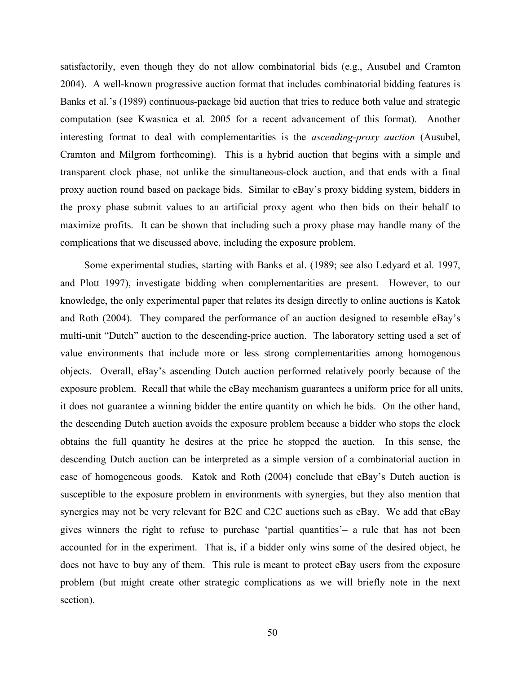satisfactorily, even though they do not allow combinatorial bids (e.g., Ausubel and Cramton 2004). A well-known progressive auction format that includes combinatorial bidding features is Banks et al.'s (1989) continuous-package bid auction that tries to reduce both value and strategic computation (see Kwasnica et al. 2005 for a recent advancement of this format). Another interesting format to deal with complementarities is the *ascending-proxy auction* (Ausubel, Cramton and Milgrom forthcoming). This is a hybrid auction that begins with a simple and transparent clock phase, not unlike the simultaneous-clock auction, and that ends with a final proxy auction round based on package bids. Similar to eBay's proxy bidding system, bidders in the proxy phase submit values to an artificial proxy agent who then bids on their behalf to maximize profits. It can be shown that including such a proxy phase may handle many of the complications that we discussed above, including the exposure problem.

Some experimental studies, starting with Banks et al. (1989; see also Ledyard et al. 1997, and Plott 1997), investigate bidding when complementarities are present. However, to our knowledge, the only experimental paper that relates its design directly to online auctions is Katok and Roth (2004). They compared the performance of an auction designed to resemble eBay's multi-unit "Dutch" auction to the descending-price auction. The laboratory setting used a set of value environments that include more or less strong complementarities among homogenous objects. Overall, eBay's ascending Dutch auction performed relatively poorly because of the exposure problem. Recall that while the eBay mechanism guarantees a uniform price for all units, it does not guarantee a winning bidder the entire quantity on which he bids. On the other hand, the descending Dutch auction avoids the exposure problem because a bidder who stops the clock obtains the full quantity he desires at the price he stopped the auction. In this sense, the descending Dutch auction can be interpreted as a simple version of a combinatorial auction in case of homogeneous goods. Katok and Roth (2004) conclude that eBay's Dutch auction is susceptible to the exposure problem in environments with synergies, but they also mention that synergies may not be very relevant for B2C and C2C auctions such as eBay. We add that eBay gives winners the right to refuse to purchase 'partial quantities'– a rule that has not been accounted for in the experiment. That is, if a bidder only wins some of the desired object, he does not have to buy any of them. This rule is meant to protect eBay users from the exposure problem (but might create other strategic complications as we will briefly note in the next section).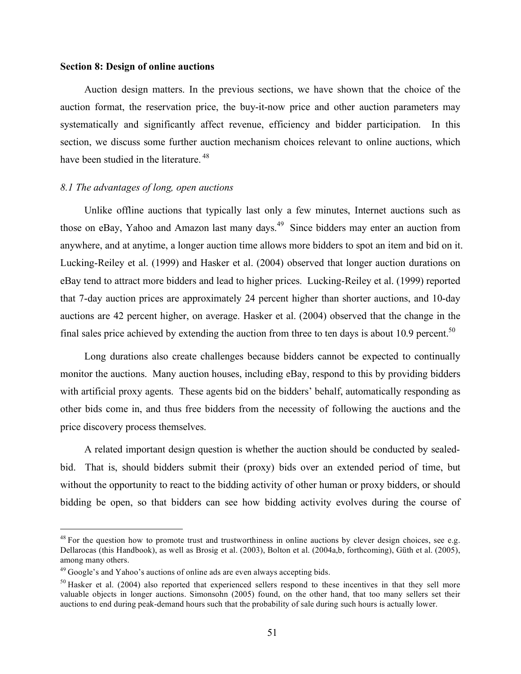#### **Section 8: Design of online auctions**

Auction design matters. In the previous sections, we have shown that the choice of the auction format, the reservation price, the buy-it-now price and other auction parameters may systematically and significantly affect revenue, efficiency and bidder participation. In this section, we discuss some further auction mechanism choices relevant to online auctions, which have been studied in the literature.<sup>48</sup>

# *8.1 The advantages of long, open auctions*

Unlike offline auctions that typically last only a few minutes, Internet auctions such as those on eBay, Yahoo and Amazon last many days.<sup>49</sup> Since bidders may enter an auction from anywhere, and at anytime, a longer auction time allows more bidders to spot an item and bid on it. Lucking-Reiley et al. (1999) and Hasker et al. (2004) observed that longer auction durations on eBay tend to attract more bidders and lead to higher prices. Lucking-Reiley et al. (1999) reported that 7-day auction prices are approximately 24 percent higher than shorter auctions, and 10-day auctions are 42 percent higher, on average. Hasker et al. (2004) observed that the change in the final sales price achieved by extending the auction from three to ten days is about 10.9 percent.<sup>50</sup>

Long durations also create challenges because bidders cannot be expected to continually monitor the auctions. Many auction houses, including eBay, respond to this by providing bidders with artificial proxy agents. These agents bid on the bidders' behalf, automatically responding as other bids come in, and thus free bidders from the necessity of following the auctions and the price discovery process themselves.

A related important design question is whether the auction should be conducted by sealedbid. That is, should bidders submit their (proxy) bids over an extended period of time, but without the opportunity to react to the bidding activity of other human or proxy bidders, or should bidding be open, so that bidders can see how bidding activity evolves during the course of

 $48$  For the question how to promote trust and trustworthiness in online auctions by clever design choices, see e.g. Dellarocas (this Handbook), as well as Brosig et al. (2003), Bolton et al. (2004a,b, forthcoming), Güth et al. (2005), among many others.

<sup>&</sup>lt;sup>49</sup> Google's and Yahoo's auctions of online ads are even always accepting bids.

<sup>&</sup>lt;sup>50</sup> Hasker et al. (2004) also reported that experienced sellers respond to these incentives in that they sell more valuable objects in longer auctions. Simonsohn (2005) found, on the other hand, that too many sellers set their auctions to end during peak-demand hours such that the probability of sale during such hours is actually lower.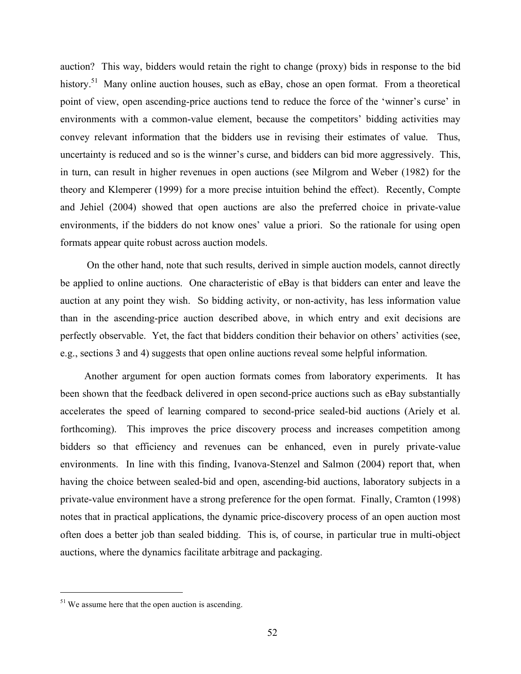auction? This way, bidders would retain the right to change (proxy) bids in response to the bid history.<sup>51</sup> Many online auction houses, such as eBay, chose an open format. From a theoretical point of view, open ascending-price auctions tend to reduce the force of the 'winner's curse' in environments with a common-value element, because the competitors' bidding activities may convey relevant information that the bidders use in revising their estimates of value. Thus, uncertainty is reduced and so is the winner's curse, and bidders can bid more aggressively. This, in turn, can result in higher revenues in open auctions (see Milgrom and Weber (1982) for the theory and Klemperer (1999) for a more precise intuition behind the effect). Recently, Compte and Jehiel (2004) showed that open auctions are also the preferred choice in private-value environments, if the bidders do not know ones' value a priori. So the rationale for using open formats appear quite robust across auction models.

On the other hand, note that such results, derived in simple auction models, cannot directly be applied to online auctions. One characteristic of eBay is that bidders can enter and leave the auction at any point they wish. So bidding activity, or non-activity, has less information value than in the ascending-price auction described above, in which entry and exit decisions are perfectly observable. Yet, the fact that bidders condition their behavior on others' activities (see, e.g., sections 3 and 4) suggests that open online auctions reveal some helpful information.

Another argument for open auction formats comes from laboratory experiments. It has been shown that the feedback delivered in open second-price auctions such as eBay substantially accelerates the speed of learning compared to second-price sealed-bid auctions (Ariely et al. forthcoming). This improves the price discovery process and increases competition among bidders so that efficiency and revenues can be enhanced, even in purely private-value environments. In line with this finding, Ivanova-Stenzel and Salmon (2004) report that, when having the choice between sealed-bid and open, ascending-bid auctions, laboratory subjects in a private-value environment have a strong preference for the open format. Finally, Cramton (1998) notes that in practical applications, the dynamic price-discovery process of an open auction most often does a better job than sealed bidding. This is, of course, in particular true in multi-object auctions, where the dynamics facilitate arbitrage and packaging.

 $51$  We assume here that the open auction is ascending.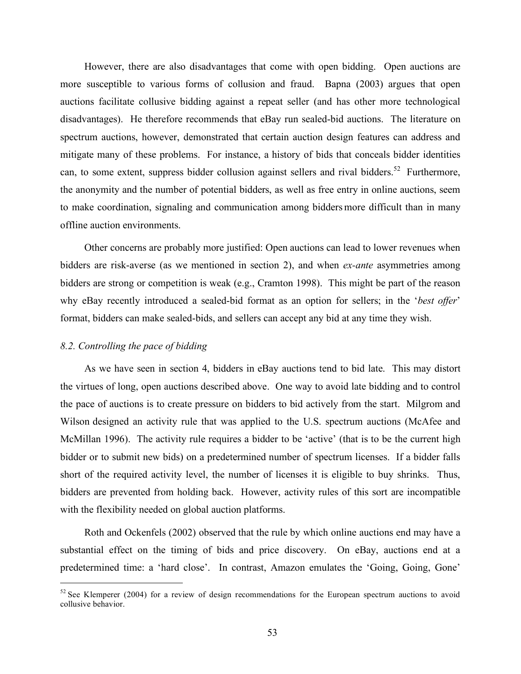However, there are also disadvantages that come with open bidding. Open auctions are more susceptible to various forms of collusion and fraud. Bapna (2003) argues that open auctions facilitate collusive bidding against a repeat seller (and has other more technological disadvantages). He therefore recommends that eBay run sealed-bid auctions. The literature on spectrum auctions, however, demonstrated that certain auction design features can address and mitigate many of these problems. For instance, a history of bids that conceals bidder identities can, to some extent, suppress bidder collusion against sellers and rival bidders.<sup>52</sup> Furthermore, the anonymity and the number of potential bidders, as well as free entry in online auctions, seem to make coordination, signaling and communication among biddersmore difficult than in many offline auction environments.

Other concerns are probably more justified: Open auctions can lead to lower revenues when bidders are risk-averse (as we mentioned in section 2), and when *ex-ante* asymmetries among bidders are strong or competition is weak (e.g., Cramton 1998). This might be part of the reason why eBay recently introduced a sealed-bid format as an option for sellers; in the '*best offer*' format, bidders can make sealed-bids, and sellers can accept any bid at any time they wish.

# *8.2. Controlling the pace of bidding*

1

As we have seen in section 4, bidders in eBay auctions tend to bid late. This may distort the virtues of long, open auctions described above. One way to avoid late bidding and to control the pace of auctions is to create pressure on bidders to bid actively from the start. Milgrom and Wilson designed an activity rule that was applied to the U.S. spectrum auctions (McAfee and McMillan 1996). The activity rule requires a bidder to be 'active' (that is to be the current high bidder or to submit new bids) on a predetermined number of spectrum licenses. If a bidder falls short of the required activity level, the number of licenses it is eligible to buy shrinks. Thus, bidders are prevented from holding back. However, activity rules of this sort are incompatible with the flexibility needed on global auction platforms.

Roth and Ockenfels (2002) observed that the rule by which online auctions end may have a substantial effect on the timing of bids and price discovery. On eBay, auctions end at a predetermined time: a 'hard close'. In contrast, Amazon emulates the 'Going, Going, Gone'

 $52$  See Klemperer (2004) for a review of design recommendations for the European spectrum auctions to avoid collusive behavior.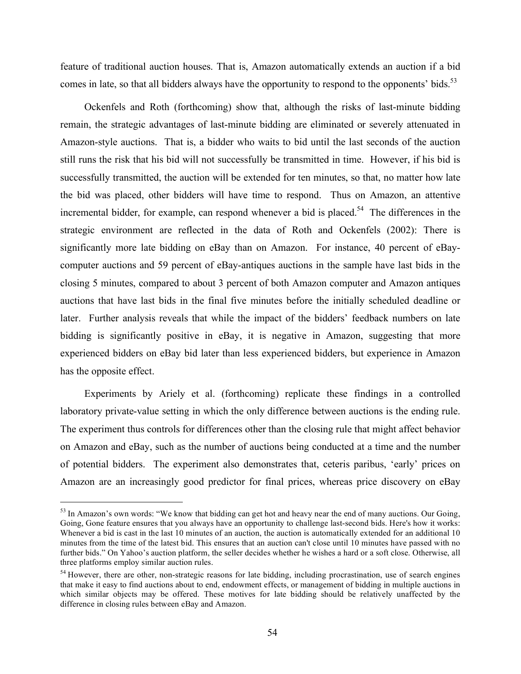feature of traditional auction houses. That is, Amazon automatically extends an auction if a bid comes in late, so that all bidders always have the opportunity to respond to the opponents' bids.<sup>53</sup>

Ockenfels and Roth (forthcoming) show that, although the risks of last-minute bidding remain, the strategic advantages of last-minute bidding are eliminated or severely attenuated in Amazon-style auctions. That is, a bidder who waits to bid until the last seconds of the auction still runs the risk that his bid will not successfully be transmitted in time. However, if his bid is successfully transmitted, the auction will be extended for ten minutes, so that, no matter how late the bid was placed, other bidders will have time to respond. Thus on Amazon, an attentive incremental bidder, for example, can respond whenever a bid is placed.<sup>54</sup> The differences in the strategic environment are reflected in the data of Roth and Ockenfels (2002): There is significantly more late bidding on eBay than on Amazon. For instance, 40 percent of eBaycomputer auctions and 59 percent of eBay-antiques auctions in the sample have last bids in the closing 5 minutes, compared to about 3 percent of both Amazon computer and Amazon antiques auctions that have last bids in the final five minutes before the initially scheduled deadline or later. Further analysis reveals that while the impact of the bidders' feedback numbers on late bidding is significantly positive in eBay, it is negative in Amazon, suggesting that more experienced bidders on eBay bid later than less experienced bidders, but experience in Amazon has the opposite effect.

Experiments by Ariely et al. (forthcoming) replicate these findings in a controlled laboratory private-value setting in which the only difference between auctions is the ending rule. The experiment thus controls for differences other than the closing rule that might affect behavior on Amazon and eBay, such as the number of auctions being conducted at a time and the number of potential bidders. The experiment also demonstrates that, ceteris paribus, 'early' prices on Amazon are an increasingly good predictor for final prices, whereas price discovery on eBay

<sup>&</sup>lt;sup>53</sup> In Amazon's own words: "We know that bidding can get hot and heavy near the end of many auctions. Our Going, Going, Gone feature ensures that you always have an opportunity to challenge last-second bids. Here's how it works: Whenever a bid is cast in the last 10 minutes of an auction, the auction is automatically extended for an additional 10 minutes from the time of the latest bid. This ensures that an auction can't close until 10 minutes have passed with no further bids." On Yahoo's auction platform, the seller decides whether he wishes a hard or a soft close. Otherwise, all three platforms employ similar auction rules.

<sup>&</sup>lt;sup>54</sup> However, there are other, non-strategic reasons for late bidding, including procrastination, use of search engines that make it easy to find auctions about to end, endowment effects, or management of bidding in multiple auctions in which similar objects may be offered. These motives for late bidding should be relatively unaffected by the difference in closing rules between eBay and Amazon.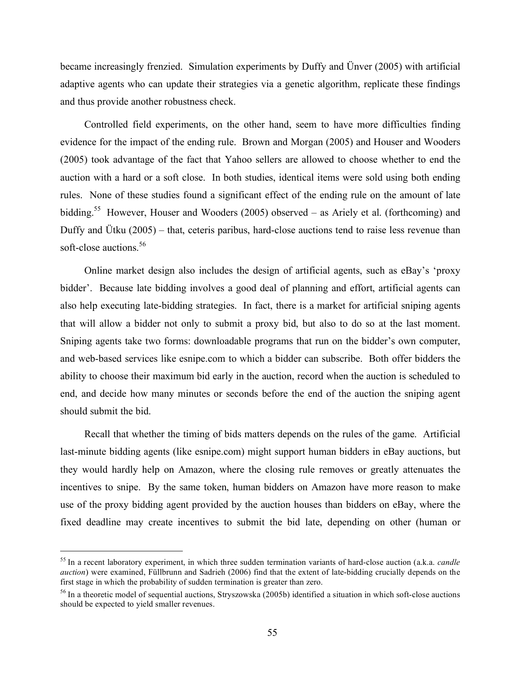became increasingly frenzied. Simulation experiments by Duffy and Ünver (2005) with artificial adaptive agents who can update their strategies via a genetic algorithm, replicate these findings and thus provide another robustness check.

Controlled field experiments, on the other hand, seem to have more difficulties finding evidence for the impact of the ending rule. Brown and Morgan (2005) and Houser and Wooders (2005) took advantage of the fact that Yahoo sellers are allowed to choose whether to end the auction with a hard or a soft close. In both studies, identical items were sold using both ending rules. None of these studies found a significant effect of the ending rule on the amount of late bidding.<sup>55</sup> However, Houser and Wooders (2005) observed – as Ariely et al. (forthcoming) and Duffy and Ütku (2005) – that, ceteris paribus, hard-close auctions tend to raise less revenue than soft-close auctions. 56

Online market design also includes the design of artificial agents, such as eBay's 'proxy bidder'. Because late bidding involves a good deal of planning and effort, artificial agents can also help executing late-bidding strategies. In fact, there is a market for artificial sniping agents that will allow a bidder not only to submit a proxy bid, but also to do so at the last moment. Sniping agents take two forms: downloadable programs that run on the bidder's own computer, and web-based services like esnipe.com to which a bidder can subscribe. Both offer bidders the ability to choose their maximum bid early in the auction, record when the auction is scheduled to end, and decide how many minutes or seconds before the end of the auction the sniping agent should submit the bid.

Recall that whether the timing of bids matters depends on the rules of the game. Artificial last-minute bidding agents (like esnipe.com) might support human bidders in eBay auctions, but they would hardly help on Amazon, where the closing rule removes or greatly attenuates the incentives to snipe. By the same token, human bidders on Amazon have more reason to make use of the proxy bidding agent provided by the auction houses than bidders on eBay, where the fixed deadline may create incentives to submit the bid late, depending on other (human or

 <sup>55</sup> In <sup>a</sup> recent laboratory experiment, in which three sudden termination variants of hard-close auction (a.k.a. *candle auction*) were examined, Füllbrunn and Sadrieh (2006) find that the extent of late-bidding crucially depends on the first stage in which the probability of sudden termination is greater than zero.

<sup>&</sup>lt;sup>56</sup> In a theoretic model of sequential auctions, Stryszowska (2005b) identified a situation in which soft-close auctions should be expected to yield smaller revenues.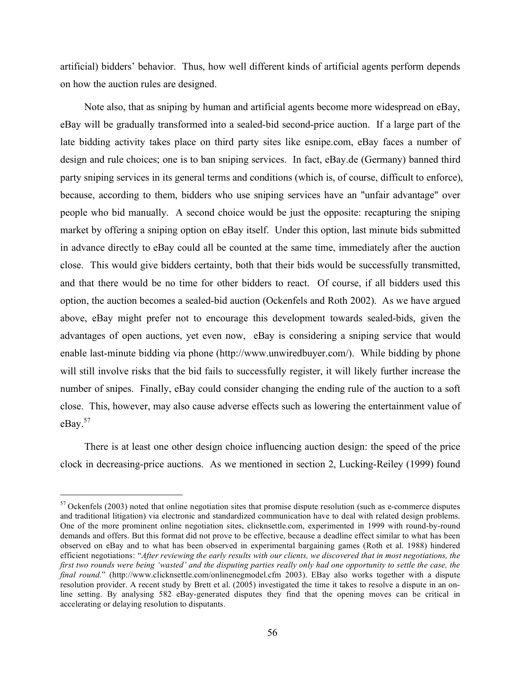artificial) bidders' behavior. Thus, how well different kinds of artificial agents perform depends on how the auction rules are designed.

Note also, that as sniping by human and artificial agents become more widespread on eBay, eBay will be gradually transformed into a sealed-bid second-price auction. If a large part of the late bidding activity takes place on third party sites like esnipe.com, eBay faces a number of design and rule choices; one is to ban sniping services. In fact, eBay.de (Germany) banned third party sniping services in its general terms and conditions (which is, of course, difficult to enforce), because, according to them, bidders who use sniping services have an "unfair advantage" over people who bid manually. A second choice would be just the opposite: recapturing the sniping market by offering a sniping option on eBay itself. Under this option, last minute bids submitted in advance directly to eBay could all be counted at the same time, immediately after the auction close. This would give bidders certainty, both that their bids would be successfully transmitted, and that there would be no time for other bidders to react. Of course, if all bidders used this option, the auction becomes a sealed-bid auction (Ockenfels and Roth 2002). As we have argued above, eBay might prefer not to encourage this development towards sealed-bids, given the advantages of open auctions, yet even now, eBay is considering a sniping service that would enable last-minute bidding via phone (http://www.unwiredbuyer.com/). While bidding by phone will still involve risks that the bid fails to successfully register, it will likely further increase the number of snipes. Finally, eBay could consider changing the ending rule of the auction to a soft close. This, however, may also cause adverse effects such as lowering the entertainment value of eBay.<sup>57</sup>

There is at least one other design choice influencing auction design: the speed of the price clock in decreasing-price auctions. As we mentioned in section 2, Lucking-Reiley (1999) found

 $57$  Ockenfels (2003) noted that online negotiation sites that promise dispute resolution (such as e-commerce disputes and traditional litigation) via electronic and standardized communication have to deal with related design problems. One of the more prominent online negotiation sites, clicknsettle.com, experimented in 1999 with round-by-round demands and offers. But this format did not prove to be effective, because a deadline effect similar to what has been observed on eBay and to what has been observed in experimental bargaining games (Roth et al. 1988) hindered efficient negotiations: "After reviewing the early results with our clients, we discovered that in most negotiations, the first two rounds were being 'wasted' and the disputing parties really only had one opportunity to settle the case, the *final round.*" (http://www.clicknsettle.com/onlinenegmodel.cfm 2003). EBay also works together with a dispute resolution provider. A recent study by Brett et al. (2005) investigated the time it takes to resolve a dispute in an online setting. By analysing 582 eBay-generated disputes they find that the opening moves can be critical in accelerating or delaying resolution to disputants.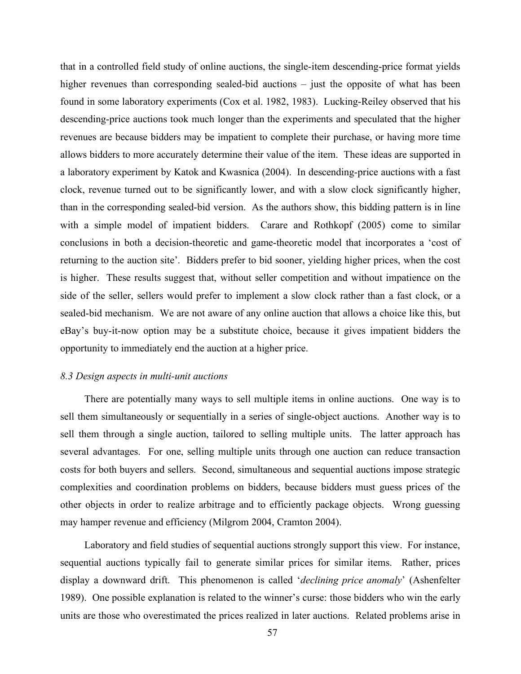that in a controlled field study of online auctions, the single-item descending-price format yields higher revenues than corresponding sealed-bid auctions – just the opposite of what has been found in some laboratory experiments (Cox et al. 1982, 1983). Lucking-Reiley observed that his descending-price auctions took much longer than the experiments and speculated that the higher revenues are because bidders may be impatient to complete their purchase, or having more time allows bidders to more accurately determine their value of the item. These ideas are supported in a laboratory experiment by Katok and Kwasnica (2004). In descending-price auctions with a fast clock, revenue turned out to be significantly lower, and with a slow clock significantly higher, than in the corresponding sealed-bid version. As the authors show, this bidding pattern is in line with a simple model of impatient bidders. Carare and Rothkopf (2005) come to similar conclusions in both a decision-theoretic and game-theoretic model that incorporates a 'cost of returning to the auction site'. Bidders prefer to bid sooner, yielding higher prices, when the cost is higher. These results suggest that, without seller competition and without impatience on the side of the seller, sellers would prefer to implement a slow clock rather than a fast clock, or a sealed-bid mechanism. We are not aware of any online auction that allows a choice like this, but eBay's buy-it-now option may be a substitute choice, because it gives impatient bidders the opportunity to immediately end the auction at a higher price.

## *8.3 Design aspects in multi-unit auctions*

There are potentially many ways to sell multiple items in online auctions. One way is to sell them simultaneously or sequentially in a series of single-object auctions. Another way is to sell them through a single auction, tailored to selling multiple units. The latter approach has several advantages. For one, selling multiple units through one auction can reduce transaction costs for both buyers and sellers. Second, simultaneous and sequential auctions impose strategic complexities and coordination problems on bidders, because bidders must guess prices of the other objects in order to realize arbitrage and to efficiently package objects. Wrong guessing may hamper revenue and efficiency (Milgrom 2004, Cramton 2004).

Laboratory and field studies of sequential auctions strongly support this view. For instance, sequential auctions typically fail to generate similar prices for similar items. Rather, prices display a downward drift. This phenomenon is called '*declining price anomaly*' (Ashenfelter 1989). One possible explanation is related to the winner's curse: those bidders who win the early units are those who overestimated the prices realized in later auctions. Related problems arise in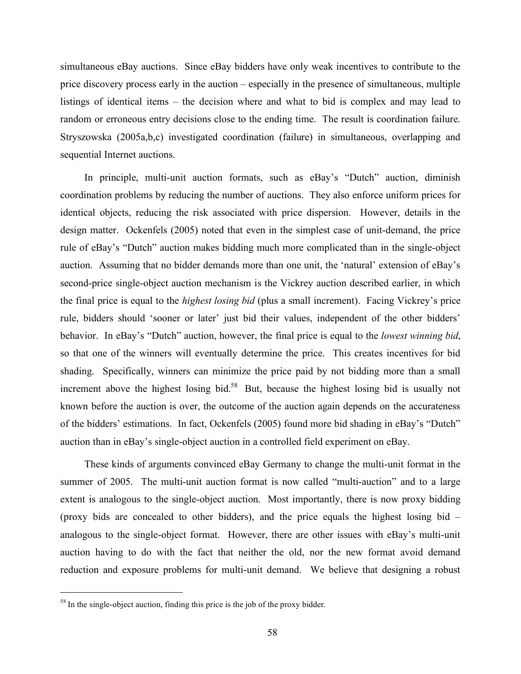simultaneous eBay auctions. Since eBay bidders have only weak incentives to contribute to the price discovery process early in the auction – especially in the presence of simultaneous, multiple listings of identical items – the decision where and what to bid is complex and may lead to random or erroneous entry decisions close to the ending time. The result is coordination failure. Stryszowska (2005a,b,c) investigated coordination (failure) in simultaneous, overlapping and sequential Internet auctions.

In principle, multi-unit auction formats, such as eBay's "Dutch" auction, diminish coordination problems by reducing the number of auctions. They also enforce uniform prices for identical objects, reducing the risk associated with price dispersion. However, details in the design matter. Ockenfels (2005) noted that even in the simplest case of unit-demand, the price rule of eBay's "Dutch" auction makes bidding much more complicated than in the single-object auction. Assuming that no bidder demands more than one unit, the 'natural' extension of eBay's second-price single-object auction mechanism is the Vickrey auction described earlier, in which the final price is equal to the *highest losing bid* (plus a small increment). Facing Vickrey's price rule, bidders should 'sooner or later' just bid their values, independent of the other bidders' behavior. In eBay's "Dutch" auction, however, the final price is equal to the *lowest winning bid*, so that one of the winners will eventually determine the price. This creates incentives for bid shading. Specifically, winners can minimize the price paid by not bidding more than a small increment above the highest losing bid.<sup>58</sup> But, because the highest losing bid is usually not known before the auction is over, the outcome of the auction again depends on the accurateness of the bidders' estimations. In fact, Ockenfels (2005) found more bid shading in eBay's "Dutch" auction than in eBay's single-object auction in a controlled field experiment on eBay.

These kinds of arguments convinced eBay Germany to change the multi-unit format in the summer of 2005. The multi-unit auction format is now called "multi-auction" and to a large extent is analogous to the single-object auction. Most importantly, there is now proxy bidding (proxy bids are concealed to other bidders), and the price equals the highest losing bid – analogous to the single-object format. However, there are other issues with eBay's multi-unit auction having to do with the fact that neither the old, nor the new format avoid demand reduction and exposure problems for multi-unit demand. We believe that designing a robust

<sup>&</sup>lt;sup>58</sup> In the single-object auction, finding this price is the job of the proxy bidder.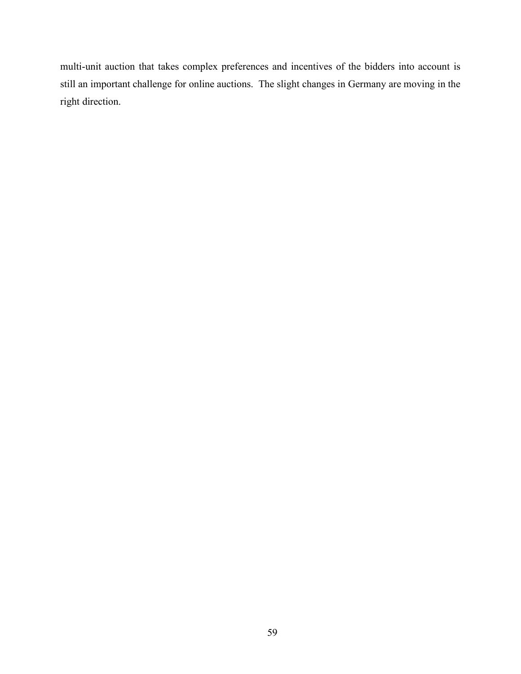multi-unit auction that takes complex preferences and incentives of the bidders into account is still an important challenge for online auctions. The slight changes in Germany are moving in the right direction.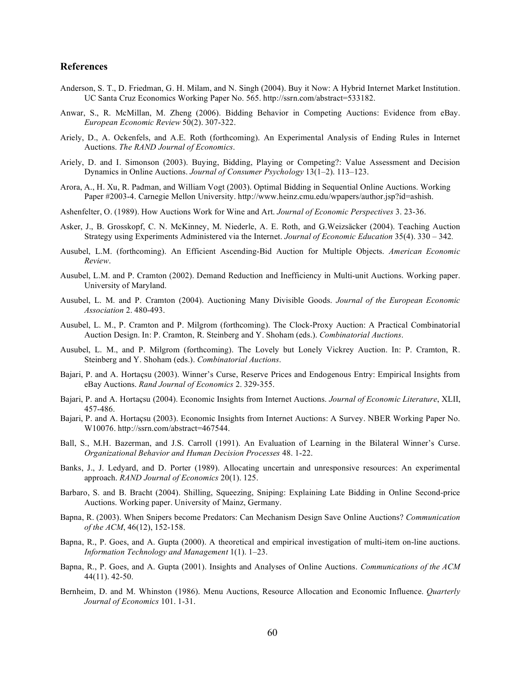### **References**

- Anderson, S. T., D. Friedman, G. H. Milam, and N. Singh (2004). Buy it Now: A Hybrid Internet Market Institution. UC Santa Cruz Economics Working Paper No. 565. http://ssrn.com/abstract=533182.
- Anwar, S., R. McMillan, M. Zheng (2006). Bidding Behavior in Competing Auctions: Evidence from eBay. *European Economic Review* 50(2). 307-322.
- Ariely, D., A. Ockenfels, and A.E. Roth (forthcoming). An Experimental Analysis of Ending Rules in Internet Auctions. *The RAND Journal of Economics*.
- Ariely, D. and I. Simonson (2003). Buying, Bidding, Playing or Competing?: Value Assessment and Decision Dynamics in Online Auctions. *Journal of Consumer Psychology* 13(1–2). 113–123.
- Arora, A., H. Xu, R. Padman, and William Vogt (2003). Optimal Bidding in Sequential Online Auctions. Working Paper #2003-4. Carnegie Mellon University. http://www.heinz.cmu.edu/wpapers/author.jsp?id=ashish.
- Ashenfelter, O. (1989). How Auctions Work for Wine and Art. *Journal of Economic Perspectives* 3. 23-36.
- Asker, J., B. Grosskopf, C. N. McKinney, M. Niederle, A. E. Roth, and G.Weizsäcker (2004). Teaching Auction Strategy using Experiments Administered via the Internet. *Journal of Economic Education* 35(4). 330 – 342*.*
- Ausubel, L.M. (forthcoming). An Efficient Ascending-Bid Auction for Multiple Objects. *American Economic Review*.
- Ausubel, L.M. and P. Cramton (2002). Demand Reduction and Inefficiency in Multi-unit Auctions. Working paper. University of Maryland.
- Ausubel, L. M. and P. Cramton (2004). Auctioning Many Divisible Goods. *Journal of the European Economic Association* 2. 480-493.
- Ausubel, L. M., P. Cramton and P. Milgrom (forthcoming). The Clock-Proxy Auction: A Practical Combinatorial Auction Design. In: P. Cramton, R. Steinberg and Y. Shoham (eds.). *Combinatorial Auctions*.
- Ausubel, L. M., and P. Milgrom (forthcoming). The Lovely but Lonely Vickrey Auction. In: P. Cramton, R. Steinberg and Y. Shoham (eds.). *Combinatorial Auctions*.
- Bajari, P. and A. Hortaçsu (2003). Winner's Curse, Reserve Prices and Endogenous Entry: Empirical Insights from eBay Auctions. *Rand Journal of Economics* 2. 329-355.
- Bajari, P. and A. Hortaçsu (2004). Economic Insights from Internet Auctions. *Journal of Economic Literature*, XLII, 457-486.
- Bajari, P. and A. Hortaçsu (2003). Economic Insights from Internet Auctions: A Survey. NBER Working Paper No. W10076. http://ssrn.com/abstract=467544.
- Ball, S., M.H. Bazerman, and J.S. Carroll (1991). An Evaluation of Learning in the Bilateral Winner's Curse. *Organizational Behavior and Human Decision Processes* 48. 1-22.
- Banks, J., J. Ledyard, and D. Porter (1989). Allocating uncertain and unresponsive resources: An experimental approach. *RAND Journal of Economics* 20(1). 125.
- Barbaro, S. and B. Bracht (2004). Shilling, Squeezing, Sniping: Explaining Late Bidding in Online Second-price Auctions. Working paper. University of Mainz, Germany.
- Bapna, R. (2003). When Snipers become Predators: Can Mechanism Design Save Online Auctions? *Communication of the ACM*, 46(12), 152-158.
- Bapna, R., P. Goes, and A. Gupta (2000). A theoretical and empirical investigation of multi-item on-line auctions. *Information Technology and Management* 1(1). 1–23.
- Bapna, R., P. Goes, and A. Gupta (2001). Insights and Analyses of Online Auctions. *Communications of the ACM* 44(11). 42-50.
- Bernheim, D. and M. Whinston (1986). Menu Auctions, Resource Allocation and Economic Influence. *Quarterly Journal of Economics* 101. 1-31.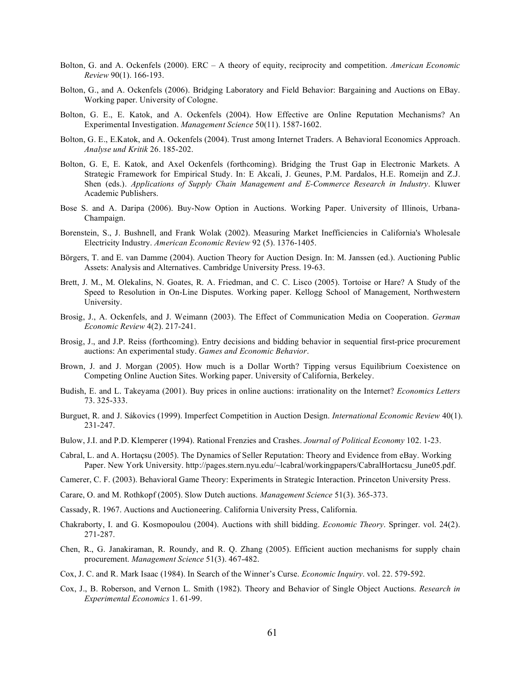- Bolton, G. and A. Ockenfels (2000). ERC A theory of equity, reciprocity and competition. *American Economic Review* 90(1). 166-193.
- Bolton, G., and A. Ockenfels (2006). Bridging Laboratory and Field Behavior: Bargaining and Auctions on EBay. Working paper. University of Cologne.
- Bolton, G. E., E. Katok, and A. Ockenfels (2004). How Effective are Online Reputation Mechanisms? An Experimental Investigation. *Management Science* 50(11). 1587-1602.
- Bolton, G. E., E.Katok, and A. Ockenfels (2004). Trust among Internet Traders. A Behavioral Economics Approach. *Analyse und Kritik* 26. 185-202.
- Bolton, G. E, E. Katok, and Axel Ockenfels (forthcoming). Bridging the Trust Gap in Electronic Markets. A Strategic Framework for Empirical Study. In: E Akcali, J. Geunes, P.M. Pardalos, H.E. Romeijn and Z.J. Shen (eds.). *Applications of Supply Chain Management and E-Commerce Research in Industry*. Kluwer Academic Publishers.
- Bose S. and A. Daripa (2006). Buy-Now Option in Auctions. Working Paper. University of Illinois, Urbana-Champaign.
- Borenstein, S., J. Bushnell, and Frank Wolak (2002). Measuring Market Inefficiencies in California's Wholesale Electricity Industry. *American Economic Review* 92 (5). 1376-1405.
- Börgers, T. and E. van Damme (2004). Auction Theory for Auction Design. In: M. Janssen (ed.). Auctioning Public Assets: Analysis and Alternatives. Cambridge University Press. 19-63.
- Brett, J. M., M. Olekalins, N. Goates, R. A. Friedman, and C. C. Lisco (2005). Tortoise or Hare? A Study of the Speed to Resolution in On-Line Disputes. Working paper. Kellogg School of Management, Northwestern University.
- Brosig, J., A. Ockenfels, and J. Weimann (2003). The Effect of Communication Media on Cooperation. *German Economic Review* 4(2). 217-241.
- Brosig, J., and J.P. Reiss (forthcoming). Entry decisions and bidding behavior in sequential first-price procurement auctions: An experimental study. *Games and Economic Behavior*.
- Brown, J. and J. Morgan (2005). How much is a Dollar Worth? Tipping versus Equilibrium Coexistence on Competing Online Auction Sites. Working paper. University of California, Berkeley.
- Budish, E. and L. Takeyama (2001). Buy prices in online auctions: irrationality on the Internet? *Economics Letters* 73. 325-333.
- Burguet, R. and J. Sákovics (1999). Imperfect Competition in Auction Design. *International Economic Review* 40(1). 231-247.
- Bulow, J.I. and P.D. Klemperer (1994). Rational Frenzies and Crashes. *Journal of Political Economy* 102. 1-23.
- Cabral, L. and A. Hortaçsu (2005). The Dynamics of Seller Reputation: Theory and Evidence from eBay. Working Paper. New York University. http://pages.stern.nyu.edu/~lcabral/workingpapers/CabralHortacsu\_June05.pdf.
- Camerer, C. F. (2003). Behavioral Game Theory: Experiments in Strategic Interaction. Princeton University Press.
- Carare, O. and M. Rothkopf (2005). Slow Dutch auctions. *Management Science* 51(3). 365-373.
- Cassady, R. 1967. Auctions and Auctioneering. California University Press, California.
- Chakraborty, I. and G. Kosmopoulou (2004). Auctions with shill bidding. *Economic Theory*. Springer. vol. 24(2). 271-287.
- Chen, R., G. Janakiraman, R. Roundy, and R. Q. Zhang (2005). Efficient auction mechanisms for supply chain procurement. *Management Science* 51(3). 467-482.
- Cox, J. C. and R. Mark Isaac (1984). In Search of the Winner's Curse. *Economic Inquiry*. vol. 22. 579-592.
- Cox, J., B. Roberson, and Vernon L. Smith (1982). Theory and Behavior of Single Object Auctions. *Research in Experimental Economics* 1. 61-99.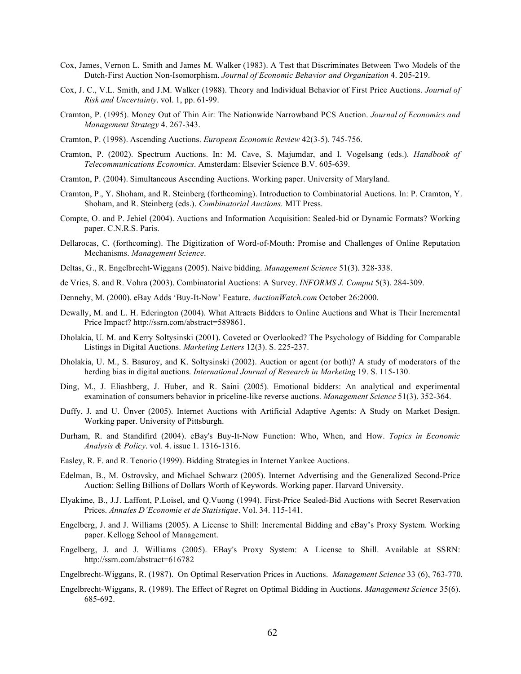- Cox, James, Vernon L. Smith and James M. Walker (1983). A Test that Discriminates Between Two Models of the Dutch-First Auction Non-Isomorphism. *Journal of Economic Behavior and Organization* 4. 205-219.
- Cox, J. C., V.L. Smith, and J.M. Walker (1988). Theory and Individual Behavior of First Price Auctions. *Journal of Risk and Uncertainty*. vol. 1, pp. 61-99.
- Cramton, P. (1995). Money Out of Thin Air: The Nationwide Narrowband PCS Auction. *Journal of Economics and Management Strategy* 4. 267-343.
- Cramton, P. (1998). Ascending Auctions. *European Economic Review* 42(3-5). 745-756.
- Cramton, P. (2002). Spectrum Auctions. In: M. Cave, S. Majumdar, and I. Vogelsang (eds.). *Handbook of Telecommunications Economics*. Amsterdam: Elsevier Science B.V. 605-639.
- Cramton, P. (2004). Simultaneous Ascending Auctions. Working paper. University of Maryland.
- Cramton, P., Y. Shoham, and R. Steinberg (forthcoming). Introduction to Combinatorial Auctions. In: P. Cramton, Y. Shoham, and R. Steinberg (eds.). *Combinatorial Auctions*. MIT Press.
- Compte, O. and P. Jehiel (2004). Auctions and Information Acquisition: Sealed-bid or Dynamic Formats? Working paper. C.N.R.S. Paris.
- Dellarocas, C. (forthcoming). The Digitization of Word-of-Mouth: Promise and Challenges of Online Reputation Mechanisms. *Management Science*.
- Deltas, G., R. Engelbrecht-Wiggans (2005). Naive bidding. *Management Science* 51(3). 328-338.
- de Vries, S. and R. Vohra (2003). Combinatorial Auctions: A Survey. *INFORMS J. Comput* 5(3). 284-309.
- Dennehy, M. (2000). eBay Adds 'Buy-It-Now' Feature. *AuctionWatch.com* October 26:2000.
- Dewally, M. and L. H. Ederington (2004). What Attracts Bidders to Online Auctions and What is Their Incremental Price Impact? http://ssrn.com/abstract=589861.
- Dholakia, U. M. and Kerry Soltysinski (2001). Coveted or Overlooked? The Psychology of Bidding for Comparable Listings in Digital Auctions. *Marketing Letters* 12(3). S. 225-237.
- Dholakia, U. M., S. Basuroy, and K. Soltysinski (2002). Auction or agent (or both)? A study of moderators of the herding bias in digital auctions. *International Journal of Research in Marketing* 19. S. 115-130.
- Ding, M., J. Eliashberg, J. Huber, and R. Saini (2005). Emotional bidders: An analytical and experimental examination of consumers behavior in priceline-like reverse auctions. *Management Science* 51(3). 352-364.
- Duffy, J. and U. Ünver (2005). Internet Auctions with Artificial Adaptive Agents: A Study on Market Design. Working paper. University of Pittsburgh.
- Durham, R. and Standifird (2004). eBay's Buy-It-Now Function: Who, When, and How. *Topics in Economic Analysis & Policy*. vol. 4. issue 1. 1316-1316.
- Easley, R. F. and R. Tenorio (1999). Bidding Strategies in Internet Yankee Auctions.
- Edelman, B., M. Ostrovsky, and Michael Schwarz (2005). Internet Advertising and the Generalized Second-Price Auction: Selling Billions of Dollars Worth of Keywords. Working paper. Harvard University.
- Elyakime, B., J.J. Laffont, P.Loisel, and Q.Vuong (1994). First-Price Sealed-Bid Auctions with Secret Reservation Prices. *Annales D'Economie et de Statistique*. Vol. 34. 115-141.
- Engelberg, J. and J. Williams (2005). A License to Shill: Incremental Bidding and eBay's Proxy System. Working paper. Kellogg School of Management.
- Engelberg, J. and J. Williams (2005). EBay's Proxy System: A License to Shill. Available at SSRN: http://ssrn.com/abstract=616782
- Engelbrecht-Wiggans, R. (1987). On Optimal Reservation Prices in Auctions. *Management Science* 33 (6), 763-770.
- Engelbrecht-Wiggans, R. (1989). The Effect of Regret on Optimal Bidding in Auctions. *Management Science* 35(6). 685-692.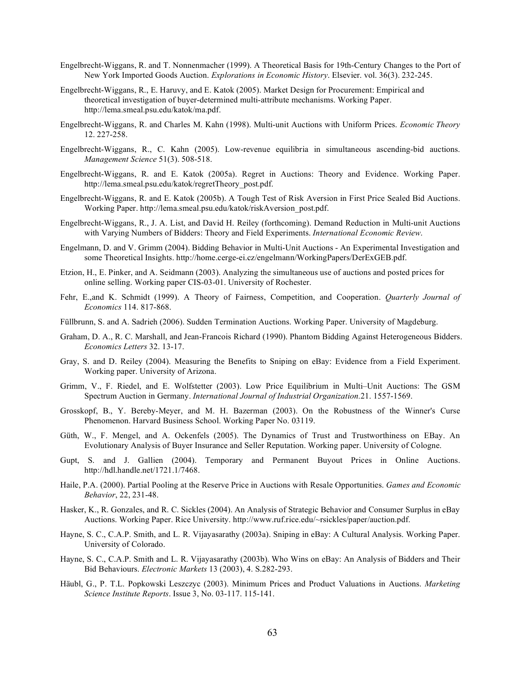- Engelbrecht-Wiggans, R. and T. Nonnenmacher (1999). A Theoretical Basis for 19th-Century Changes to the Port of New York Imported Goods Auction. *Explorations in Economic History*. Elsevier. vol. 36(3). 232-245.
- Engelbrecht-Wiggans, R., E. Haruvy, and E. Katok (2005). Market Design for Procurement: Empirical and theoretical investigation of buyer-determined multi-attribute mechanisms. Working Paper. http://lema.smeal.psu.edu/katok/ma.pdf.
- Engelbrecht-Wiggans, R. and Charles M. Kahn (1998). Multi-unit Auctions with Uniform Prices. *Economic Theory* 12. 227-258.
- Engelbrecht-Wiggans, R., C. Kahn (2005). Low-revenue equilibria in simultaneous ascending-bid auctions. *Management Science* 51(3). 508-518.
- Engelbrecht-Wiggans, R. and E. Katok (2005a). Regret in Auctions: Theory and Evidence. Working Paper. http://lema.smeal.psu.edu/katok/regretTheory\_post.pdf.
- Engelbrecht-Wiggans, R. and E. Katok (2005b). A Tough Test of Risk Aversion in First Price Sealed Bid Auctions. Working Paper. http://lema.smeal.psu.edu/katok/riskAversion\_post.pdf.
- Engelbrecht-Wiggans, R., J. A. List, and David H. Reiley (forthcoming). Demand Reduction in Multi-unit Auctions with Varying Numbers of Bidders: Theory and Field Experiments. *International Economic Review*.
- Engelmann, D. and V. Grimm (2004). Bidding Behavior in Multi-Unit Auctions An Experimental Investigation and some Theoretical Insights. http://home.cerge-ei.cz/engelmann/WorkingPapers/DerExGEB.pdf.
- Etzion, H., E. Pinker, and A. Seidmann (2003). Analyzing the simultaneous use of auctions and posted prices for online selling. Working paper CIS-03-01. University of Rochester.
- Fehr, E.,and K. Schmidt (1999). A Theory of Fairness, Competition, and Cooperation. *Quarterly Journal of Economics* 114. 817-868.
- Füllbrunn, S. and A. Sadrieh (2006). Sudden Termination Auctions. Working Paper. University of Magdeburg.
- Graham, D. A., R. C. Marshall, and Jean-Francois Richard (1990). Phantom Bidding Against Heterogeneous Bidders. *Economics Letters* 32. 13-17.
- Gray, S. and D. Reiley (2004). Measuring the Benefits to Sniping on eBay: Evidence from a Field Experiment. Working paper. University of Arizona.
- Grimm, V., F. Riedel, and E. Wolfstetter (2003). Low Price Equilibrium in Multi–Unit Auctions: The GSM Spectrum Auction in Germany. *International Journal of Industrial Organization.*21. 1557-1569.
- Grosskopf, B., Y. Bereby-Meyer, and M. H. Bazerman (2003). On the Robustness of the Winner's Curse Phenomenon. Harvard Business School. Working Paper No. 03119.
- Güth, W., F. Mengel, and A. Ockenfels (2005). The Dynamics of Trust and Trustworthiness on EBay. An Evolutionary Analysis of Buyer Insurance and Seller Reputation. Working paper. University of Cologne.
- Gupt, S. and J. Gallien (2004). Temporary and Permanent Buyout Prices in Online Auctions. http://hdl.handle.net/1721.1/7468.
- Haile, P.A. (2000). Partial Pooling at the Reserve Price in Auctions with Resale Opportunities. *Games and Economic Behavior*, 22, 231-48.
- Hasker, K., R. Gonzales, and R. C. Sickles (2004). An Analysis of Strategic Behavior and Consumer Surplus in eBay Auctions. Working Paper. Rice University. http://www.ruf.rice.edu/~rsickles/paper/auction.pdf.
- Hayne, S. C., C.A.P. Smith, and L. R. Vijayasarathy (2003a). Sniping in eBay: A Cultural Analysis. Working Paper. University of Colorado.
- Hayne, S. C., C.A.P. Smith and L. R. Vijayasarathy (2003b). Who Wins on eBay: An Analysis of Bidders and Their Bid Behaviours. *Electronic Markets* 13 (2003), 4. S.282-293.
- Häubl, G., P. T.L. Popkowski Leszczyc (2003). Minimum Prices and Product Valuations in Auctions. *Marketing Science Institute Reports*. Issue 3, No. 03-117. 115-141.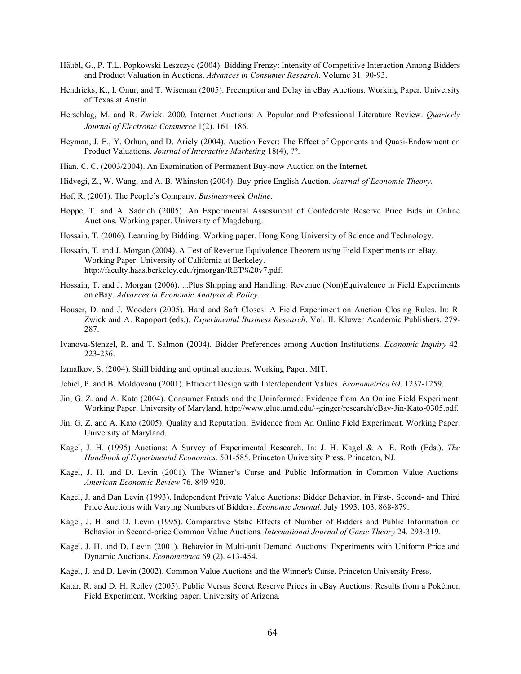- Häubl, G., P. T.L. Popkowski Leszczyc (2004). Bidding Frenzy: Intensity of Competitive Interaction Among Bidders and Product Valuation in Auctions. *Advances in Consumer Research*. Volume 31. 90-93.
- Hendricks, K., I. Onur, and T. Wiseman (2005). Preemption and Delay in eBay Auctions. Working Paper. University of Texas at Austin.
- Herschlag, M. and R. Zwick. 2000. Internet Auctions: A Popular and Professional Literature Review. *Quarterly Journal of Electronic Commerce* 1(2). 161‒186.
- Heyman, J. E., Y. Orhun, and D. Ariely (2004). Auction Fever: The Effect of Opponents and Quasi-Endowment on Product Valuations. *Journal of Interactive Marketing* 18(4), ??.
- Hian, C. C. (2003/2004). An Examination of Permanent Buy-now Auction on the Internet.
- Hidvegi, Z., W. Wang, and A. B. Whinston (2004). Buy-price English Auction. *Journal of Economic Theory.*
- Hof, R. (2001). The People's Company. *Businessweek Online*.
- Hoppe, T. and A. Sadrieh (2005). An Experimental Assessment of Confederate Reserve Price Bids in Online Auctions. Working paper. University of Magdeburg.
- Hossain, T. (2006). Learning by Bidding. Working paper. Hong Kong University of Science and Technology.
- Hossain, T. and J. Morgan (2004). A Test of Revenue Equivalence Theorem using Field Experiments on eBay. Working Paper. University of California at Berkeley. http://faculty.haas.berkeley.edu/rjmorgan/RET%20v7.pdf.
- Hossain, T. and J. Morgan (2006). ...Plus Shipping and Handling: Revenue (Non)Equivalence in Field Experiments on eBay. *Advances in Economic Analysis & Policy*.
- Houser, D. and J. Wooders (2005). Hard and Soft Closes: A Field Experiment on Auction Closing Rules. In: R. Zwick and A. Rapoport (eds.). *Experimental Business Research*. Vol. II. Kluwer Academic Publishers. 279- 287.
- Ivanova-Stenzel, R. and T. Salmon (2004). Bidder Preferences among Auction Institutions. *Economic Inquiry* 42. 223-236.
- Izmalkov, S. (2004). Shill bidding and optimal auctions. Working Paper. MIT.
- Jehiel, P. and B. Moldovanu (2001). Efficient Design with Interdependent Values. *Econometrica* 69. 1237-1259.
- Jin, G. Z. and A. Kato (2004). Consumer Frauds and the Uninformed: Evidence from An Online Field Experiment. Working Paper. University of Maryland. http://www.glue.umd.edu/~ginger/research/eBay-Jin-Kato-0305.pdf.
- Jin, G. Z. and A. Kato (2005). Quality and Reputation: Evidence from An Online Field Experiment. Working Paper. University of Maryland.
- Kagel, J. H. (1995) Auctions: A Survey of Experimental Research. In: J. H. Kagel & A. E. Roth (Eds.). *The Handbook of Experimental Economics*. 501-585. Princeton University Press. Princeton, NJ.
- Kagel, J. H. and D. Levin (2001). The Winner's Curse and Public Information in Common Value Auctions. *American Economic Review* 76. 849-920.
- Kagel, J. and Dan Levin (1993). Independent Private Value Auctions: Bidder Behavior, in First-, Second- and Third Price Auctions with Varying Numbers of Bidders. *Economic Journal*. July 1993. 103. 868-879.
- Kagel, J. H. and D. Levin (1995). Comparative Static Effects of Number of Bidders and Public Information on Behavior in Second-price Common Value Auctions. *International Journal of Game Theory* 24. 293-319.
- Kagel, J. H. and D. Levin (2001). Behavior in Multi-unit Demand Auctions: Experiments with Uniform Price and Dynamic Auctions. *Econometrica* 69 (2). 413-454.
- Kagel, J. and D. Levin (2002). Common Value Auctions and the Winner's Curse. Princeton University Press.
- Katar, R. and D. H. Reiley (2005). Public Versus Secret Reserve Prices in eBay Auctions: Results from a Pokémon Field Experiment. Working paper. University of Arizona.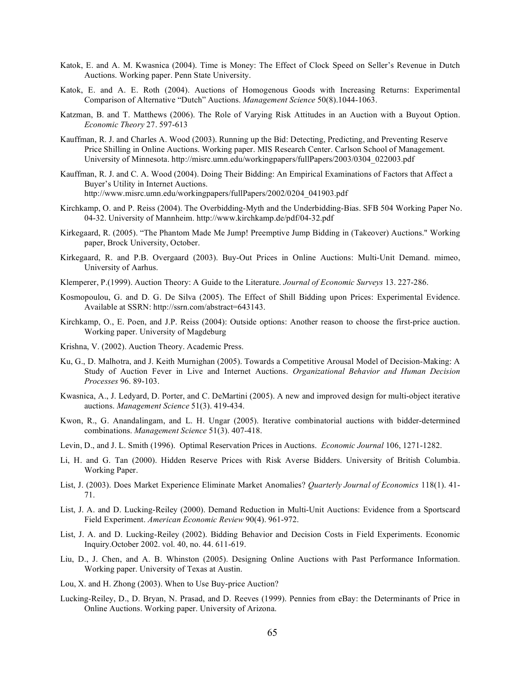- Katok, E. and A. M. Kwasnica (2004). Time is Money: The Effect of Clock Speed on Seller's Revenue in Dutch Auctions. Working paper. Penn State University.
- Katok, E. and A. E. Roth (2004). Auctions of Homogenous Goods with Increasing Returns: Experimental Comparison of Alternative "Dutch" Auctions. *Management Science* 50(8).1044-1063.
- Katzman, B. and T. Matthews (2006). The Role of Varying Risk Attitudes in an Auction with a Buyout Option. *Economic Theory* 27. 597-613
- Kauffman, R. J. and Charles A. Wood (2003). Running up the Bid: Detecting, Predicting, and Preventing Reserve Price Shilling in Online Auctions. Working paper. MIS Research Center. Carlson School of Management. University of Minnesota. http://misrc.umn.edu/workingpapers/fullPapers/2003/0304\_022003.pdf
- Kauffman, R. J. and C. A. Wood (2004). Doing Their Bidding: An Empirical Examinations of Factors that Affect a Buyer's Utility in Internet Auctions. http://www.misrc.umn.edu/workingpapers/fullPapers/2002/0204\_041903.pdf
- Kirchkamp, O. and P. Reiss (2004). The Overbidding-Myth and the Underbidding-Bias. SFB 504 Working Paper No. 04-32. University of Mannheim. http://www.kirchkamp.de/pdf/04-32.pdf
- Kirkegaard, R. (2005). "The Phantom Made Me Jump! Preemptive Jump Bidding in (Takeover) Auctions." Working paper, Brock University, October.
- Kirkegaard, R. and P.B. Overgaard (2003). Buy-Out Prices in Online Auctions: Multi-Unit Demand. mimeo, University of Aarhus.
- Klemperer, P.(1999). Auction Theory: A Guide to the Literature. *Journal of Economic Surveys* 13. 227-286.
- Kosmopoulou, G. and D. G. De Silva (2005). The Effect of Shill Bidding upon Prices: Experimental Evidence. Available at SSRN: http://ssrn.com/abstract=643143.
- Kirchkamp, O., E. Poen, and J.P. Reiss (2004): Outside options: Another reason to choose the first-price auction. Working paper. University of Magdeburg
- Krishna, V. (2002). Auction Theory. Academic Press.
- Ku, G., D. Malhotra, and J. Keith Murnighan (2005). Towards a Competitive Arousal Model of Decision-Making: A Study of Auction Fever in Live and Internet Auctions. *Organizational Behavior and Human Decision Processes* 96. 89-103.
- Kwasnica, A., J. Ledyard, D. Porter, and C. DeMartini (2005). A new and improved design for multi-object iterative auctions. *Management Science* 51(3). 419-434.
- Kwon, R., G. Anandalingam, and L. H. Ungar (2005). Iterative combinatorial auctions with bidder-determined combinations. *Management Science* 51(3). 407-418.
- Levin, D., and J. L. Smith (1996). Optimal Reservation Prices in Auctions. *Economic Journal* 106, 1271-1282.
- Li, H. and G. Tan (2000). Hidden Reserve Prices with Risk Averse Bidders. University of British Columbia. Working Paper.
- List, J. (2003). Does Market Experience Eliminate Market Anomalies? *Quarterly Journal of Economics* 118(1). 41- 71.
- List, J. A. and D. Lucking-Reiley (2000). Demand Reduction in Multi-Unit Auctions: Evidence from a Sportscard Field Experiment. *American Economic Review* 90(4). 961-972.
- List, J. A. and D. Lucking-Reiley (2002). Bidding Behavior and Decision Costs in Field Experiments. Economic Inquiry.October 2002. vol. 40, no. 44. 611-619.
- Liu, D., J. Chen, and A. B. Whinston (2005). Designing Online Auctions with Past Performance Information. Working paper. University of Texas at Austin.
- Lou, X. and H. Zhong (2003). When to Use Buy-price Auction?
- Lucking-Reiley, D., D. Bryan, N. Prasad, and D. Reeves (1999). Pennies from eBay: the Determinants of Price in Online Auctions. Working paper. University of Arizona.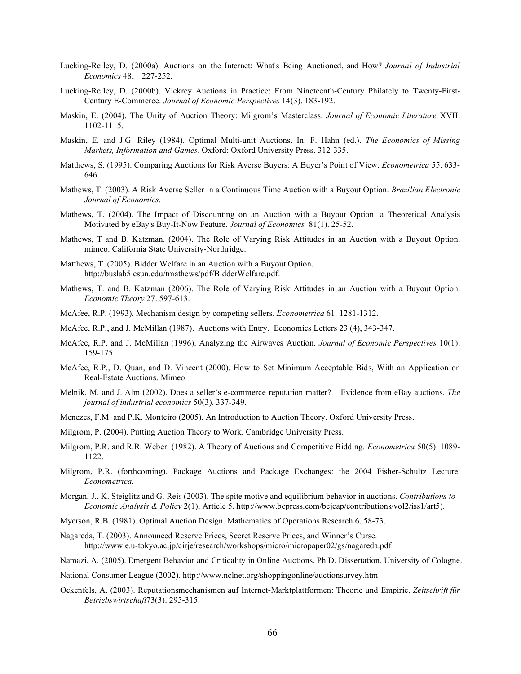- Lucking-Reiley, D. (2000a). Auctions on the Internet: What's Being Auctioned, and How? *Journal of Industrial Economics* 48. 227-252.
- Lucking-Reiley, D. (2000b). Vickrey Auctions in Practice: From Nineteenth-Century Philately to Twenty-First-Century E-Commerce. *Journal of Economic Perspectives* 14(3). 183-192.
- Maskin, E. (2004). The Unity of Auction Theory: Milgrom's Masterclass. *Journal of Economic Literature* XVII. 1102-1115.
- Maskin, E. and J.G. Riley (1984). Optimal Multi-unit Auctions. In: F. Hahn (ed.). *The Economics of Missing Markets, Information and Games*. Oxford: Oxford University Press. 312-335.
- Matthews, S. (1995). Comparing Auctions for Risk Averse Buyers: A Buyer's Point of View. *Econometrica* 55. 633- 646.
- Mathews, T. (2003). A Risk Averse Seller in a Continuous Time Auction with a Buyout Option. *Brazilian Electronic Journal of Economics*.
- Mathews, T. (2004). The Impact of Discounting on an Auction with a Buyout Option: a Theoretical Analysis Motivated by eBay's Buy-It-Now Feature. *Journal of Economics* 81(1). 25-52.
- Mathews, T and B. Katzman. (2004). The Role of Varying Risk Attitudes in an Auction with a Buyout Option. mimeo. California State University-Northridge.
- Matthews, T. (2005). Bidder Welfare in an Auction with a Buyout Option. http://buslab5.csun.edu/tmathews/pdf/BidderWelfare.pdf.
- Mathews, T. and B. Katzman (2006). The Role of Varying Risk Attitudes in an Auction with a Buyout Option. *Economic Theory* 27. 597-613.
- McAfee, R.P. (1993). Mechanism design by competing sellers. *Econometrica* 61. 1281-1312.
- McAfee, R.P., and J. McMillan (1987). Auctions with Entry. Economics Letters 23 (4), 343-347.
- McAfee, R.P. and J. McMillan (1996). Analyzing the Airwaves Auction. *Journal of Economic Perspectives* 10(1). 159-175.
- McAfee, R.P., D. Quan, and D. Vincent (2000). How to Set Minimum Acceptable Bids, With an Application on Real-Estate Auctions. Mimeo
- Melnik, M. and J. Alm (2002). Does a seller's e-commerce reputation matter? Evidence from eBay auctions. *The journal of industrial economics* 50(3). 337-349.
- Menezes, F.M. and P.K. Monteiro (2005). An Introduction to Auction Theory. Oxford University Press.
- Milgrom, P. (2004). Putting Auction Theory to Work. Cambridge University Press.
- Milgrom, P.R. and R.R. Weber. (1982). A Theory of Auctions and Competitive Bidding. *Econometrica* 50(5). 1089- 1122.
- Milgrom, P.R. (forthcoming). Package Auctions and Package Exchanges: the 2004 Fisher-Schultz Lecture. *Econometrica*.
- Morgan, J., K. Steiglitz and G. Reis (2003). The spite motive and equilibrium behavior in auctions. *Contributions to Economic Analysis & Policy* 2(1), Article 5. http://www.bepress.com/bejeap/contributions/vol2/iss1/art5).
- Myerson, R.B. (1981). Optimal Auction Design. Mathematics of Operations Research 6. 58-73.
- Nagareda, T. (2003). Announced Reserve Prices, Secret Reserve Prices, and Winner's Curse. http://www.e.u-tokyo.ac.jp/cirje/research/workshops/micro/micropaper02/gs/nagareda.pdf
- Namazi, A. (2005). Emergent Behavior and Criticality in Online Auctions. Ph.D. Dissertation. University of Cologne.
- National Consumer League (2002). http://www.nclnet.org/shoppingonline/auctionsurvey.htm
- Ockenfels, A. (2003). Reputationsmechanismen auf Internet-Marktplattformen: Theorie und Empirie. *Zeitschrift für Betriebswirtschaft*73(3). 295-315.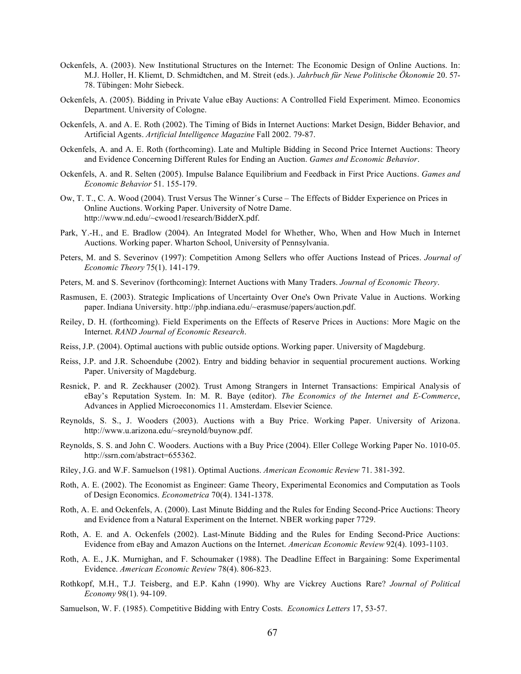- Ockenfels, A. (2003). New Institutional Structures on the Internet: The Economic Design of Online Auctions. In: M.J. Holler, H. Kliemt, D. Schmidtchen, and M. Streit (eds.). *Jahrbuch für Neue Politische Ökonomie* 20. 57- 78. Tübingen: Mohr Siebeck.
- Ockenfels, A. (2005). Bidding in Private Value eBay Auctions: A Controlled Field Experiment. Mimeo. Economics Department. University of Cologne.
- Ockenfels, A. and A. E. Roth (2002). The Timing of Bids in Internet Auctions: Market Design, Bidder Behavior, and Artificial Agents. *Artificial Intelligence Magazine* Fall 2002. 79-87.
- Ockenfels, A. and A. E. Roth (forthcoming). Late and Multiple Bidding in Second Price Internet Auctions: Theory and Evidence Concerning Different Rules for Ending an Auction. *Games and Economic Behavior*.
- Ockenfels, A. and R. Selten (2005). Impulse Balance Equilibrium and Feedback in First Price Auctions. *Games and Economic Behavior* 51. 155-179.
- Ow, T. T., C. A. Wood (2004). Trust Versus The Winner´s Curse The Effects of Bidder Experience on Prices in Online Auctions. Working Paper. University of Notre Dame. http://www.nd.edu/~cwood1/research/BidderX.pdf.
- Park, Y.-H., and E. Bradlow (2004). An Integrated Model for Whether, Who, When and How Much in Internet Auctions. Working paper. Wharton School, University of Pennsylvania.
- Peters, M. and S. Severinov (1997): Competition Among Sellers who offer Auctions Instead of Prices. *Journal of Economic Theory* 75(1). 141-179.
- Peters, M. and S. Severinov (forthcoming): Internet Auctions with Many Traders. *Journal of Economic Theory*.
- Rasmusen, E. (2003). Strategic Implications of Uncertainty Over One's Own Private Value in Auctions. Working paper. Indiana University. http://php.indiana.edu/~erasmuse/papers/auction.pdf.
- Reiley, D. H. (forthcoming). Field Experiments on the Effects of Reserve Prices in Auctions: More Magic on the Internet. *RAND Journal of Economic Research*.
- Reiss, J.P. (2004). Optimal auctions with public outside options. Working paper. University of Magdeburg.
- Reiss, J.P. and J.R. Schoendube (2002). Entry and bidding behavior in sequential procurement auctions. Working Paper. University of Magdeburg.
- Resnick, P. and R. Zeckhauser (2002). Trust Among Strangers in Internet Transactions: Empirical Analysis of eBay's Reputation System. In: M. R. Baye (editor). *The Economics of the Internet and E-Commerce*, Advances in Applied Microeconomics 11. Amsterdam. Elsevier Science.
- Reynolds, S. S., J. Wooders (2003). Auctions with a Buy Price. Working Paper. University of Arizona. http://www.u.arizona.edu/~sreynold/buynow.pdf.
- Reynolds, S. S. and John C. Wooders. Auctions with a Buy Price (2004). Eller College Working Paper No. 1010-05. http://ssrn.com/abstract=655362.
- Riley, J.G. and W.F. Samuelson (1981). Optimal Auctions. *American Economic Review* 71. 381-392.
- Roth, A. E. (2002). The Economist as Engineer: Game Theory, Experimental Economics and Computation as Tools of Design Economics. *Econometrica* 70(4). 1341-1378.
- Roth, A. E. and Ockenfels, A. (2000). Last Minute Bidding and the Rules for Ending Second-Price Auctions: Theory and Evidence from a Natural Experiment on the Internet. NBER working paper 7729.
- Roth, A. E. and A. Ockenfels (2002). Last-Minute Bidding and the Rules for Ending Second-Price Auctions: Evidence from eBay and Amazon Auctions on the Internet. *American Economic Review* 92(4). 1093-1103.
- Roth, A. E., J.K. Murnighan, and F. Schoumaker (1988). The Deadline Effect in Bargaining: Some Experimental Evidence. *American Economic Review* 78(4). 806-823.
- Rothkopf, M.H., T.J. Teisberg, and E.P. Kahn (1990). Why are Vickrey Auctions Rare? *Journal of Political Economy* 98(1). 94-109.
- Samuelson, W. F. (1985). Competitive Bidding with Entry Costs. *Economics Letters* 17, 53-57.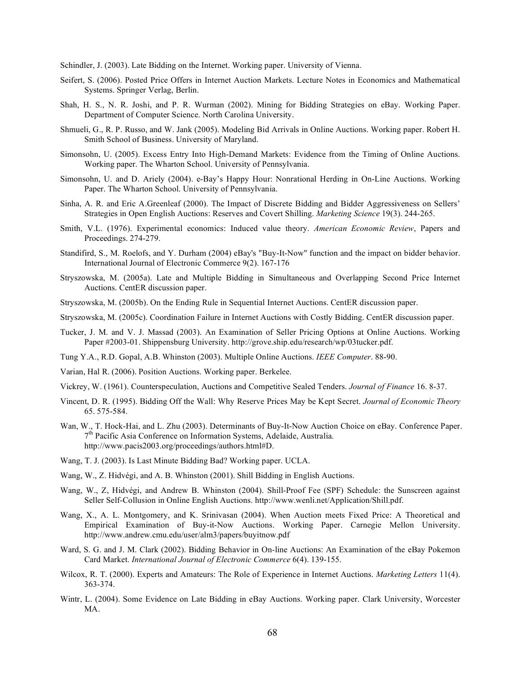Schindler, J. (2003). Late Bidding on the Internet. Working paper. University of Vienna.

- Seifert, S. (2006). Posted Price Offers in Internet Auction Markets. Lecture Notes in Economics and Mathematical Systems. Springer Verlag, Berlin.
- Shah, H. S., N. R. Joshi, and P. R. Wurman (2002). Mining for Bidding Strategies on eBay. Working Paper. Department of Computer Science. North Carolina University.
- Shmueli, G., R. P. Russo, and W. Jank (2005). Modeling Bid Arrivals in Online Auctions. Working paper. Robert H. Smith School of Business. University of Maryland.
- Simonsohn, U. (2005). Excess Entry Into High-Demand Markets: Evidence from the Timing of Online Auctions. Working paper. The Wharton School. University of Pennsylvania.
- Simonsohn, U. and D. Ariely (2004). e-Bay's Happy Hour: Nonrational Herding in On-Line Auctions. Working Paper. The Wharton School. University of Pennsylvania.
- Sinha, A. R. and Eric A.Greenleaf (2000). The Impact of Discrete Bidding and Bidder Aggressiveness on Sellers' Strategies in Open English Auctions: Reserves and Covert Shilling. *Marketing Science* 19(3). 244-265.
- Smith, V.L. (1976). Experimental economics: Induced value theory. *American Economic Review*, Papers and Proceedings. 274-279.
- Standifird, S., M. Roelofs, and Y. Durham (2004) eBay's "Buy-It-Now" function and the impact on bidder behavior. International Journal of Electronic Commerce 9(2). 167-176
- Stryszowska, M. (2005a). Late and Multiple Bidding in Simultaneous and Overlapping Second Price Internet Auctions. CentER discussion paper.
- Stryszowska, M. (2005b). On the Ending Rule in Sequential Internet Auctions. CentER discussion paper.
- Stryszowska, M. (2005c). Coordination Failure in Internet Auctions with Costly Bidding. CentER discussion paper.
- Tucker, J. M. and V. J. Massad (2003). An Examination of Seller Pricing Options at Online Auctions. Working Paper #2003-01. Shippensburg University. http://grove.ship.edu/research/wp/03tucker.pdf.
- Tung Y.A., R.D. Gopal, A.B. Whinston (2003). Multiple Online Auctions. *IEEE Computer*. 88-90.
- Varian, Hal R. (2006). Position Auctions. Working paper. Berkelee.
- Vickrey, W. (1961). Counterspeculation, Auctions and Competitive Sealed Tenders. *Journal of Finance* 16. 8-37.
- Vincent, D. R. (1995). Bidding Off the Wall: Why Reserve Prices May be Kept Secret. *Journal of Economic Theory* 65. 575-584.
- Wan, W., T. Hock-Hai, and L. Zhu (2003). Determinants of Buy-It-Now Auction Choice on eBay. Conference Paper. 7th Pacific Asia Conference on Information Systems, Adelaide, Australia. http://www.pacis2003.org/proceedings/authors.html#D.
- Wang, T. J. (2003). Is Last Minute Bidding Bad? Working paper. UCLA.
- Wang, W., Z. Hidvégi, and A. B. Whinston (2001). Shill Bidding in English Auctions.
- Wang, W., Z, Hidvégi, and Andrew B. Whinston (2004). Shill-Proof Fee (SPF) Schedule: the Sunscreen against Seller Self-Collusion in Online English Auctions. http://www.wenli.net/Application/Shill.pdf.
- Wang, X., A. L. Montgomery, and K. Srinivasan (2004). When Auction meets Fixed Price: A Theoretical and Empirical Examination of Buy-it-Now Auctions. Working Paper. Carnegie Mellon University. http://www.andrew.cmu.edu/user/alm3/papers/buyitnow.pdf
- Ward, S. G. and J. M. Clark (2002). Bidding Behavior in On-line Auctions: An Examination of the eBay Pokemon Card Market. *International Journal of Electronic Commerce* 6(4). 139-155.
- Wilcox, R. T. (2000). Experts and Amateurs: The Role of Experience in Internet Auctions. *Marketing Letters* 11(4). 363-374.
- Wintr, L. (2004). Some Evidence on Late Bidding in eBay Auctions. Working paper. Clark University, Worcester MA.